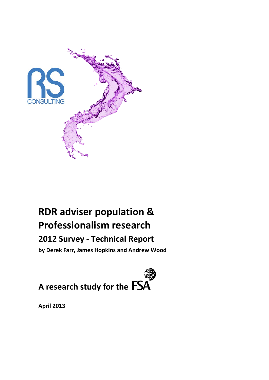

# **RDR adviser population & Professionalism research**

# **2012 Survey - Technical Report**

**by Derek Farr, James Hopkins and Andrew Wood**



**April 2013**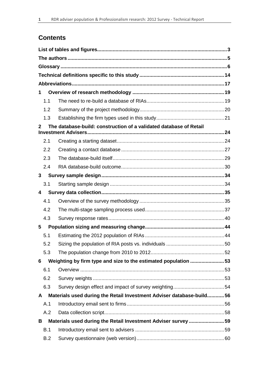# **Contents**

| 1                       |                                                                      |  |
|-------------------------|----------------------------------------------------------------------|--|
| 1.1                     |                                                                      |  |
| 1.2                     |                                                                      |  |
| 1.3                     |                                                                      |  |
| 2                       | The database-build: construction of a validated database of Retail   |  |
| 2.1                     |                                                                      |  |
| 2.2                     |                                                                      |  |
| 2.3                     |                                                                      |  |
| 2.4                     |                                                                      |  |
| 3                       |                                                                      |  |
| 3.1                     |                                                                      |  |
| 4                       |                                                                      |  |
| 4.1                     |                                                                      |  |
| 4.2                     |                                                                      |  |
| 4.3                     |                                                                      |  |
| $\overline{\mathbf{5}}$ |                                                                      |  |
| 5.1                     |                                                                      |  |
| 5.2                     |                                                                      |  |
| 5.3                     |                                                                      |  |
| 6                       | Weighting by firm type and size to the estimated population 53       |  |
| 6.1                     |                                                                      |  |
| 6.2                     |                                                                      |  |
| 6.3                     |                                                                      |  |
| A                       | Materials used during the Retail Investment Adviser database-build56 |  |
| A.1                     |                                                                      |  |
| A.2                     |                                                                      |  |
| В                       | Materials used during the Retail Investment Adviser survey 59        |  |
| B.1                     |                                                                      |  |
| B.2                     |                                                                      |  |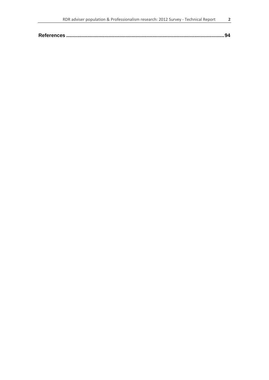| RDR adviser population & Professionalism research: 2012 Survey - Technical Report |  |
|-----------------------------------------------------------------------------------|--|
|                                                                                   |  |
|                                                                                   |  |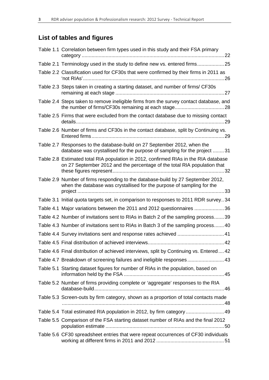# **List of tables and figures**

| Table 1.1 Correlation between firm types used in this study and their FSA primary                                                                                |
|------------------------------------------------------------------------------------------------------------------------------------------------------------------|
| Table 2.1 Terminology used in the study to define new vs. entered firms 25                                                                                       |
| Table 2.2 Classification used for CF30s that were confirmed by their firms in 2011 as                                                                            |
| Table 2.3 Steps taken in creating a starting dataset, and number of firms/ CF30s                                                                                 |
| Table 2.4 Steps taken to remove ineligible firms from the survey contact database, and                                                                           |
| Table 2.5 Firms that were excluded from the contact database due to missing contact                                                                              |
| Table 2.6 Number of firms and CF30s in the contact database, split by Continuing vs.                                                                             |
| Table 2.7 Responses to the database-build on 27 September 2012, when the<br>database was crystallised for the purpose of sampling for the project 31             |
| Table 2.8 Estimated total RIA population in 2012, confirmed RIAs in the RIA database<br>on 27 September 2012 and the percentage of the total RIA population that |
| Table 2.9 Number of firms responding to the database-build by 27 September 2012,<br>when the database was crystallised for the purpose of sampling for the       |
| Table 3.1 Initial quota targets set, in comparison to responses to 2011 RDR survey34                                                                             |
| Table 4.1 Major variations between the 2011 and 2012 questionnaires 36                                                                                           |
| Table 4.2 Number of invitations sent to RIAs in Batch 2 of the sampling process39                                                                                |
| Table 4.3 Number of invitations sent to RIAs in Batch 3 of the sampling process 40                                                                               |
| Table 4.4 Survey invitations sent and response rates achieved  41                                                                                                |
|                                                                                                                                                                  |
| Table 4.6 Final distribution of achieved interviews, split by Continuing vs. Entered42                                                                           |
| Table 4.7 Breakdown of screening failures and ineligible responses 43                                                                                            |
| Table 5.1 Starting dataset figures for number of RIAs in the population, based on                                                                                |
| Table 5.2 Number of firms providing complete or 'aggregate' responses to the RIA                                                                                 |
| Table 5.3 Screen-outs by firm category, shown as a proportion of total contacts made                                                                             |
| Table 5.4 Total estimated RIA population in 2012, by firm category 49                                                                                            |
| Table 5.5 Comparison of the FSA starting dataset number of RIAs and the final 2012                                                                               |
| Table 5.6 CF30 spreadsheet entries that were repeat occurrences of CF30 individuals                                                                              |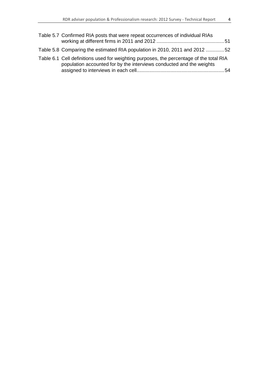| Table 5.7 Confirmed RIA posts that were repeat occurrences of individual RIAs                                                                                   |  |
|-----------------------------------------------------------------------------------------------------------------------------------------------------------------|--|
| Table 5.8 Comparing the estimated RIA population in 2010, 2011 and 2012 52                                                                                      |  |
| Table 6.1 Cell definitions used for weighting purposes, the percentage of the total RIA<br>population accounted for by the interviews conducted and the weights |  |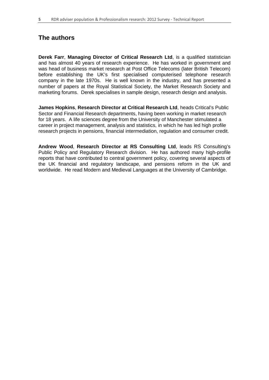## **The authors**

**Derek Farr**, **Managing Director of Critical Research Ltd**, is a qualified statistician and has almost 40 years of research experience. He has worked in government and was head of business market research at Post Office Telecoms (later British Telecom) before establishing the UK's first specialised computerised telephone research company in the late 1970s. He is well known in the industry, and has presented a number of papers at the Royal Statistical Society, the Market Research Society and marketing forums. Derek specialises in sample design, research design and analysis.

**James Hopkins**, **Research Director at Critical Research Ltd**, heads Critical's Public Sector and Financial Research departments, having been working in market research for 18 years. A life sciences degree from the University of Manchester stimulated a career in project management, analysis and statistics, in which he has led high profile research projects in pensions, financial intermediation, regulation and consumer credit.

**Andrew Wood**, **Research Director at RS Consulting Ltd**, leads RS Consulting's Public Policy and Regulatory Research division. He has authored many high-profile reports that have contributed to central government policy, covering several aspects of the UK financial and regulatory landscape, and pensions reform in the UK and worldwide. He read Modern and Medieval Languages at the University of Cambridge.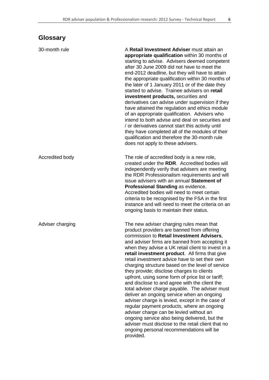# **Glossary**

| 30-month rule    | A Retail Investment Adviser must attain an<br>appropriate qualification within 30 months of<br>starting to advise. Advisers deemed competent<br>after 30 June 2009 did not have to meet the<br>end-2012 deadline, but they will have to attain<br>the appropriate qualification within 30 months of<br>the later of 1 January 2011 or of the date they<br>started to advise. Trainee advisers on retail<br>investment products, securities and<br>derivatives can advise under supervision if they<br>have attained the regulation and ethics module<br>of an appropriate qualification. Advisers who<br>intend to both advise and deal on securities and<br>/ or derivatives cannot start this activity until<br>they have completed all of the modules of their<br>qualification and therefore the 30-month rule                                                                                                                                                 |
|------------------|--------------------------------------------------------------------------------------------------------------------------------------------------------------------------------------------------------------------------------------------------------------------------------------------------------------------------------------------------------------------------------------------------------------------------------------------------------------------------------------------------------------------------------------------------------------------------------------------------------------------------------------------------------------------------------------------------------------------------------------------------------------------------------------------------------------------------------------------------------------------------------------------------------------------------------------------------------------------|
|                  | does not apply to these advisers.                                                                                                                                                                                                                                                                                                                                                                                                                                                                                                                                                                                                                                                                                                                                                                                                                                                                                                                                  |
| Accredited body  | The role of accredited body is a new role,<br>created under the RDR. Accredited bodies will<br>independently verify that advisers are meeting<br>the RDR Professionalism requirements and will<br>issue advisers with an annual Statement of<br>Professional Standing as evidence.<br>Accredited bodies will need to meet certain<br>criteria to be recognised by the FSA in the first<br>instance and will need to meet the criteria on an<br>ongoing basis to maintain their status.                                                                                                                                                                                                                                                                                                                                                                                                                                                                             |
| Adviser charging | The new adviser charging rules mean that<br>product providers are banned from offering<br>commission to Retail Investment Advisers,<br>and adviser firms are banned from accepting it<br>when they advise a UK retail client to invest in a<br>retail investment product. All firms that give<br>retail investment advice have to set their own<br>charging structure based on the level of service<br>they provide; disclose charges to clients<br>upfront, using some form of price list or tariff;<br>and disclose to and agree with the client the<br>total adviser charge payable. The adviser must<br>deliver an ongoing service when an ongoing<br>adviser charge is levied, except in the case of<br>regular payment products, where an ongoing<br>adviser charge can be levied without an<br>ongoing service also being delivered, but the<br>adviser must disclose to the retail client that no<br>ongoing personal recommendations will be<br>provided. |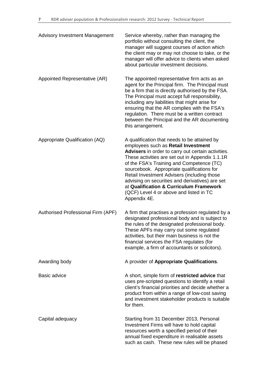| <b>Advisory Investment Management</b> | Service whereby, rather than managing the<br>portfolio without consulting the client, the<br>manager will suggest courses of action which<br>the client may or may not choose to take, or the<br>manager will offer advice to clients when asked<br>about particular investment decisions.                                                                                                                                                                                                      |
|---------------------------------------|-------------------------------------------------------------------------------------------------------------------------------------------------------------------------------------------------------------------------------------------------------------------------------------------------------------------------------------------------------------------------------------------------------------------------------------------------------------------------------------------------|
| Appointed Representative (AR)         | The appointed representative firm acts as an<br>agent for the Principal firm. The Principal must<br>be a firm that is directly authorised by the FSA.<br>The Principal must accept full responsibility,<br>including any liabilities that might arise for<br>ensuring that the AR complies with the FSA's<br>regulation. There must be a written contract<br>between the Principal and the AR documenting<br>this arrangement.                                                                  |
| Appropriate Qualification (AQ)        | A qualification that needs to be attained by<br>employees such as Retail Investment<br>Advisers in order to carry out certain activities.<br>These activities are set out in Appendix 1.1.1R<br>of the FSA's Training and Competence (TC)<br>sourcebook. Appropriate qualifications for<br>Retail Investment Advisers (including those<br>advising on securities and derivatives) are set<br>at Qualification & Curriculum Framework<br>(QCF) Level 4 or above and listed in TC<br>Appendix 4E. |
| Authorised Professional Firm (APF)    | A firm that practises a profession regulated by a<br>designated professional body and is subject to<br>the rules of the designated professional body.<br>These APFs may carry out some regulated<br>activities, but their main business is not the<br>financial services the FSA regulates (for<br>example, a firm of accountants or solicitors).                                                                                                                                               |
| Awarding body                         | A provider of Appropriate Qualifications.                                                                                                                                                                                                                                                                                                                                                                                                                                                       |
| <b>Basic advice</b>                   | A short, simple form of restricted advice that<br>uses pre-scripted questions to identify a retail<br>client's financial priorities and decide whether a<br>product from within a range of low-cost saving<br>and investment stakeholder products is suitable<br>for them.                                                                                                                                                                                                                      |
| Capital adequacy                      | Starting from 31 December 2013, Personal<br>Investment Firms will have to hold capital<br>resources worth a specified period of their<br>annual fixed expenditure in realisable assets<br>such as cash. These new rules will be phased                                                                                                                                                                                                                                                          |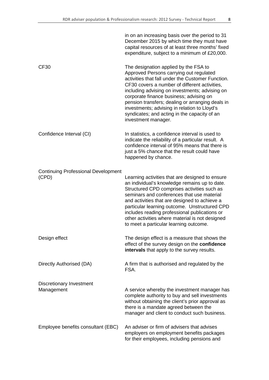|                                                     | in on an increasing basis over the period to 31<br>December 2015 by which time they must have<br>capital resources of at least three months' fixed<br>expenditure, subject to a minimum of £20,000.                                                                                                                                                                                                                                                            |
|-----------------------------------------------------|----------------------------------------------------------------------------------------------------------------------------------------------------------------------------------------------------------------------------------------------------------------------------------------------------------------------------------------------------------------------------------------------------------------------------------------------------------------|
| CF <sub>30</sub>                                    | The designation applied by the FSA to<br>Approved Persons carrying out regulated<br>activities that fall under the Customer Function.<br>CF30 covers a number of different activities,<br>including advising on investments; advising on<br>corporate finance business; advising on<br>pension transfers; dealing or arranging deals in<br>investments; advising in relation to Lloyd's<br>syndicates; and acting in the capacity of an<br>investment manager. |
| Confidence Interval (CI)                            | In statistics, a confidence interval is used to<br>indicate the reliability of a particular result. A<br>confidence interval of 95% means that there is<br>just a 5% chance that the result could have<br>happened by chance.                                                                                                                                                                                                                                  |
| <b>Continuing Professional Development</b><br>(CPD) | Learning activities that are designed to ensure<br>an individual's knowledge remains up to date.<br>Structured CPD comprises activities such as<br>seminars and conferences that use material<br>and activities that are designed to achieve a<br>particular learning outcome. Unstructured CPD<br>includes reading professional publications or<br>other activities where material is not designed<br>to meet a particular learning outcome.                  |
| Design effect                                       | The design effect is a measure that shows the<br>effect of the survey design on the confidence<br>intervals that apply to the survey results.                                                                                                                                                                                                                                                                                                                  |
| Directly Authorised (DA)                            | A firm that is authorised and regulated by the<br>FSA.                                                                                                                                                                                                                                                                                                                                                                                                         |
| <b>Discretionary Investment</b><br>Management       | A service whereby the investment manager has<br>complete authority to buy and sell investments<br>without obtaining the client's prior approval as<br>there is a mandate agreed between the<br>manager and client to conduct such business.                                                                                                                                                                                                                    |

Employee benefits consultant (EBC) An adviser or firm of advisers that advises employers on employment benefits packages for their employees, including pensions and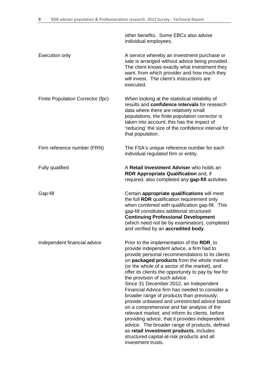other benefits. Some EBCs also advise individual employees. Execution only **A** service whereby an investment purchase or sale is arranged without advice being provided. The client knows exactly what investment they want, from which provider and how much they will invest. The client's instructions are executed. Finite Population Corrector (fpc) When looking at the statistical reliability of results and **confidence intervals** for research data where there are relatively small populations, the finite population corrector is taken into account; this has the impact of 'reducing' the size of the confidence interval for that population. Firm reference number (FRN) The FSA's unique reference number for each individual regulated firm or entity. Fully qualified A **Retail Investment Adviser** who holds an **RDR Appropriate Qualification** and, if required, also completed any **gap-fill** activities. Gap-fill Certain **appropriate qualifications** will meet the full **RDR** qualification requirement only when combined with qualification gap-fill. This gap-fill constitutes additional structured **Continuing Professional Development** (which need not be by examination), completed and verified by an **accredited body**. Independent financial advice Prior to the implementation of the **RDR**, to provide independent advice, a firm had to provide personal recommendations to its clients on **packaged products** from the whole market (or the whole of a sector of the market), and offer its clients the opportunity to pay by fee for the provision of such advice. Since 31 December 2012, an Independent Financial Advice firm has needed to consider a broader range of products than previously; provide unbiased and unrestricted advice based on a comprehensive and fair analysis of the relevant market; and inform its clients, before providing advice, that it provides independent advice. The broader range of products, defined as **retail investment products**, includes structured capital-at-risk products and all investment trusts.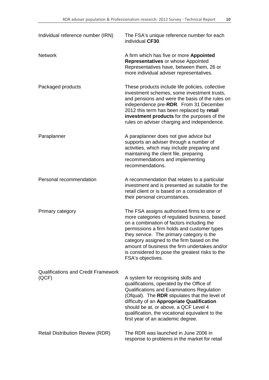| Individual reference number (IRN)                   | The FSA's unique reference number for each<br>individual CF30.                                                                                                                                                                                                                                                                                                                                             |
|-----------------------------------------------------|------------------------------------------------------------------------------------------------------------------------------------------------------------------------------------------------------------------------------------------------------------------------------------------------------------------------------------------------------------------------------------------------------------|
| <b>Network</b>                                      | A firm which has five or more Appointed<br>Representatives or whose Appointed<br>Representatives have, between them, 26 or<br>more individual adviser representatives.                                                                                                                                                                                                                                     |
| Packaged products                                   | These products include life policies, collective<br>investment schemes, some investment trusts,<br>and pensions and were the basis of the rules on<br>independence pre-RDR. From 31 December<br>2012 this term has been replaced by retail<br>investment products for the purposes of the<br>rules on adviser charging and independence.                                                                   |
| Paraplanner                                         | A paraplanner does not give advice but<br>supports an adviser through a number of<br>activities, which may include preparing and<br>maintaining the client file, preparing<br>recommendations and implementing<br>recommendations.                                                                                                                                                                         |
| Personal recommendation                             | A recommendation that relates to a particular<br>investment and is presented as suitable for the<br>retail client or is based on a consideration of<br>their personal circumstances.                                                                                                                                                                                                                       |
| Primary category                                    | The FSA assigns authorised firms to one or<br>more categories of regulated business, based<br>on a combination of factors including the<br>permissions a firm holds and customer types<br>they service. The primary category is the<br>category assigned to the firm based on the<br>amount of business the firm undertakes and/or<br>is considered to pose the greatest risks to the<br>FSA's objectives. |
| <b>Qualifications and Credit Framework</b><br>(QCF) | A system for recognising skills and<br>qualifications, operated by the Office of<br>Qualifications and Examinations Regulation<br>(Ofqual). The RDR stipulates that the level of<br>difficulty of an Appropriate Qualification<br>should be at, or above, a QCF Level 4<br>qualification, the vocational equivalent to the<br>first year of an academic degree.                                            |
| <b>Retail Distribution Review (RDR)</b>             | The RDR was launched in June 2006 in<br>response to problems in the market for retail                                                                                                                                                                                                                                                                                                                      |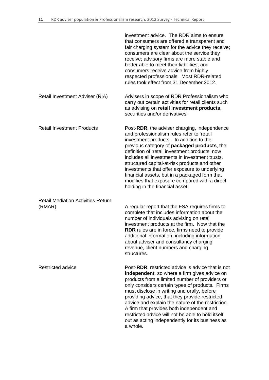|                                                     | investment advice. The RDR aims to ensure<br>that consumers are offered a transparent and<br>fair charging system for the advice they receive;<br>consumers are clear about the service they<br>receive; advisory firms are more stable and<br>better able to meet their liabilities; and<br>consumers receive advice from highly<br>respected professionals. Most RDR-related<br>rules took effect from 31 December 2012.                                                                                                       |
|-----------------------------------------------------|----------------------------------------------------------------------------------------------------------------------------------------------------------------------------------------------------------------------------------------------------------------------------------------------------------------------------------------------------------------------------------------------------------------------------------------------------------------------------------------------------------------------------------|
| Retail Investment Adviser (RIA)                     | Advisers in scope of RDR Professionalism who<br>carry out certain activities for retail clients such<br>as advising on retail investment products,<br>securities and/or derivatives.                                                                                                                                                                                                                                                                                                                                             |
| <b>Retail Investment Products</b>                   | Post-RDR, the adviser charging, independence<br>and professionalism rules refer to 'retail<br>investment products'. In addition to the<br>previous category of packaged products, the<br>definition of 'retail investment products' now<br>includes all investments in investment trusts,<br>structured capital-at-risk products and other<br>investments that offer exposure to underlying<br>financial assets, but in a packaged form that<br>modifies that exposure compared with a direct<br>holding in the financial asset. |
| <b>Retail Mediation Activities Return</b><br>(RMAR) | A regular report that the FSA requires firms to<br>complete that includes information about the<br>number of individuals advising on retail<br>investment products at the firm. Now that the<br><b>RDR</b> rules are in force, firms need to provide<br>additional information, including information<br>about adviser and consultancy charging<br>revenue, client numbers and charging<br>structures.                                                                                                                           |
| <b>Restricted advice</b>                            | Post-RDR, restricted advice is advice that is not<br>independent, so where a firm gives advice on<br>products from a limited number of providers or<br>only considers certain types of products. Firms<br>must disclose in writing and orally, before<br>providing advice, that they provide restricted<br>advice and explain the nature of the restriction.<br>A firm that provides both independent and<br>restricted advice will not be able to hold itself<br>out as acting independently for its business as<br>a whole     |

a whole.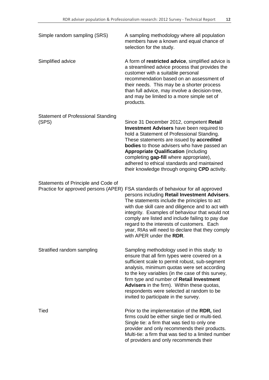| Simple random sampling (SRS)                       | A sampling methodology where all population<br>members have a known and equal chance of<br>selection for the study.                                                                                                                                                                                                                                                                                                                                                         |
|----------------------------------------------------|-----------------------------------------------------------------------------------------------------------------------------------------------------------------------------------------------------------------------------------------------------------------------------------------------------------------------------------------------------------------------------------------------------------------------------------------------------------------------------|
| Simplified advice                                  | A form of restricted advice, simplified advice is<br>a streamlined advice process that provides the<br>customer with a suitable personal<br>recommendation based on an assessment of<br>their needs. This may be a shorter process<br>than full advice, may involve a decision-tree,<br>and may be limited to a more simple set of<br>products.                                                                                                                             |
| <b>Statement of Professional Standing</b><br>(SPS) | Since 31 December 2012, competent Retail<br><b>Investment Advisers</b> have been required to<br>hold a Statement of Professional Standing.<br>These statements are issued by accredited<br><b>bodies</b> to those advisers who have passed an<br><b>Appropriate Qualification (including</b><br>completing gap-fill where appropriate),<br>adhered to ethical standards and maintained<br>their knowledge through ongoing CPD activity.                                     |
| Statements of Principle and Code of                | Practice for approved persons (APER) FSA standards of behaviour for all approved<br>persons including Retail Investment Advisers.<br>The statements include the principles to act<br>with due skill care and diligence and to act with<br>integrity. Examples of behaviour that would not<br>comply are listed and include failing to pay due<br>regard to the interests of customers. Each<br>year, RIAs will need to declare that they comply<br>with APER under the RDR. |
| Stratified random sampling                         | Sampling methodology used in this study: to<br>ensure that all firm types were covered on a<br>sufficient scale to permit robust, sub-segment<br>analysis, minimum quotas were set according<br>to the key variables (in the case of this survey,<br>firm type and number of Retail Investment<br>Advisers in the firm). Within these quotas,<br>respondents were selected at random to be<br>invited to participate in the survey.                                         |
| Tied                                               | Prior to the implementation of the RDR, tied<br>firms could be either single tied or multi-tied.<br>Single tie: a firm that was tied to only one<br>provider and only recommends their products.<br>Multi-tie: a firm that was tied to a limited number<br>of providers and only recommends their                                                                                                                                                                           |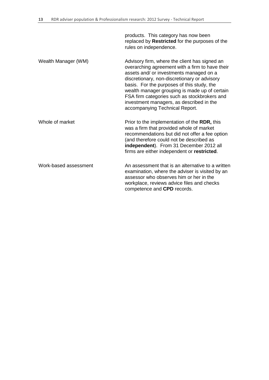products. This category has now been replaced by **Restricted** for the purposes of the rules on independence. Wealth Manager (WM) Advisory firm, where the client has signed an overarching agreement with a firm to have their assets and/ or investments managed on a discretionary, non-discretionary or advisory basis. For the purposes of this study, the wealth manager grouping is made up of certain FSA firm categories such as stockbrokers and investment managers, as described in the accompanying Technical Report. Whole of market **Prior** to the implementation of the **RDR**, this was a firm that provided whole of market recommendations but did not offer a fee option (and therefore could not be described as **independent**). From 31 December 2012 all firms are either independent or **restricted**. Work-based assessment An assessment that is an alternative to a written examination, where the adviser is visited by an assessor who observes him or her in the workplace, reviews advice files and checks competence and **CPD** records.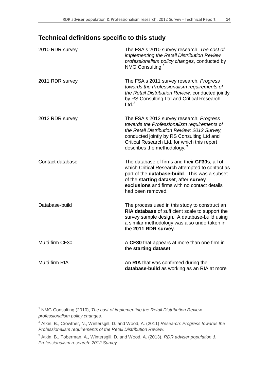# **Technical definitions specific to this study**

| 2010 RDR survey  | The FSA's 2010 survey research, The cost of<br>implementing the Retail Distribution Review<br>professionalism policy changes, conducted by<br>NMG Consulting. <sup>1</sup>                                                                                                       |
|------------------|----------------------------------------------------------------------------------------------------------------------------------------------------------------------------------------------------------------------------------------------------------------------------------|
| 2011 RDR survey  | The FSA's 2011 survey research, Progress<br>towards the Professionalism requirements of<br>the Retail Distribution Review, conducted jointly<br>by RS Consulting Ltd and Critical Research<br>Ltd. <sup>2</sup>                                                                  |
| 2012 RDR survey  | The FSA's 2012 survey research, Progress<br>towards the Professionalism requirements of<br>the Retail Distribution Review: 2012 Survey,<br>conducted jointly by RS Consulting Ltd and<br>Critical Research Ltd, for which this report<br>describes the methodology. <sup>3</sup> |
| Contact database | The database of firms and their CF30s, all of<br>which Critical Research attempted to contact as<br>part of the <b>database-build</b> . This was a subset<br>of the starting dataset, after survey<br>exclusions and firms with no contact details<br>had been removed.          |
| Database-build   | The process used in this study to construct an<br>RIA database of sufficient scale to support the<br>survey sample design. A database-build using<br>a similar methodology was also undertaken in<br>the 2011 RDR survey.                                                        |
| Multi-firm CF30  | A CF30 that appears at more than one firm in<br>the starting dataset.                                                                                                                                                                                                            |
| Multi-firm RIA   | An RIA that was confirmed during the<br>database-build as working as an RIA at more                                                                                                                                                                                              |

-

<span id="page-14-0"></span><sup>1</sup> NMG Consulting (2010), *The cost of implementing the Retail Distribution Review professionalism policy changes.*

<span id="page-14-1"></span><sup>2</sup> Atkin, B., Crowther, N., Wintersgill, D. and Wood, A. (2011) *Research: Progress towards the Professionalism requirements of the Retail Distribution Review*.

<span id="page-14-2"></span><sup>3</sup> Atkin, B., Toberman, A., Wintersgill, D. and Wood, A. (2013), *RDR adviser population & Professionalism research: 2012 Survey.*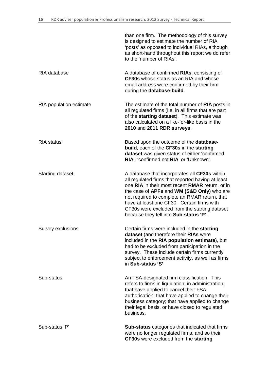|                         | than one firm. The methodology of this survey<br>is designed to estimate the number of RIA<br>'posts' as opposed to individual RIAs, although<br>as short-hand throughout this report we do refer<br>to the 'number of RIAs'.                                                                                                                                                                 |
|-------------------------|-----------------------------------------------------------------------------------------------------------------------------------------------------------------------------------------------------------------------------------------------------------------------------------------------------------------------------------------------------------------------------------------------|
| RIA database            | A database of confirmed RIAs, consisting of<br>CF30s whose status as an RIA and whose<br>email address were confirmed by their firm<br>during the database-build.                                                                                                                                                                                                                             |
| RIA population estimate | The estimate of the total number of RIA posts in<br>all regulated firms (i.e. in all firms that are part<br>of the starting dataset). This estimate was<br>also calculated on a like-for-like basis in the<br>2010 and 2011 RDR surveys.                                                                                                                                                      |
| <b>RIA</b> status       | Based upon the outcome of the database-<br>build, each of the CF30s in the starting<br>dataset was given status of either 'confirmed<br>RIA', 'confirmed not RIA' or 'Unknown'.                                                                                                                                                                                                               |
| <b>Starting dataset</b> | A database that incorporates all CF30s within<br>all regulated firms that reported having at least<br>one RIA in their most recent RMAR return, or in<br>the case of APFs and WM (S&D Only) who are<br>not required to complete an RMAR return, that<br>have at least one CF30. Certain firms with<br>CF30s were excluded from the starting dataset<br>because they fell into Sub-status 'P'. |
| Survey exclusions       | Certain firms were included in the starting<br>dataset (and therefore their RIAs were<br>included in the RIA population estimate), but<br>had to be excluded from participation in the<br>survey. These include certain firms currently<br>subject to enforcement activity, as well as firms<br>in Sub-status 'S'.                                                                            |
| Sub-status              | An FSA-designated firm classification. This<br>refers to firms in liquidation; in administration;<br>that have applied to cancel their FSA<br>authorisation; that have applied to change their<br>business category; that have applied to change<br>their legal basis, or have closed to regulated<br>business.                                                                               |
| Sub-status 'P'          | <b>Sub-status</b> categories that indicated that firms<br>were no longer regulated firms, and so their<br>CF30s were excluded from the starting                                                                                                                                                                                                                                               |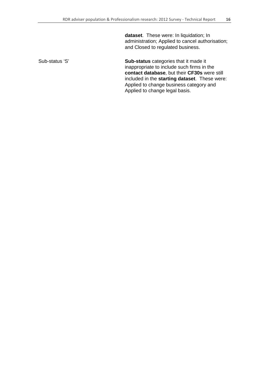**dataset**. These were: In liquidation; In administration; Applied to cancel authorisation; and Closed to regulated business.

Sub-status 'S' **Sub-status** categories that it made it inappropriate to include such firms in the **contact database**, but their **CF30s** were still included in the **starting dataset**. These were: Applied to change business category and Applied to change legal basis.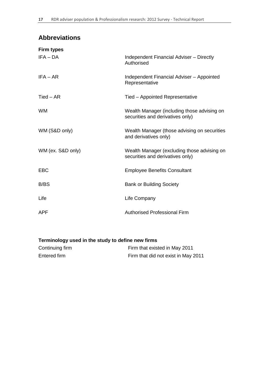# **Abbreviations**

| <b>Firm types</b> |                                                                                 |
|-------------------|---------------------------------------------------------------------------------|
| $IFA - DA$        | Independent Financial Adviser - Directly<br>Authorised                          |
| $IFA - AR$        | Independent Financial Adviser - Appointed<br>Representative                     |
| $Tied - AR$       | Tied - Appointed Representative                                                 |
| <b>WM</b>         | Wealth Manager (including those advising on<br>securities and derivatives only) |
| WM (S&D only)     | Wealth Manager (those advising on securities<br>and derivatives only)           |
| WM (ex. S&D only) | Wealth Manager (excluding those advising on<br>securities and derivatives only) |
| <b>EBC</b>        | <b>Employee Benefits Consultant</b>                                             |
| B/BS              | <b>Bank or Building Society</b>                                                 |
| Life              | Life Company                                                                    |
| <b>APF</b>        | <b>Authorised Professional Firm</b>                                             |

## **Terminology used in the study to define new firms**

| Continuing firm | Firm that existed in May 2011       |
|-----------------|-------------------------------------|
| Entered firm    | Firm that did not exist in May 2011 |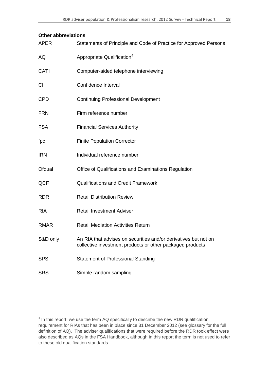#### **Other abbreviations**

-

| <b>APER</b> | Statements of Principle and Code of Practice for Approved Persons                                                            |
|-------------|------------------------------------------------------------------------------------------------------------------------------|
| AQ          | Appropriate Qualification <sup>4</sup>                                                                                       |
| CATI        | Computer-aided telephone interviewing                                                                                        |
| CI          | Confidence Interval                                                                                                          |
| <b>CPD</b>  | <b>Continuing Professional Development</b>                                                                                   |
| <b>FRN</b>  | Firm reference number                                                                                                        |
| <b>FSA</b>  | <b>Financial Services Authority</b>                                                                                          |
| fpc         | <b>Finite Population Corrector</b>                                                                                           |
| <b>IRN</b>  | Individual reference number                                                                                                  |
| Ofqual      | Office of Qualifications and Examinations Regulation                                                                         |
| QCF         | <b>Qualifications and Credit Framework</b>                                                                                   |
| <b>RDR</b>  | <b>Retail Distribution Review</b>                                                                                            |
| <b>RIA</b>  | <b>Retail Investment Adviser</b>                                                                                             |
| <b>RMAR</b> | <b>Retail Mediation Activities Return</b>                                                                                    |
| S&D only    | An RIA that advises on securities and/or derivatives but not on<br>collective investment products or other packaged products |
| <b>SPS</b>  | <b>Statement of Professional Standing</b>                                                                                    |
| <b>SRS</b>  | Simple random sampling                                                                                                       |

<span id="page-18-0"></span><sup>&</sup>lt;sup>4</sup> In this report, we use the term AQ specifically to describe the new RDR qualification requirement for RIAs that has been in place since 31 December 2012 (see glossary for the full definition of AQ). The adviser qualifications that were required before the RDR took effect were also described as AQs in the FSA Handbook, although in this report the term is not used to refer to these old qualification standards.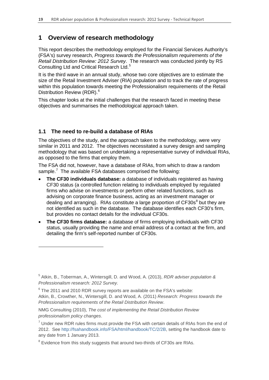## **1 Overview of research methodology**

This report describes the methodology employed for the Financial Services Authority's (FSA's) survey research, *Progress towards the Professionalism requirements of the Retail Distribution Review: 2012 Survey*. The research was conducted jointly by RS Consulting Ltd and Critical Research Ltd.<sup>[5](#page-19-0)</sup>

It is the third wave in an annual study, whose two core objectives are to estimate the size of the Retail Investment Adviser (RIA) population and to track the rate of progress within this population towards meeting the Professionalism requirements of the Retail Distribution Review (RDR). [6](#page-19-1)

This chapter looks at the initial challenges that the research faced in meeting these objectives and summarises the methodological approach taken.

#### **1.1 The need to re-build a database of RIAs**

The objectives of the study, and the approach taken to the methodology, were very similar in 2011 and 2012. The objectives necessitated a survey design and sampling methodology that was based on undertaking a representative survey of individual RIAs, as opposed to the firms that employ them.

The FSA did not, however, have a database of RIAs, from which to draw a random sample.<sup>[7](#page-19-2)</sup> The available FSA databases comprised the following:

- **The CF30 individuals database:** a database of individuals registered as having CF30 status (a controlled function relating to individuals employed by regulated firms who advise on investments or perform other related functions, such as advising on corporate finance business, acting as an investment manager or dealing and arranging). RIAs constitute a large proportion of  $CFS0s<sup>8</sup>$  $CFS0s<sup>8</sup>$  $CFS0s<sup>8</sup>$  but they are not identified as such in the database. The database identifies each CF30's firm, but provides no contact details for the individual CF30s.
- **The CF30 firms database:** a database of firms employing individuals with CF30 status, usually providing the name and email address of a contact at the firm, and detailing the firm's self-reported number of CF30s.

<u>.</u>

<span id="page-19-0"></span><sup>5</sup> Atkin, B., Toberman, A., Wintersgill, D. and Wood, A. (2013), *RDR adviser population & Professionalism research: 2012 Survey.*

<span id="page-19-1"></span> $6$  The 2011 and 2010 RDR survey reports are available on the FSA's website: Atkin, B., Crowther, N., Wintersgill, D. and Wood, A. (2011) *Research: Progress towards the* 

*Professionalism requirements of the Retail Distribution Review*. NMG Consulting (2010), *The cost of implementing the Retail Distribution Review*

*professionalism policy changes*.

<span id="page-19-2"></span> $7$  Under new RDR rules firms must provide the FSA with certain details of RIAs from the end of 2012. See [http://fsahandbook.info/FSA/html/handbook/TC/2/2B,](http://fsahandbook.info/FSA/html/handbook/TC/2/2B) setting the handbook date to any date from 1 January 2013.

<span id="page-19-3"></span><sup>&</sup>lt;sup>8</sup> Evidence from this study suggests that around two-thirds of CF30s are RIAs.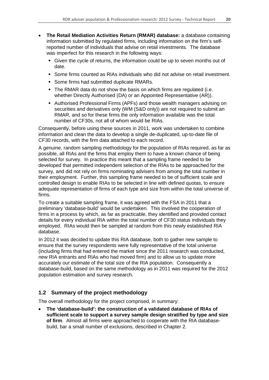- **The Retail Mediation Activities Return (RMAR) database:** a database containing information submitted by regulated firms, including information on the firm's selfreported number of individuals that advise on retail investments. The database was imperfect for this research in the following ways:
	- Given the cycle of returns, the information could be up to seven months out of date.
	- Some firms counted as RIAs individuals who did not advise on retail investment.
	- Some firms had submitted duplicate RMARs.
	- The RMAR data do not show the basis on which firms are regulated (i.e. whether Directly Authorised (DA) or an Appointed Representative (AR)).
	- Authorised Professional Firms (APFs) and those wealth managers advising on securities and derivatives only (WM (S&D only)) are not required to submit an RMAR, and so for these firms the only information available was the total number of CF30s, not all of whom would be RIAs.

Consequently, before using these sources in 2011, work was undertaken to combine information and clean the data to develop a single de-duplicated, up-to-date file of CF30 records, with the firm data attached to each record.

A genuine, random sampling methodology for the population of RIAs required, as far as possible, all RIAs and the firms that employ them to have a known chance of being selected for survey. In practice this meant that a sampling frame needed to be developed that permitted independent selection of the RIAs to be approached for the survey, and did not rely on firms nominating advisers from among the total number in their employment. Further, this sampling frame needed to be of sufficient scale and controlled design to enable RIAs to be selected in line with defined quotas, to ensure adequate representation of firms of each type and size from within the total universe of firms.

To create a suitable sampling frame, it was agreed with the FSA in 2011 that a preliminary 'database-build' would be undertaken. This involved the cooperation of firms in a process by which, as far as practicable, they identified and provided contact details for every individual RIA within the total number of CF30 status individuals they employed. RIAs would then be sampled at random from this newly established RIA database.

In 2012 it was decided to update this RIA database, both to gather new sample to ensure that the survey respondents were fully representative of the total universe (including firms that had entered the market since the 2011 research was conducted, new RIA entrants and RIAs who had moved firm) and to allow us to update more accurately our estimate of the total size of the RIA population. Consequently a database-build, based on the same methodology as in 2011 was required for the 2012 population estimation and survey research.

#### **1.2 Summary of the project methodology**

The overall methodology for the project comprised, in summary:

• **The 'database-build': the construction of a validated database of RIAs of sufficient scale to support a survey sample design stratified by type and size of firm**. Almost all firms were approached to cooperate with the RIA databasebuild, bar a small number of exclusions, described in Chapter 2.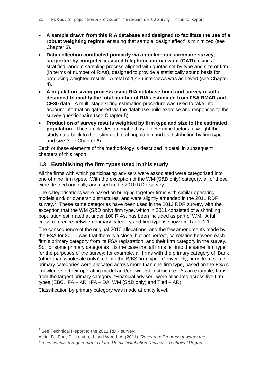- **A sample drawn from this RIA database and designed to facilitate the use of a robust weighting regime**, ensuring that sample 'design effect' is minimized (see Chapter 3).
- **Data collection conducted primarily via an online questionnaire survey, supported by computer-assisted telephone interviewing (CATI),** using a stratified random sampling process aligned with quotas set by type and size of firm (in terms of number of RIAs), designed to provide a statistically sound basis for producing weighted results. A total of 1,436 interviews was achieved (see Chapter 4).
- **A population sizing process using RIA database-build and survey results, designed to modify the total number of RIAs estimated from FSA RMAR and CF30 data**. A multi-stage sizing estimation procedure was used to take into account information gathered via the database-build exercise and responses to the survey questionnaire (see Chapter 5).
- **Production of survey results weighted by firm type and size to the estimated population**. The sample design enabled us to determine factors to weight the study data back to the estimated total population and its distribution by firm type and size (see Chapter 6).

Each of these elements of the methodology is described in detail in subsequent chapters of this report.

### **1.3 Establishing the firm types used in this study**

All the firms with which participating advisers were associated were categorised into one of nine firm types. With the exception of the WM (S&D only) category, all of these were defined originally and used in the 2010 RDR survey.

The categorisations were based on bringing together firms with similar operating models and/ or ownership structures, and were slightly amended in the 2011 RDR survey.<sup>[9](#page-21-0)</sup> These same categories have been used in the 2012 RDR survey, with the exception that the WM (S&D only) firm type, which in 2011 consisted of a shrinking population estimated at under 100 RIAs, has been included as part of WM. A full cross-reference between primary category and firm type is shown in Table 1.1.

The consequence of the original 2010 allocations, and the few amendments made by the FSA for 2011, was that there is a close, but not perfect, correlation between each firm's primary category from its FSA registration, and their firm category in the survey. So, for some primary categories it is the case that all firms fell into the same firm type for the purposes of the survey; for example, all firms with the primary category of 'Bank (other than wholesale only)' fell into the B/BS firm type. Conversely, firms from some primary categories were allocated across more than one firm type, based on the FSA's knowledge of their operating model and/or ownership structure. As an example, firms from the largest primary category, 'Financial adviser', were allocated across five firm types (EBC, IFA – AR, IFA – DA, WM (S&D only) and Tied – AR).

Classification by primary category was made at entity level.

<span id="page-21-0"></span> $9$  See Technical Report to the 2011 RDR survey:

<u>.</u>

Atkin, B., Farr, D., Leston, J. and Wood, A. (2011), *Research: Progress towards the Professionalism requirements of the Retail Distribution Review – Technical Report.*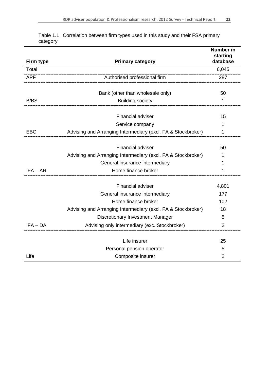| Firm type  | <b>Primary category</b>                                      | <b>Number in</b><br>starting<br>database |
|------------|--------------------------------------------------------------|------------------------------------------|
| Total      |                                                              | 6,045                                    |
| <b>APF</b> | Authorised professional firm                                 | 287                                      |
|            | Bank (other than wholesale only)                             | 50                                       |
| B/BS       | <b>Building society</b>                                      | 1                                        |
|            | Financial adviser                                            | 15                                       |
|            | Service company                                              | 1                                        |
| <b>EBC</b> | Advising and Arranging Intermediary (excl. FA & Stockbroker) | 1                                        |
|            |                                                              |                                          |
|            | <b>Financial adviser</b>                                     | 50                                       |
|            | Advising and Arranging Intermediary (excl. FA & Stockbroker) | 1                                        |
|            | General insurance intermediary                               | 1                                        |
| $IFA - AR$ | Home finance broker                                          | 1                                        |
|            | <b>Financial adviser</b>                                     | 4,801                                    |
|            | General insurance intermediary                               | 177                                      |
|            | Home finance broker                                          | 102                                      |
|            | Advising and Arranging Intermediary (excl. FA & Stockbroker) | 18                                       |
|            | Discretionary Investment Manager                             | 5                                        |
| $IFA - DA$ | Advising only intermediary (exc. Stockbroker)                | $\overline{2}$                           |
|            | Life insurer                                                 |                                          |
|            |                                                              | 25                                       |
|            | Personal pension operator                                    | 5                                        |
| Life       | Composite insurer                                            | $\overline{2}$                           |

|          | Table 1.1 Correlation between firm types used in this study and their FSA primary |  |  |
|----------|-----------------------------------------------------------------------------------|--|--|
| category |                                                                                   |  |  |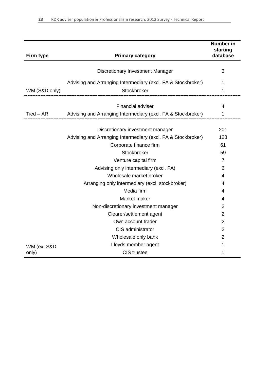| Firm type     | <b>Primary category</b>                                      | <b>Number</b> in<br>starting<br>database |
|---------------|--------------------------------------------------------------|------------------------------------------|
|               |                                                              |                                          |
|               | Discretionary Investment Manager                             | 3                                        |
|               | Advising and Arranging Intermediary (excl. FA & Stockbroker) | 1                                        |
| WM (S&D only) | Stockbroker<br>_____________________________                 | 1                                        |
|               |                                                              |                                          |
|               | <b>Financial adviser</b>                                     | 4                                        |
| $Tied - AR$   | Advising and Arranging Intermediary (excl. FA & Stockbroker) | 1                                        |
|               |                                                              |                                          |
|               | Discretionary investment manager                             | 201                                      |
|               | Advising and Arranging Intermediary (excl. FA & Stockbroker) | 128                                      |
|               | Corporate finance firm                                       | 61                                       |
|               | Stockbroker                                                  | 59                                       |
|               | Venture capital firm                                         | $\overline{7}$                           |
|               | Advising only intermediary (excl. FA)                        | 6                                        |
|               | Wholesale market broker                                      | 4                                        |
|               | Arranging only intermediary (excl. stockbroker)              | 4                                        |
|               | Media firm                                                   | 4                                        |
|               | Market maker                                                 | 4                                        |
|               | Non-discretionary investment manager                         | 2                                        |
|               | Clearer/settlement agent                                     | 2                                        |
|               | Own account trader                                           | 2                                        |
|               | CIS administrator                                            | 2                                        |
|               | Wholesale only bank                                          | 2                                        |
| WM (ex. S&D   | Lloyds member agent                                          | 1                                        |
| only)         | <b>CIS</b> trustee                                           | 1                                        |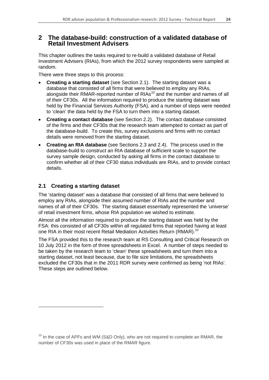## **2 The database-build: construction of a validated database of Retail Investment Advisers**

This chapter outlines the tasks required to re-build a validated database of Retail Investment Advisers (RIAs), from which the 2012 survey respondents were sampled at random.

There were three steps to this process:

- **Creating a starting dataset** (see Section 2.1). The starting dataset was a database that consisted of all firms that were believed to employ any RIAs, alongside their RMAR-reported number of RIAs<sup>[10](#page-24-0)</sup> and the number and names of all of their CF30s. All the information required to produce the starting dataset was held by the Financial Services Authority (FSA), and a number of steps were needed to 'clean' the data held by the FSA to turn them into a starting dataset.
- **Creating a contact database** (see Section 2.2). The contact database consisted of the firms and their CF30s that the research team attempted to contact as part of the database-build. To create this, survey exclusions and firms with no contact details were removed from the starting dataset.
- **Creating an RIA database** (see Sections 2.3 and 2.4). The process used in the database-build to construct an RIA database of sufficient scale to support the survey sample design, conducted by asking all firms in the contact database to confirm whether all of their CF30 status individuals are RIAs, and to provide contact details.

### **2.1 Creating a starting dataset**

-

The 'starting dataset' was a database that consisted of all firms that were believed to employ any RIAs, alongside their assumed number of RIAs and the number and names of all of their CF30s. The starting dataset essentially represented the 'universe' of retail investment firms, whose RIA population we wished to estimate.

Almost all the information required to produce the starting dataset was held by the FSA: this consisted of all CF30s within all regulated firms that reported having at least one RIA in their most recent Retail Mediation Activities Return (RMAR).<sup>10</sup>

The FSA provided this to the research team at RS Consulting and Critical Research on 10 July 2012 in the form of three spreadsheets in Excel. A number of steps needed to be taken by the research team to 'clean' these spreadsheets and turn them into a starting dataset, not least because, due to file size limitations, the spreadsheets excluded the CF30s that in the 2011 RDR survey were confirmed as being 'not RIAs'. These steps are outlined below.

<span id="page-24-0"></span> $10$  In the case of APFs and WM (S&D Only), who are not required to complete an RMAR, the number of CF30s was used in place of the RMAR figure.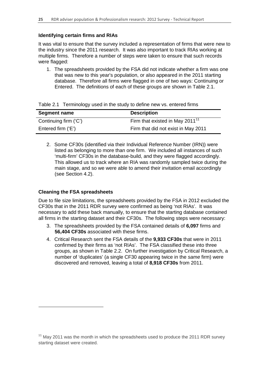#### **Identifying certain firms and RIAs**

It was vital to ensure that the survey included a representation of firms that were new to the industry since the 2011 research. It was also important to track RIAs working at multiple firms. Therefore a number of steps were taken to ensure that such records were flagged:

1. The spreadsheets provided by the FSA did not indicate whether a firm was one that was new to this year's population, or also appeared in the 2011 starting database. Therefore all firms were flagged in one of two ways: Continuing or Entered. The definitions of each of these groups are shown in Table 2.1.

|  |  |  |  |  | Table 2.1 Terminology used in the study to define new vs. entered firms |
|--|--|--|--|--|-------------------------------------------------------------------------|
|--|--|--|--|--|-------------------------------------------------------------------------|

| Segment name          | <b>Description</b>                          |
|-----------------------|---------------------------------------------|
| Continuing firm ('C') | Firm that existed in May 2011 <sup>11</sup> |
| Entered firm ('E')    | Firm that did not exist in May 2011         |

2. Some CF30s (identified via their Individual Reference Number (IRN)) were listed as belonging to more than one firm. We included all instances of such 'multi-firm' CF30s in the database-build, and they were flagged accordingly. This allowed us to track where an RIA was randomly sampled twice during the main stage, and so we were able to amend their invitation email accordingly (see Section 4.2).

#### **Cleaning the FSA spreadsheets**

-

Due to file size limitations, the spreadsheets provided by the FSA in 2012 excluded the CF30s that in the 2011 RDR survey were confirmed as being 'not RIAs'. It was necessary to add these back manually, to ensure that the starting database contained all firms in the starting dataset and their CF30s. The following steps were necessary:

- 3. The spreadsheets provided by the FSA contained details of **6,097** firms and **56,404 CF30s** associated with these firms.
- 4. Critical Research sent the FSA details of the **9,933 CF30s** that were in 2011 confirmed by their firms as 'not RIAs'. The FSA classified these into three groups, as shown in Table 2.2. On further investigation by Critical Research, a number of 'duplicates' (a single CF30 appearing twice in the *same* firm) were discovered and removed, leaving a total of **8,918 CF30s** from 2011.

<span id="page-25-0"></span> $11$  Mav 2011 was the month in which the spreadsheets used to produce the 2011 RDR survey starting dataset were created.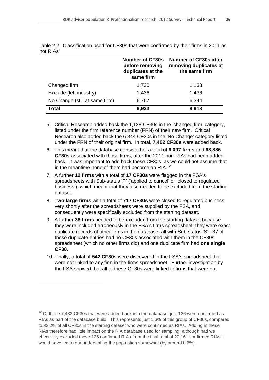|                                | <b>Number of CF30s</b><br>before removing<br>duplicates at the<br>same firm | <b>Number of CF30s after</b><br>removing duplicates at<br>the same firm |
|--------------------------------|-----------------------------------------------------------------------------|-------------------------------------------------------------------------|
| Changed firm                   | 1,730                                                                       | 1,138                                                                   |
| Exclude (left industry)        | 1,436                                                                       | 1,436                                                                   |
| No Change (still at same firm) | 6,767                                                                       | 6,344                                                                   |
| Total                          | 9,933                                                                       | 8,918                                                                   |

Table 2.2 Classification used for CF30s that were confirmed by their firms in 2011 as 'not RIAs'

- 5. Critical Research added back the 1,138 CF30s in the 'changed firm' category, listed under the firm reference number (FRN) of their new firm. Critical Research also added back the 6,344 CF30s in the 'No Change' category listed under the FRN of their original firm. In total, **7,482 CF30s** were added back.
- 6. This meant that the database consisted of a total of **6,097 firms** and **63,886 CF30s** associated with those firms, after the 2011 non-RIAs had been added back. It was important to add back these CF30s, as we could not assume that in the meantime none of them had become an RIA.<sup>[12](#page-26-0)</sup>
- 7. A further **12 firms** with a total of **17 CF30s** were flagged in the FSA's spreadsheets with Sub-status 'P' ('applied to cancel' or 'closed to regulated business'), which meant that they also needed to be excluded from the starting dataset.
- 8. **Two large firms** with a total of **717 CF30s** were closed to regulated business very shortly after the spreadsheets were supplied by the FSA, and consequently were specifically excluded from the starting dataset.
- 9. A further **38 firms** needed to be excluded from the starting dataset because they were included erroneously in the FSA's firms spreadsheet: they were exact duplicate records of other firms in the database, all with Sub-status 'S'. 37 of these duplicate entries had no CF30s associated with them in the CF30s spreadsheet (which no other firms did) and one duplicate firm had **one single CF30.**
- 10. Finally, a total of **542 CF30s** were discovered in the FSA's spreadsheet that were not linked to any firm in the firms spreadsheet. Further investigation by the FSA showed that all of these CF30s were linked to firms that were not

<u>.</u>

<span id="page-26-0"></span> $12$  Of these 7,482 CF30s that were added back into the database, just 126 were confirmed as RIAs as part of the database build. This represents just 1.6% of this group of CF30s, compared to 32.2% of all CF30s in the starting dataset who were confirmed as RIAs. Adding in these RIAs therefore had little impact on the RIA database used for sampling, although had we effectively excluded these 126 confirmed RIAs from the final total of 20,161 confirmed RIAs it would have led to our understating the population somewhat (by around 0.6%).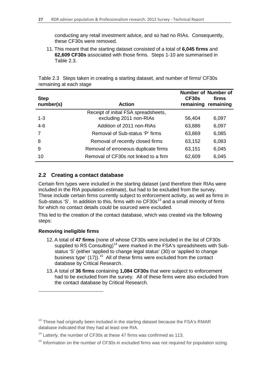conducting any retail investment advice, and so had no RIAs. Consequently, these CF30s were removed.

11. This meant that the starting dataset consisted of a total of **6,045 firms** and **62,609 CF30s** associated with those firms. Steps 1-10 are summarised in Table 2.3.

Table 2.3 Steps taken in creating a starting dataset, and number of firms/ CF30s remaining at each stage

| <b>Step</b><br>number(s) | <b>Action</b>                         | Number of Number of<br>CF30s<br>remaining | firms<br>remaining |
|--------------------------|---------------------------------------|-------------------------------------------|--------------------|
|                          | Receipt of initial FSA spreadsheets,  |                                           |                    |
| $1 - 3$                  | excluding 2011 non-RIAs               | 56,404                                    | 6,097              |
| $4-6$                    | Addition of 2011 non-RIAs             | 63,886                                    | 6,097              |
| 7                        | Removal of Sub-status 'P' firms       | 63,869                                    | 6,085              |
| 8                        | Removal of recently closed firms      | 63,152                                    | 6,083              |
| 9                        | Removal of erroneous duplicate firms  | 63,151                                    | 6,045              |
| 10                       | Removal of CF30s not linked to a firm | 62,609                                    | 6,045              |

#### **2.2 Creating a contact database**

Certain firm types were included in the starting dataset (and therefore their RIAs were included in the RIA population estimate), but had to be excluded from the survey. These include certain firms currently subject to enforcement activity, as well as firms in Sub-status 'S'. In addition to this, firms with no  $CF30s<sup>13</sup>$  $CF30s<sup>13</sup>$  $CF30s<sup>13</sup>$  and a small minority of firms for which no contact details could be sourced were excluded.

This led to the creation of the contact database, which was created via the following steps:

#### **Removing ineligible firms**

<u>.</u>

- 12. A total of **47 firms** (none of whose CF30s were included in the list of CF30s supplied to RS Consulting)<sup>[14](#page-27-1)</sup> were marked in the FSA's spreadsheets with Substatus 'S' (either 'applied to change legal status' (30) or 'applied to change business type' (17)).<sup>[15](#page-27-2)</sup> All of these firms were excluded from the contact database by Critical Research.
- 13. A total of **36 firms** containing **1,084 CF30s** that were subject to enforcement had to be excluded from the survey. All of these firms were also excluded from the contact database by Critical Research.

<span id="page-27-0"></span> $13$  These had originally been included in the starting dataset because the FSA's RMAR database indicated that they had at least one RIA.

<span id="page-27-1"></span> $14$  Latterly, the number of CF30s at these 47 firms was confirmed as 113.

<span id="page-27-2"></span> $15$  Information on the number of CF30s in excluded firms was not required for population sizing.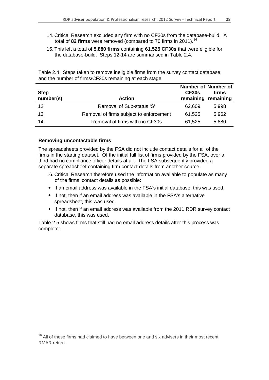- 14. Critical Research excluded any firm with no CF30s from the database-build. A total of **82 firms** were removed (compared to 70 firms in 2011). [16](#page-28-0)
- 15. This left a total of **5,880 firms** containing **61,525 CF30s** that were eligible for the database-build. Steps 12-14 are summarised in Table 2.4.

| <b>Step</b><br>number(s) | <b>Action</b>                           | CF30s  | <b>Number of Number of</b><br>firms<br>remaining remaining |
|--------------------------|-----------------------------------------|--------|------------------------------------------------------------|
| 12                       | Removal of Sub-status 'S'               | 62,609 | 5,998                                                      |
| 13                       | Removal of firms subject to enforcement | 61,525 | 5,962                                                      |
| 14                       | Removal of firms with no CF30s          | 61,525 | 5,880                                                      |

Table 2.4 Steps taken to remove ineligible firms from the survey contact database, and the number of firms/CF30s remaining at each stage

#### **Removing uncontactable firms**

-

The spreadsheets provided by the FSA did not include contact details for all of the firms in the starting dataset. Of the initial full list of firms provided by the FSA, over a third had no compliance officer details at all. The FSA subsequently provided a separate spreadsheet containing firm contact details from another source.

- 16. Critical Research therefore used the information available to populate as many of the firms' contact details as possible:
- If an email address was available in the FSA's initial database, this was used.
- If not, then if an email address was available in the FSA's alternative spreadsheet, this was used.
- If not, then if an email address was available from the 2011 RDR survey contact database, this was used.

Table 2.5 shows firms that still had no email address details after this process was complete:

<span id="page-28-0"></span> $16$  All of these firms had claimed to have between one and six advisers in their most recent RMAR return.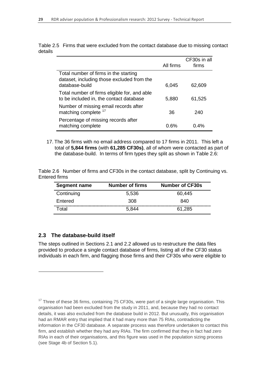|                                                                                                       |           | CF30s in all |
|-------------------------------------------------------------------------------------------------------|-----------|--------------|
|                                                                                                       | All firms | firms        |
| Total number of firms in the starting<br>dataset, including those excluded from the<br>database-build | 6,045     | 62,609       |
| Total number of firms eligible for, and able<br>to be included in, the contact database               | 5,880     | 61,525       |
| Number of missing email records after<br>matching complete <sup>17</sup>                              | 36        | 240          |
| Percentage of missing records after<br>matching complete                                              | 0.6%      | በ 4%         |

Table 2.5 Firms that were excluded from the contact database due to missing contact details

17. The 36 firms with no email address compared to 17 firms in 2011. This left a total of **5,844 firms** (with **61,285 CF30s)**, all of whom were contacted as part of the database-build. In terms of firm types they split as shown in Table 2.6:

|               |  |  |  |  | Table 2.6 Number of firms and CF30s in the contact database, split by Continuing vs. |  |
|---------------|--|--|--|--|--------------------------------------------------------------------------------------|--|
| Entered firms |  |  |  |  |                                                                                      |  |

| <b>Segment name</b> | <b>Number of firms</b> | <b>Number of CF30s</b> |
|---------------------|------------------------|------------------------|
| Continuing          | 5,536                  | 60,445                 |
| Entered             | 308                    | 840                    |
| Total               | 5,844                  | 61,285                 |

#### **2.3 The database-build itself**

-

The steps outlined in Sections 2.1 and 2.2 allowed us to restructure the data files provided to produce a single contact database of firms, listing all of the CF30 status individuals in each firm, and flagging those firms and their CF30s who were eligible to

<span id="page-29-0"></span> $17$  Three of these 36 firms, containing 75 CF30s, were part of a single large organisation. This organisation had been excluded from the study in 2011, and, because they had no contact details, it was also excluded from the database build in 2012. But unusually, this organisation had an RMAR entry that implied that it had many more than 75 RIAs, contradicting the information in the CF30 database. A separate process was therefore undertaken to contact this firm, and establish whether they had any RIAs. The firm confirmed that they in fact had zero RIAs in each of their organisations, and this figure was used in the population sizing process (see Stage 4b of Section 5.1).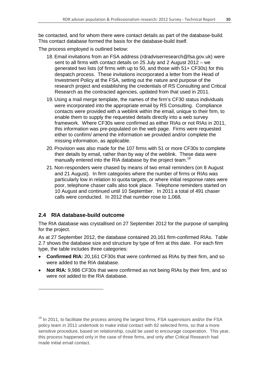be contacted, and for whom there were contact details as part of the database-build. This contact database formed the basis for the database-build itself.

The process employed is outlined below:

- 18. Email invitations from an FSA address [\(rdradviserresearch@fsa.gov.uk\)](mailto:rdrsurvey@fsa.gov.uk) were sent to all firms with contact details on 25 July and 2 August 2012 – we generated two lists (of firms with up to 50, and those with 51+ CF30s) for this despatch process. These invitations incorporated a letter from the Head of Investment Policy at the FSA, setting out the nature and purpose of the research project and establishing the credentials of RS Consulting and Critical Research as the contracted agencies, updated from that used in 2011.
- 19. Using a mail merge template, the names of the firm's CF30 status individuals were incorporated into the appropriate email by RS Consulting. Compliance contacts were provided with a weblink within the email, unique to their firm, to enable them to supply the requested details directly into a web survey framework. Where CF30s were confirmed as either RIAs or not RIAs in 2011, this information was pre-populated on the web page. Firms were requested either to confirm/ amend the information we provided and/or complete the missing information, as applicable.
- 20. Provision was also made for the 107 firms with 51 or more CF30s to complete their details by email, rather than by way of the weblink. These data were manually entered into the RIA database by the project team.<sup>[18](#page-30-0)</sup>
- 21. Non-responders were chased by means of two email reminders (on 8 August and 21 August). In firm categories where the number of firms or RIAs was particularly low in relation to quota targets, or where initial response rates were poor, telephone chaser calls also took place. Telephone reminders started on 10 August and continued until 10 September. In 2011 a total of 491 chaser calls were conducted. In 2012 that number rose to 1,068.

#### **2.4 RIA database-build outcome**

-

The RIA database was crystallised on 27 September 2012 for the purpose of sampling for the project.

As at 27 September 2012, the database contained 20,161 firm-confirmed RIAs. Table 2.7 shows the database size and structure by type of firm at this date. For each firm type, the table includes three categories:

- **Confirmed RIA:** 20,161 CF30s that were confirmed as RIAs by their firm, and so were added to the RIA database.
- **Not RIA:** 9,986 CF30s that were confirmed as not being RIAs by their firm, and so were not added to the RIA database.

<span id="page-30-0"></span> $18$  In 2011, to facilitate the process among the largest firms, FSA supervisors and/or the FSA policy team in 2011 undertook to make initial contact with 82 selected firms, so that a more sensitive procedure, based on relationship, could be used to encourage cooperation. This year, this process happened only in the case of three firms, and only after Critical Research had made initial email contact.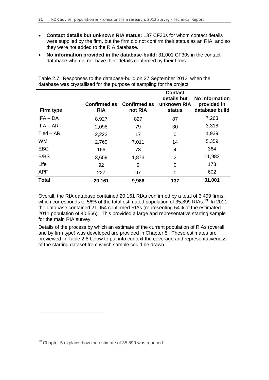- **Contact details but unknown RIA status:** 137 CF30s for whom contact details were supplied by the firm, but the firm did not confirm their status as an RIA, and so they were not added to the RIA database.
- **No information provided in the database**-**build:** 31,001 CF30s in the contact database who did not have their details confirmed by their firms.

| Firm type    | Confirmed as<br><b>RIA</b> | <b>Confirmed as</b><br>not RIA | <b>Contact</b><br>details but<br>unknown RIA<br>status | No information<br>provided in<br>database build |
|--------------|----------------------------|--------------------------------|--------------------------------------------------------|-------------------------------------------------|
| $IFA - DA$   | 8,927                      | 827                            | 87                                                     | 7,263                                           |
| $IFA - AR$   | 2,098                      | 79                             | 30                                                     | 3,318                                           |
| $Tied - AR$  | 2,223                      | 17                             | 0                                                      | 1,939                                           |
| <b>WM</b>    | 2,769                      | 7,011                          | 14                                                     | 5,359                                           |
| <b>EBC</b>   | 166                        | 73                             | 4                                                      | 364                                             |
| B/BS         | 3,659                      | 1,873                          | 2                                                      | 11,983                                          |
| Life         | 92                         | 9                              | $\Omega$                                               | 173                                             |
| <b>APF</b>   | 227                        | 97                             | 0                                                      | 602                                             |
| <b>Total</b> | 20,161                     | 9,986                          | 137                                                    | 31,001                                          |

Table 2.7 Responses to the database-build on 27 September 2012, when the database was crystallised for the purpose of sampling for the project

Overall, the RIA database contained 20,161 RIAs confirmed by a total of 3,499 firms, which corresponds to 56% of the total estimated population of 35,899 RIAs.<sup>[19](#page-31-0)</sup> In 2011 the database contained 21,954 confirmed RIAs (representing 54% of the estimated 2011 population of 40,566). This provided a large and representative starting sample for the main RIA survey.

Details of the process by which an estimate of the current population of RIAs (overall and by firm type) was developed are provided in Chapter 5. These estimates are previewed in Table 2.8 below to put into context the coverage and representativeness of the starting dataset from which sample could be drawn.

-

<span id="page-31-0"></span> $19$  Chapter 5 explains how the estimate of 35,899 was reached.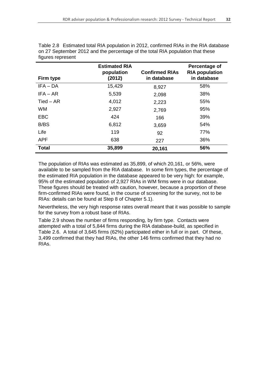| Firm type   | <b>Estimated RIA</b><br>population<br>(2012) | <b>Confirmed RIAs</b><br>in database | Percentage of<br><b>RIA population</b><br>in database |
|-------------|----------------------------------------------|--------------------------------------|-------------------------------------------------------|
| $IFA - DA$  | 15,429                                       | 8,927                                | 58%                                                   |
| $IFA - AR$  | 5,539                                        | 2,098                                | 38%                                                   |
| $Tied - AR$ | 4,012                                        | 2,223                                | 55%                                                   |
| <b>WM</b>   | 2,927                                        | 2,769                                | 95%                                                   |
| <b>EBC</b>  | 424                                          | 166                                  | 39%                                                   |
| B/BS        | 6,812                                        | 3,659                                | 54%                                                   |
| Life        | 119                                          | 92                                   | 77%                                                   |
| <b>APF</b>  | 638                                          | 227                                  | 36%                                                   |
| Total       | 35,899                                       | 20,161                               | 56%                                                   |

Table 2.8 Estimated total RIA population in 2012, confirmed RIAs in the RIA database on 27 September 2012 and the percentage of the total RIA population that these figures represent

The population of RIAs was estimated as 35,899, of which 20,161, or 56%, were available to be sampled from the RIA database. In some firm types, the percentage of the estimated RIA population in the database appeared to be very high: for example, 95% of the estimated population of 2,927 RIAs in WM firms were in our database. These figures should be treated with caution, however, because a proportion of these firm-confirmed RIAs were found, in the course of screening for the survey, not to be RIAs: details can be found at Step 8 of Chapter 5.1).

Nevertheless, the very high response rates overall meant that it was possible to sample for the survey from a robust base of RIAs.

Table 2.9 shows the number of firms responding, by firm type. Contacts were attempted with a total of 5,844 firms during the RIA database-build, as specified in Table 2.6. A total of 3,645 firms (62%) participated either in full or in part. Of these, 3,499 confirmed that they had RIAs, the other 146 firms confirmed that they had no RIAs.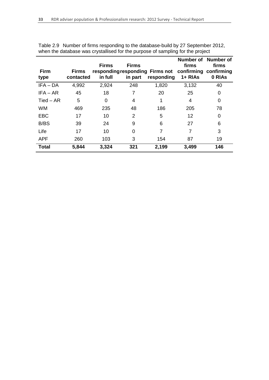| <b>Firm</b><br>type | <b>Firms</b><br>contacted | <b>Firms</b><br>in full | <b>Firms</b><br>in part | responding responding Firms not confirming confirming<br>responding | firms<br>1+ RIAs | Number of Number of<br>firms<br>0 RIAs |
|---------------------|---------------------------|-------------------------|-------------------------|---------------------------------------------------------------------|------------------|----------------------------------------|
| $IFA - DA$          | 4,992                     | 2,924                   | 248                     | 1,820                                                               | 3,132            | 40                                     |
| IFA – AR            | 45                        | 18                      |                         | 20                                                                  | 25               | 0                                      |
| $Tied - AR$         | 5                         | 0                       | 4                       |                                                                     | 4                | 0                                      |
| <b>WM</b>           | 469                       | 235                     | 48                      | 186                                                                 | 205              | 78                                     |
| <b>EBC</b>          | 17                        | 10                      | 2                       | 5                                                                   | 12               | 0                                      |
| B/BS                | 39                        | 24                      | 9                       | 6                                                                   | 27               | 6                                      |
| Life                | 17                        | 10                      | 0                       | 7                                                                   | 7                | 3                                      |
| <b>APF</b>          | 260                       | 103                     | 3                       | 154                                                                 | 87               | 19                                     |
| <b>Total</b>        | 5,844                     | 3,324                   | 321                     | 2,199                                                               | 3,499            | 146                                    |

| Table 2.9 Number of firms responding to the database-build by 27 September 2012, |  |
|----------------------------------------------------------------------------------|--|
| when the database was crystallised for the purpose of sampling for the project   |  |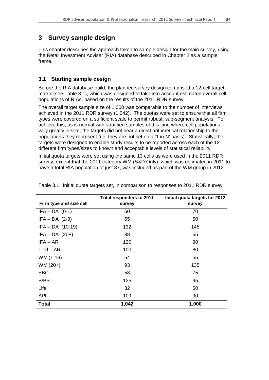## **3 Survey sample design**

This chapter describes the approach taken to sample design for the main survey, using the Retail Investment Adviser (RIA) database described in Chapter 2 as a sample frame.

## **3.1 Starting sample design**

Before the RIA database-build, the planned survey design comprised a 12-cell target matrix (see Table 3.1), which was designed to take into account estimated overall cell populations of RIAs, based on the results of the 2011 RDR survey.

The overall target sample size of 1,000 was comparable to the number of interviews achieved in the 2011 RDR survey (1,042). The quotas were set to ensure that all firm types were covered on a sufficient scale to permit robust, sub-segment analysis. To achieve this, as is normal with stratified samples of this kind where cell populations vary greatly in size, the targets did not bear a direct arithmetical relationship to the populations they represent (i.e. they are not set on a '1 in N' basis). Statistically, the targets were designed to enable study results to be reported across each of the 12 different firm types/sizes to known and acceptable levels of statistical reliability.

Initial quota targets were set using the same 13 cells as were used in the 2011 RDR survey, except that the 2011 category WM (S&D Only), which was estimated in 2011 to have a total RIA population of just 87, was included as part of the WM group in 2012.

|                         | <b>Total responders to 2011</b> | Initial quota targets for 2012 |
|-------------------------|---------------------------------|--------------------------------|
| Firm type and size cell | survey                          | survey                         |
| $IFA - DA$ (0-1)        | 60                              | 70                             |
| $IFA - DA$ (2-9)        | 65                              | 50                             |
| $IFA - DA$ (10-19)      | 132                             | 145                            |
| $IFA - DA$ (20+)        | 88                              | 65                             |
| $IFA - AR$              | 120                             | 90                             |
| $Tied - AR$             | 100                             | 80                             |
| WM (1-19)               | 54                              | 55                             |
| $WM (20+)$              | 93                              | 135                            |
| <b>EBC</b>              | 58                              | 75                             |
| B/BS                    | 125                             | 95                             |
| Life                    | 32                              | 50                             |
| <b>APF</b>              | 109                             | 90                             |
| <b>Total</b>            | 1,042                           | 1,000                          |

Table 3.1 Initial quota targets set, in comparison to responses to 2011 RDR survey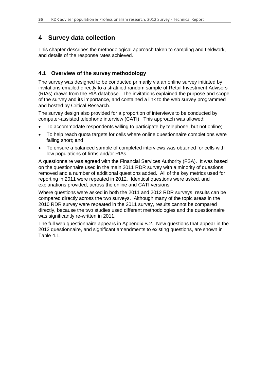## **4 Survey data collection**

This chapter describes the methodological approach taken to sampling and fieldwork, and details of the response rates achieved.

### **4.1 Overview of the survey methodology**

The survey was designed to be conducted primarily via an online survey initiated by invitations emailed directly to a stratified random sample of Retail Investment Advisers (RIAs) drawn from the RIA database. The invitations explained the purpose and scope of the survey and its importance, and contained a link to the web survey programmed and hosted by Critical Research.

The survey design also provided for a proportion of interviews to be conducted by computer-assisted telephone interview (CATI). This approach was allowed:

- To accommodate respondents willing to participate by telephone, but not online;
- To help reach quota targets for cells where online questionnaire completions were falling short; and
- To ensure a balanced sample of completed interviews was obtained for cells with low populations of firms and/or RIAs.

A questionnaire was agreed with the Financial Services Authority (FSA). It was based on the questionnaire used in the main 2011 RDR survey with a minority of questions removed and a number of additional questions added. All of the key metrics used for reporting in 2011 were repeated in 2012. Identical questions were asked, and explanations provided, across the online and CATI versions.

Where questions were asked in both the 2011 and 2012 RDR surveys, results can be compared directly across the two surveys. Although many of the topic areas in the 2010 RDR survey were repeated in the 2011 survey, results cannot be compared directly, because the two studies used different methodologies and the questionnaire was significantly re-written in 2011.

The full web questionnaire appears in Appendix B.2. New questions that appear in the 2012 questionnaire, and significant amendments to existing questions, are shown in Table 4.1.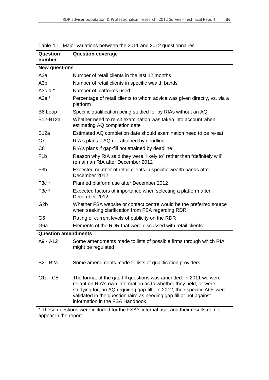| <b>Question</b><br>number         | <b>Question coverage</b>                                                                                                                                                                                                                                                                                                    |  |  |
|-----------------------------------|-----------------------------------------------------------------------------------------------------------------------------------------------------------------------------------------------------------------------------------------------------------------------------------------------------------------------------|--|--|
| <b>New questions</b>              |                                                                                                                                                                                                                                                                                                                             |  |  |
| АЗа                               | Number of retail clients in the last 12 months                                                                                                                                                                                                                                                                              |  |  |
| A <sub>3</sub> b                  | Number of retail clients in specific wealth bands                                                                                                                                                                                                                                                                           |  |  |
| A3c-d $*$                         | Number of platforms used                                                                                                                                                                                                                                                                                                    |  |  |
| A3e *                             | Percentage of retail clients to whom advice was given directly, vs. via a<br>platform                                                                                                                                                                                                                                       |  |  |
| B6 Loop                           | Specific qualification being studied for by RIAs without an AQ                                                                                                                                                                                                                                                              |  |  |
| B12-B12a                          | Whether need to re-sit examination was taken into account when<br>estimating AQ completion date                                                                                                                                                                                                                             |  |  |
| <b>B</b> 12a                      | Estimated AQ completion date should examination need to be re-sat                                                                                                                                                                                                                                                           |  |  |
| C7                                | RIA's plans if AQ not attained by deadline                                                                                                                                                                                                                                                                                  |  |  |
| C <sub>8</sub>                    | RIA's plans if gap-fill not attained by deadline                                                                                                                                                                                                                                                                            |  |  |
| F <sub>1</sub> b                  | Reason why RIA said they were "likely to" rather than "definitely will"<br>remain an RIA after December 2012                                                                                                                                                                                                                |  |  |
| F <sub>3</sub> b                  | Expected number of retail clients in specific wealth bands after<br>December 2012                                                                                                                                                                                                                                           |  |  |
| $F3c*$                            | Planned platform use after December 2012                                                                                                                                                                                                                                                                                    |  |  |
| F3e *                             | Expected factors of importance when selecting a platform after<br>December 2012                                                                                                                                                                                                                                             |  |  |
| G <sub>2</sub> b                  | Whether FSA website or contact centre would be the preferred source<br>when seeking clarification from FSA regarding RDR                                                                                                                                                                                                    |  |  |
| G5                                | Rating of current levels of publicity on the RDR                                                                                                                                                                                                                                                                            |  |  |
| G <sub>6</sub> a                  | Elements of the RDR that were discussed with retail clients                                                                                                                                                                                                                                                                 |  |  |
| <b>Question amendments</b>        |                                                                                                                                                                                                                                                                                                                             |  |  |
| A9 - A12                          | Some amendments made to lists of possible firms through which RIA<br>might be regulated                                                                                                                                                                                                                                     |  |  |
| B <sub>2</sub> - B <sub>2</sub> a | Some amendments made to lists of qualification providers                                                                                                                                                                                                                                                                    |  |  |
| $C1a - C5$                        | The format of the gap-fill questions was amended: in 2011 we were<br>reliant on RIA's own information as to whether they held, or were<br>studying for, an AQ requiring gap-fill. In 2012, their specific AQs were<br>validated in the questionnaire as needing gap-fill or not against<br>information in the FSA Handbook. |  |  |

Table 4.1 Major variations between the 2011 and 2012 questionnaires

\* These questions were included for the FSA's internal use, and their results do not appear in the report.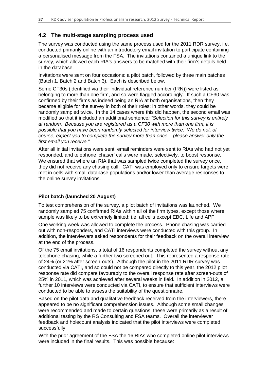## **4.2 The multi-stage sampling process used**

The survey was conducted using the same process used for the 2011 RDR survey, i.e. conducted primarily online with an introductory email invitation to participate containing a personalised message from the FSA. The invitations contained a unique link to the survey, which allowed each RIA's answers to be matched with their firm's details held in the database.

Invitations were sent on four occasions: a pilot batch, followed by three main batches (Batch 1, Batch 2 and Batch 3). Each is described below.

Some CF30s (identified via their individual reference number (IRN)) were listed as belonging to more than one firm, and so were flagged accordingly. If such a CF30 was confirmed by their firms as indeed being an RIA at both organisations, then they became eligible for the survey in both of their roles: in other words, they could be randomly sampled twice. In the 14 cases where this did happen, the second email was modified so that it included an additional sentence*: "Selection for this survey is entirely at random. Because you are registered as a CF30 with more than one firm, it is possible that you have been randomly selected for interview twice. We do not, of course, expect you to complete the survey more than once – please answer only the first email you receive."* 

After all initial invitations were sent, email reminders were sent to RIAs who had not yet responded, and telephone 'chaser' calls were made, selectively, to boost response. We ensured that where an RIA that was sampled twice completed the survey once, they did not receive any chasing call. CATI was employed only to ensure targets were met in cells with small database populations and/or lower than average responses to the online survey invitations.

### **Pilot batch (launched 20 August)**

To test comprehension of the survey, a pilot batch of invitations was launched. We randomly sampled 75 confirmed RIAs within all of the firm types, except those where sample was likely to be extremely limited: i.e. all cells except EBC, Life and APF.

One working week was allowed to complete the process. Phone chasing was carried out with non-responders, and CATI interviews were conducted with this group. In addition, the interviewers asked respondents for their feedback on the overall interview at the end of the process.

Of the 75 email invitations, a total of 16 respondents completed the survey without any telephone chasing, while a further two screened out. This represented a response rate of 24% (or 21% after screen-outs). Although the pilot in the 2011 RDR survey was conducted via CATI, and so could not be compared directly to this year, the 2012 pilot response rate did compare favourably to the overall response rate after screen-outs of 25% in 2011, which was achieved after several weeks in field. In addition in 2012, a further 10 interviews were conducted via CATI, to ensure that sufficient interviews were conducted to be able to assess the suitability of the questionnaire.

Based on the pilot data and qualitative feedback received from the interviewers, there appeared to be no significant comprehension issues. Although some small changes were recommended and made to certain questions, these were primarily as a result of additional testing by the RS Consulting and FSA teams. Overall the interviewer feedback and holecount analysis indicated that the pilot interviews were completed successfully.

With the prior agreement of the FSA the 16 RIAs who completed online pilot interviews were included in the final results. This was possible because: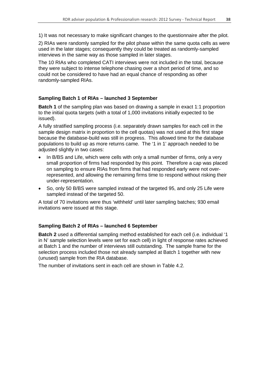1) It was not necessary to make significant changes to the questionnaire after the pilot.

2) RIAs were randomly sampled for the pilot phase within the same quota cells as were used in the later stages; consequently they could be treated as randomly-sampled interviews in the same way as those sampled in later stages.

The 10 RIAs who completed CATI interviews were not included in the total, because they were subject to intense telephone chasing over a short period of time, and so could not be considered to have had an equal chance of responding as other randomly-sampled RIAs.

### **Sampling Batch 1 of RIAs – launched 3 September**

**Batch 1** of the sampling plan was based on drawing a sample in exact 1:1 proportion to the initial quota targets (with a total of 1,000 invitations initially expected to be issued).

A fully stratified sampling process (i.e. separately drawn samples for each cell in the sample design matrix in proportion to the cell quotas) was not used at this first stage because the database-build was still in progress. This allowed time for the database populations to build up as more returns came. The '1 in 1' approach needed to be adjusted slightly in two cases:

- In B/BS and Life, which were cells with only a small number of firms, only a very small proportion of firms had responded by this point. Therefore a cap was placed on sampling to ensure RIAs from firms that had responded early were not overrepresented, and allowing the remaining firms time to respond without risking their under-representation.
- So, only 50 B/BS were sampled instead of the targeted 95, and only 25 Life were sampled instead of the targeted 50.

A total of 70 invitations were thus 'withheld' until later sampling batches; 930 email invitations were issued at this stage.

### **Sampling Batch 2 of RIAs – launched 6 September**

**Batch 2** used a differential sampling method established for each cell (i.e. individual '1 in N' sample selection levels were set for each cell) in light of response rates achieved at Batch 1 and the number of interviews still outstanding. The sample frame for the selection process included those not already sampled at Batch 1 together with new (unused) sample from the RIA database.

The number of invitations sent in each cell are shown in Table 4.2.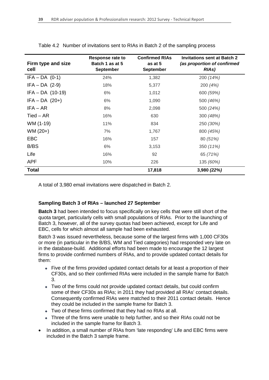| Firm type and size<br>cell | Response rate to<br>Batch 1 as at 5<br><b>September</b> | <b>Confirmed RIAs</b><br>as at 5<br><b>September</b> | <b>Invitations sent at Batch 2</b><br>(as proportion of confirmed<br><b>RIAs)</b> |
|----------------------------|---------------------------------------------------------|------------------------------------------------------|-----------------------------------------------------------------------------------|
| $IFA - DA (0-1)$           | 24%                                                     | 1,382                                                | 200 (14%)                                                                         |
| $IFA - DA$ (2-9)           | 18%                                                     | 5,377                                                | 200(4%)                                                                           |
| $IFA - DA$ (10-19)         | 6%                                                      | 1,012                                                | 600 (59%)                                                                         |
| $IFA - DA$ (20+)           | 6%                                                      | 1,090                                                | 500 (46%)                                                                         |
| $IFA - AR$                 | 8%                                                      | 2,098                                                | 500 (24%)                                                                         |
| Tied – AR                  | 16%                                                     | 630                                                  | 300 (48%)                                                                         |
| WM (1-19)                  | 11%                                                     | 834                                                  | 250 (30%)                                                                         |
| $WM (20+)$                 | 7%                                                      | 1,767                                                | 800 (45%)                                                                         |
| EBC                        | 16%                                                     | 157                                                  | 80 (51%)                                                                          |
| B/BS                       | 6%                                                      | 3,153                                                | 350 (11%)                                                                         |
| Life                       | 16%                                                     | 92                                                   | 65 (71%)                                                                          |
| <b>APF</b>                 | 10%                                                     | 226                                                  | 135 (60%)                                                                         |
| <b>Total</b>               |                                                         | 17,818                                               | 3,980 (22%)                                                                       |

Table 4.2 Number of invitations sent to RIAs in Batch 2 of the sampling process

A total of 3,980 email invitations were dispatched in Batch 2.

### **Sampling Batch 3 of RIAs – launched 27 September**

**Batch 3** had been intended to focus specifically on key cells that were still short of the quota target, particularly cells with small populations of RIAs. Prior to the launching of Batch 3, however, all of the survey quotas had been achieved, except for Life and EBC, cells for which almost all sample had been exhausted.

Batch 3 was issued nevertheless, because some of the largest firms with 1,000 CF30s or more (in particular in the B/BS, WM and Tied categories) had responded very late on in the database-build. Additional efforts had been made to encourage the 12 largest firms to provide confirmed numbers of RIAs, and to provide updated contact details for them:

- Five of the firms provided updated contact details for at least a proportion of their CF30s, and so their confirmed RIAs were included in the sample frame for Batch 3.
- Two of the firms could not provide updated contact details, but could confirm some of their CF30s as RIAs; in 2011 they had provided all RIAs' contact details. Consequently confirmed RIAs were matched to their 2011 contact details. Hence they could be included in the sample frame for Batch 3.
- Two of these firms confirmed that they had no RIAs at all.
- Three of the firms were unable to help further, and so their RIAs could not be included in the sample frame for Batch 3.
- In addition, a small number of RIAs from 'late responding' Life and EBC firms were included in the Batch 3 sample frame.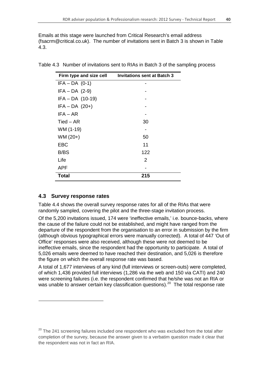Emails at this stage were launched from Critical Research's email address (fsacrm@critical.co.uk). The number of invitations sent in Batch 3 is shown in Table 4.3.

| Firm type and size cell | <b>Invitations sent at Batch 3</b> |
|-------------------------|------------------------------------|
| $IFA - DA (0-1)$        |                                    |
| $IFA - DA$ (2-9)        |                                    |
| $IFA - DA$ (10-19)      |                                    |
| $IFA - DA$ (20+)        |                                    |
| IFA – AR                |                                    |
| $Tied - AR$             | 30                                 |
| WM (1-19)               |                                    |
| $WM (20+)$              | 50                                 |
| <b>EBC</b>              | 11                                 |
| B/BS                    | 122                                |
| Life                    | 2                                  |
| APF                     |                                    |
| <b>Total</b>            | 215                                |

Table 4.3 Number of invitations sent to RIAs in Batch 3 of the sampling process

### **4.3 Survey response rates**

<u>.</u>

Table 4.4 shows the overall survey response rates for all of the RIAs that were randomly sampled, covering the pilot and the three-stage invitation process.

Of the 5,200 invitations issued, 174 were 'ineffective emails,' i.e. bounce-backs, where the cause of the failure could not be established, and might have ranged from the departure of the respondent from the organisation to an error in submission by the firm (although obvious typographical errors were manually corrected). A total of 447 'Out of Office' responses were also received, although these were not deemed to be ineffective emails, since the respondent had the opportunity to participate. A total of 5,026 emails were deemed to have reached their destination, and 5,026 is therefore the figure on which the overall response rate was based.

A total of 1,677 interviews of any kind (full interviews or screen-outs) were completed, of which 1,436 provided full interviews (1,286 via the web and 150 via CATI) and 240 were screening failures (i.e. the respondent confirmed that he/she was not an RIA or was unable to answer certain key classification questions).<sup>[20](#page-40-0)</sup> The total response rate

<span id="page-40-0"></span> $20$  The 241 screening failures included one respondent who was excluded from the total after completion of the survey, because the answer given to a verbatim question made it clear that the respondent was not in fact an RIA.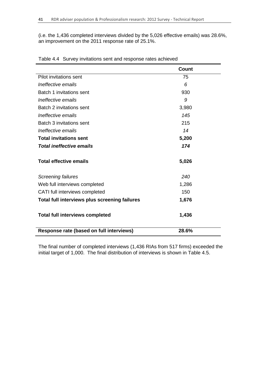(i.e. the 1,436 completed interviews divided by the 5,026 effective emails) was 28.6%, an improvement on the 2011 response rate of 25.1%.

|                                               | <b>Count</b> |
|-----------------------------------------------|--------------|
| Pilot invitations sent                        | 75           |
| Ineffective emails                            | 6            |
| Batch 1 invitations sent                      | 930          |
| Ineffective emails                            | 9            |
| Batch 2 invitations sent                      | 3,980        |
| Ineffective emails                            | 145          |
| Batch 3 invitations sent                      | 215          |
| Ineffective emails                            | 14           |
| <b>Total invitations sent</b>                 | 5,200        |
| <b>Total ineffective emails</b>               | 174          |
| <b>Total effective emails</b>                 | 5,026        |
| Screening failures                            | 240          |
| Web full interviews completed                 | 1,286        |
| CATI full interviews completed                | 150          |
| Total full interviews plus screening failures | 1,676        |
| <b>Total full interviews completed</b>        | 1,436        |
| Response rate (based on full interviews)      | 28.6%        |

Table 4.4 Survey invitations sent and response rates achieved

The final number of completed interviews (1,436 RIAs from 517 firms) exceeded the initial target of 1,000. The final distribution of interviews is shown in Table 4.5.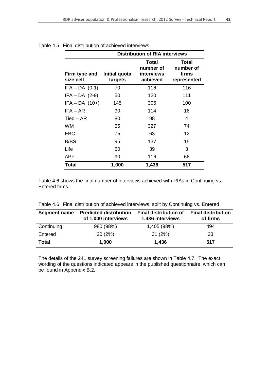|                            | <b>Distribution of RIA interviews</b> |                                                     |                                            |
|----------------------------|---------------------------------------|-----------------------------------------------------|--------------------------------------------|
| Firm type and<br>size cell | Initial quota<br>targets              | Total<br>number of<br><b>interviews</b><br>achieved | Total<br>number of<br>firms<br>represented |
| $IFA - DA (0-1)$           | 70                                    | 116                                                 | 116                                        |
| $IFA - DA$ (2-9)           | 50                                    | 120                                                 | 111                                        |
| $IFA - DA (10+)$           | 145                                   | 306                                                 | 100                                        |
| $IFA - AR$                 | 90                                    | 114                                                 | 16                                         |
| Tied – AR                  | 80                                    | 98                                                  | 4                                          |
| <b>WM</b>                  | 55                                    | 327                                                 | 74                                         |
| EBC                        | 75                                    | 63                                                  | 12                                         |
| B/BS                       | 95                                    | 137                                                 | 15                                         |
| Life                       | 50                                    | 39                                                  | 3                                          |
| APF                        | 90                                    | 116                                                 | 66                                         |
| Total                      | 1,000                                 | 1,436                                               | 517                                        |

|  | Table 4.5 Final distribution of achieved interviews. |
|--|------------------------------------------------------|
|--|------------------------------------------------------|

Table 4.6 shows the final number of interviews achieved with RIAs in Continuing vs. Entered firms.

| <b>Segment name</b> | <b>Predicted distribution</b><br>of 1,000 interviews | <b>Final distribution of</b><br>1,436 interviews | <b>Final distribution</b><br>of firms |
|---------------------|------------------------------------------------------|--------------------------------------------------|---------------------------------------|
| Continuing          | 980 (98%)                                            | 1,405 (98%)                                      | 494                                   |
| Entered             | 20(2%)                                               | 31(2%)                                           | 23                                    |
| Total               | 1,000                                                | 1,436                                            | 517                                   |

Table 4.6 Final distribution of achieved interviews, split by Continuing vs. Entered

The details of the 241 survey screening failures are shown in Table 4.7. The exact wording of the questions indicated appears in the published questionnaire, which can be found in Appendix B.2.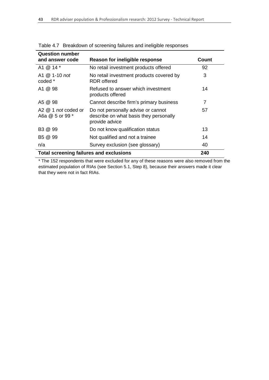| <b>Question number</b><br>and answer code      | Reason for ineligible response                                                                 | Count |
|------------------------------------------------|------------------------------------------------------------------------------------------------|-------|
| A1 @ 14 *                                      | No retail investment products offered                                                          | 92    |
| A1 $@$ 1-10 not<br>coded *                     | No retail investment products covered by<br>RDR offered                                        | 3     |
| A1 @ 98                                        | Refused to answer which investment<br>products offered                                         | 14    |
| A5 @ 98                                        | Cannot describe firm's primary business                                                        | 7     |
| $A2 \& 1$ not coded or<br>A6a @ 5 or 99 *      | Do not personally advise or cannot<br>describe on what basis they personally<br>provide advice | 57    |
| B3 @ 99                                        | Do not know qualification status                                                               | 13    |
| B5 @ 99                                        | Not qualified and not a trainee                                                                | 14    |
| n/a                                            | Survey exclusion (see glossary)                                                                | 40    |
| <b>Total screening failures and exclusions</b> | 240                                                                                            |       |

Table 4.7 Breakdown of screening failures and ineligible responses

\* The 152 respondents that were excluded for any of these reasons were also removed from the estimated population of RIAs (see Section 5.1, Step 8), because their answers made it clear that they were not in fact RIAs.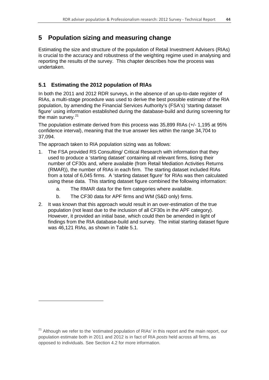# **5 Population sizing and measuring change**

Estimating the size and structure of the population of Retail Investment Advisers (RIAs) is crucial to the accuracy and robustness of the weighting regime used in analysing and reporting the results of the survey. This chapter describes how the process was undertaken.

# **5.1 Estimating the 2012 population of RIAs**

In both the 2011 and 2012 RDR surveys, in the absence of an up-to-date register of RIAs, a multi-stage procedure was used to derive the best possible estimate of the RIA population, by amending the Financial Services Authority's (FSA's) 'starting dataset figure' using information established during the database-build and during screening for the main survey.<sup>[21](#page-44-0)</sup>

The population estimate derived from this process was 35,899 RIAs (+/- 1,195 at 95% confidence interval), meaning that the true answer lies within the range 34,704 to 37,094.

The approach taken to RIA population sizing was as follows:

<u>.</u>

- 1. The FSA provided RS Consulting/ Critical Research with information that they used to produce a 'starting dataset' containing all relevant firms, listing their number of CF30s and, where available (from Retail Mediation Activities Returns (RMAR)), the number of RIAs in each firm. The starting dataset included RIAs from a total of 6,045 firms. A 'starting dataset figure' for RIAs was then calculated using these data. This starting dataset figure combined the following information:
	- a. The RMAR data for the firm categories where available.
	- b. The CF30 data for APF firms and WM (S&D only) firms.
- 2. It was known that this approach would result in an over-estimation of the true population (not least due to the inclusion of all CF30s in the APF category). However, it provided an initial base, which could then be amended in light of findings from the RIA database-build and survey. The initial starting dataset figure was 46,121 RIAs, as shown in Table 5.1.

<span id="page-44-0"></span> $21$  Although we refer to the 'estimated population of RIAs' in this report and the main report, our population estimate both in 2011 and 2012 is in fact of RIA *posts* held across all firms, as opposed to individuals. See Section 4.2 for more information.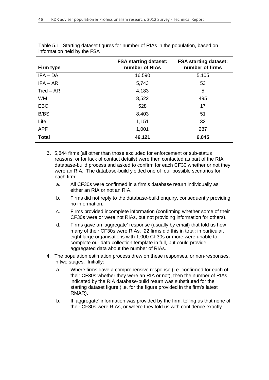| Firm type    | <b>FSA starting dataset:</b><br>number of RIAs | <b>FSA starting dataset:</b><br>number of firms |
|--------------|------------------------------------------------|-------------------------------------------------|
| $IFA - DA$   | 16,590                                         | 5,105                                           |
| $IFA - AR$   | 5,743                                          | 53                                              |
| $Tied - AR$  | 4,183                                          | 5                                               |
| <b>WM</b>    | 8,522                                          | 495                                             |
| <b>EBC</b>   | 528                                            | 17                                              |
| B/BS         | 8,403                                          | 51                                              |
| Life         | 1,151                                          | 32                                              |
| <b>APF</b>   | 1,001                                          | 287                                             |
| <b>Total</b> | 46,121                                         | 6,045                                           |

| Table 5.1 Starting dataset figures for number of RIAs in the population, based on |
|-----------------------------------------------------------------------------------|
| information held by the FSA                                                       |

- 3. 5,844 firms (all other than those excluded for enforcement or sub-status reasons, or for lack of contact details) were then contacted as part of the RIA database-build process and asked to confirm for each CF30 whether or not they were an RIA. The database-build yielded one of four possible scenarios for each firm:
	- a. All CF30s were confirmed in a firm's database return individually as either an RIA or not an RIA.
	- b. Firms did not reply to the database-build enquiry, consequently providing no information.
	- c. Firms provided incomplete information (confirming whether some of their CF30s were or were not RIAs, but not providing information for others).
	- d. Firms gave an 'aggregate' response (usually by email) that told us how many of their CF30s were RIAs. 22 firms did this in total: in particular, eight large organisations with 1,000 CF30s or more were unable to complete our data collection template in full, but could provide aggregated data about the number of RIAs.
- 4. The population estimation process drew on these responses, or non-responses, in two stages. Initially:
	- a. Where firms gave a comprehensive response (i.e. confirmed for each of their CF30s whether they were an RIA or not), then the number of RIAs indicated by the RIA database-build return was substituted for the starting dataset figure (i.e. for the figure provided in the firm's latest RMAR).
	- b. If 'aggregate' information was provided by the firm, telling us that none of their CF30s were RIAs, or where they told us with confidence exactly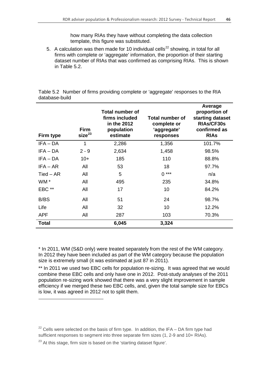how many RIAs they have without completing the data collection template, this figure was substituted.

5. A calculation was then made for 10 individual cells<sup>[22](#page-46-0)</sup> showing, in total for all firms with complete or 'aggregate' information, the proportion of their starting dataset number of RIAs that was confirmed as comprising RIAs. This is shown in Table 5.2.

Table 5.2 Number of firms providing complete or 'aggregate' responses to the RIA database-build

| Firm type    | <b>Firm</b><br>size <sup>23</sup> | <b>Total number of</b><br>firms included<br>in the 2012<br>population<br>estimate | Total number of<br>complete or<br>'aggregate'<br>responses | Average<br>proportion of<br>starting dataset<br><b>RIAS/CF30s</b><br>confirmed as<br><b>RIAS</b> |
|--------------|-----------------------------------|-----------------------------------------------------------------------------------|------------------------------------------------------------|--------------------------------------------------------------------------------------------------|
| $IFA - DA$   | 1                                 | 2,286                                                                             | 1,356                                                      | 101.7%                                                                                           |
| $IFA - DA$   | $2 - 9$                           | 2,634                                                                             | 1,458                                                      | 98.5%                                                                                            |
| $IFA - DA$   | $10+$                             | 185                                                                               | 110                                                        | 88.8%                                                                                            |
| $IFA - AR$   | All                               | 53                                                                                | 18                                                         | 97.7%                                                                                            |
| $Tied - AR$  | All                               | 5                                                                                 | $0***$                                                     | n/a                                                                                              |
| WM *         | All                               | 495                                                                               | 235                                                        | 34.8%                                                                                            |
| EBC **       | All                               | 17                                                                                | 10                                                         | 84.2%                                                                                            |
| B/BS         | All                               | 51                                                                                | 24                                                         | 98.7%                                                                                            |
| Life         | All                               | 32                                                                                | 10                                                         | 12.2%                                                                                            |
| APF          | All                               | 287                                                                               | 103                                                        | 70.3%                                                                                            |
| <b>Total</b> |                                   | 6,045                                                                             | 3,324                                                      |                                                                                                  |

\* In 2011, WM (S&D only) were treated separately from the rest of the WM category. In 2012 they have been included as part of the WM category because the population size is extremely small (it was estimated at just 87 in 2011).

\*\* In 2011 we used two EBC cells for population re-sizing. It was agreed that we would combine these EBC cells and only have one in 2012. Post-study analyses of the 2011 population re-sizing work showed that there was a very slight improvement in sample efficiency if we merged these two EBC cells, and, given the total sample size for EBCs is low, it was agreed in 2012 not to split them.

-

<span id="page-46-0"></span> $22$  Cells were selected on the basis of firm type. In addition, the IFA – DA firm type had sufficient responses to segment into three separate firm sizes (1, 2-9 and 10+ RIAs).

<span id="page-46-1"></span> $23$  At this stage, firm size is based on the 'starting dataset figure'.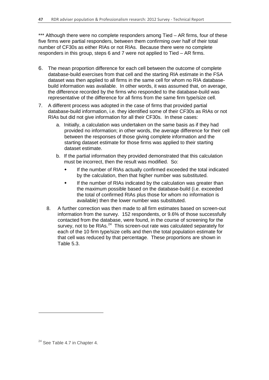\*\*\* Although there were no complete responders among Tied – AR firms, four of these five firms were partial responders, between them confirming over half of their total number of CF30s as either RIAs or not RIAs. Because there were no complete responders in this group, steps 6 and 7 were not applied to Tied – AR firms.

- 6. The mean proportion difference for each cell between the outcome of complete database-build exercises from that cell and the starting RIA estimate in the FSA dataset was then applied to all firms in the same cell for whom no RIA databasebuild information was available. In other words, it was assumed that, on average, the difference recorded by the firms who responded to the database-build was representative of the difference for all firms from the same firm type/size cell.
- 7. A different process was adopted in the case of firms that provided partial database-build information, i.e. they identified some of their CF30s as RIAs or not RIAs but did not give information for all their CF30s. In these cases:
	- a. Initially, a calculation was undertaken on the same basis as if they had provided no information; in other words, the average difference for their cell between the responses of those giving complete information and the starting dataset estimate for those firms was applied to their starting dataset estimate.
	- b. If the partial information they provided demonstrated that this calculation must be incorrect, then the result was modified. So:
		- If the number of RIAs actually confirmed exceeded the total indicated by the calculation, then that higher number was substituted.
		- If the number of RIAs indicated by the calculation was greater than the maximum possible based on the database-build (i.e. exceeded the total of confirmed RIAs plus those for whom no information is available) then the lower number was substituted.
	- 8. A further correction was then made to all firm estimates based on screen-out information from the survey. 152 respondents, or 9.6% of those successfully contacted from the database, were found, in the course of screening for the survey, not to be RIAs.<sup>[24](#page-47-0)</sup> This screen-out rate was calculated separately for each of the 10 firm type/size cells and then the total population estimate for that cell was reduced by that percentage. These proportions are shown in Table 5.3.

-

<span id="page-47-0"></span><sup>&</sup>lt;sup>24</sup> See Table 4.7 in Chapter 4.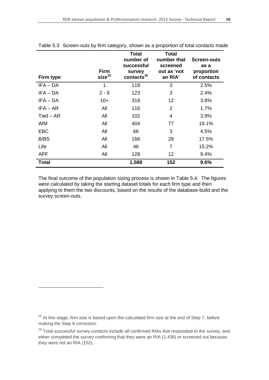| Firm type    | <b>Firm</b><br>size <sup>25</sup> | <b>Total</b><br>number of<br>successful<br>survey<br>contacts <sup>26</sup> | <b>Total</b><br>number that<br>screened<br>out as 'not<br>an RIA' | Screen-outs<br>as a<br>proportion<br>of contacts |
|--------------|-----------------------------------|-----------------------------------------------------------------------------|-------------------------------------------------------------------|--------------------------------------------------|
| $IFA - DA$   | 1                                 | 119                                                                         | 3                                                                 | 2.5%                                             |
| $IFA - DA$   | $2 - 9$                           | 123                                                                         | 3                                                                 | 2.4%                                             |
| $IFA - DA$   | $10+$                             | 318                                                                         | 12                                                                | 3.8%                                             |
| $IFA - AR$   | All                               | 116                                                                         | 2                                                                 | 1.7%                                             |
| $Tied - AR$  | All                               | 102                                                                         | 4                                                                 | 3.9%                                             |
| <b>WM</b>    | All                               | 404                                                                         | 77                                                                | 19.1%                                            |
| <b>EBC</b>   | All                               | 66                                                                          | 3                                                                 | 4.5%                                             |
| B/BS         | All                               | 166                                                                         | 29                                                                | 17.5%                                            |
| Life         | All                               | 46                                                                          | $\overline{7}$                                                    | 15.2%                                            |
| <b>APF</b>   | All                               | 128                                                                         | 12                                                                | 9.4%                                             |
| <b>Total</b> |                                   | 1,588                                                                       | 152                                                               | 9.6%                                             |

Table 5.3 Screen-outs by firm category, shown as a proportion of total contacts made

The final outcome of the population sizing process is shown in Table 5.4. The figures were calculated by taking the starting dataset totals for each firm type and then applying to them the two discounts, based on the results of the database-build and the survey screen-outs.

<u>.</u>

<span id="page-48-0"></span> $25$  At this stage, firm size is based upon the calculated firm size at the end of Step 7, before making the Step 8 correction.

<span id="page-48-1"></span> $26$  Total successful survey contacts include all confirmed RIAs that responded to the survey, and either completed the survey confirming that they were an RIA (1,436) or screened out because they were not an RIA (152).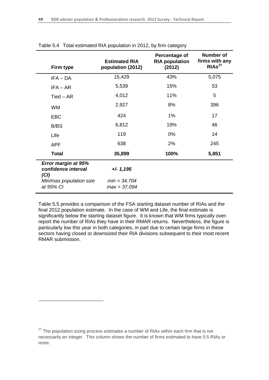| Firm type                                          | <b>Estimated RIA</b><br>population (2012) | Percentage of<br><b>RIA population</b><br>(2012) | Number of<br>firms with any<br>RIAs <sup>27</sup> |
|----------------------------------------------------|-------------------------------------------|--------------------------------------------------|---------------------------------------------------|
| $IFA - DA$                                         | 15,429                                    | 43%                                              | 5,075                                             |
| $IFA - AR$                                         | 5,539                                     | 15%                                              | 53                                                |
| $Tied - AR$                                        | 4,012                                     | 11%                                              | 5                                                 |
| <b>WM</b>                                          | 2,927                                     | 8%                                               | 396                                               |
| <b>EBC</b>                                         | 424                                       | 1%                                               | 17                                                |
| B/BS                                               | 6,812                                     | 19%                                              | 46                                                |
| Life                                               | 119                                       | $0\%$                                            | 14                                                |
| <b>APF</b>                                         | 638                                       | 2%                                               | 245                                               |
| <b>Total</b>                                       | 35,899                                    | 100%                                             | 5,851                                             |
| Error margin at 95%<br>confidence interval<br>(Cl) | $+/- 1,195$                               |                                                  |                                                   |
| Min/max population size<br>at 95% CI               | $min = 34,704$<br>$max = 37,094$          |                                                  |                                                   |

#### Table 5.4 Total estimated RIA population in 2012, by firm category

Table 5.5 provides a comparison of the FSA starting dataset number of RIAs and the final 2012 population estimate. In the case of WM and Life, the final estimate is significantly below the starting dataset figure. It is known that WM firms typically overreport the number of RIAs they have in their RMAR returns. Nevertheless, the figure is particularly low this year in both categories, in part due to certain large firms in these sectors having closed or downsized their RIA divisions subsequent to their most recent RMAR submission.

<u>.</u>

<span id="page-49-0"></span> $27$  The population sizing process estimates a number of RIAs within each firm that is not necessarily an integer. This column shows the number of firms estimated to have 0.5 RIAs or more.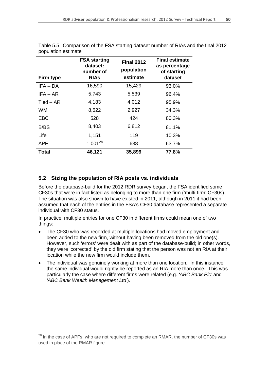| Firm type    | <b>FSA starting</b><br>dataset:<br>number of<br><b>RIAs</b> | <b>Final 2012</b><br>population<br>estimate | <b>Final estimate</b><br>as percentage<br>of starting<br>dataset |
|--------------|-------------------------------------------------------------|---------------------------------------------|------------------------------------------------------------------|
| $IFA - DA$   | 16,590                                                      | 15,429                                      | 93.0%                                                            |
| $IFA - AR$   | 5,743                                                       | 5,539                                       | 96.4%                                                            |
| $Tied - AR$  | 4,183                                                       | 4,012                                       | 95.9%                                                            |
| WM           | 8,522                                                       | 2,927                                       | 34.3%                                                            |
| EBC          | 528                                                         | 424                                         | 80.3%                                                            |
| B/BS         | 8,403                                                       | 6,812                                       | 81.1%                                                            |
| Life         | 1,151                                                       | 119                                         | 10.3%                                                            |
| <b>APF</b>   | $1,001^{28}$                                                | 638                                         | 63.7%                                                            |
| <b>Total</b> | 46,121                                                      | 35,899                                      | 77.8%                                                            |

Table 5.5 Comparison of the FSA starting dataset number of RIAs and the final 2012 population estimate

## **5.2 Sizing the population of RIA posts vs. individuals**

-

Before the database-build for the 2012 RDR survey began, the FSA identified some CF30s that were in fact listed as belonging to more than one firm ('multi-firm' CF30s). The situation was also shown to have existed in 2011, although in 2011 it had been assumed that each of the entries in the FSA's CF30 database represented a separate individual with CF30 status.

In practice, multiple entries for one CF30 in different firms could mean one of two things:

- The CF30 who was recorded at multiple locations had moved employment and been added to the new firm, without having been removed from the old one(s). However, such 'errors' were dealt with as part of the database-build; in other words, they were 'corrected' by the old firm stating that the person was not an RIA at their location while the new firm would include them.
- The individual was genuinely working at more than one location. In this instance the same individual would rightly be reported as an RIA more than once. This was particularly the case where different firms were related (e.g. *'ABC Bank Plc'* and *'ABC Bank Wealth Management Ltd'*).

<span id="page-50-0"></span> $28$  In the case of APFs, who are not required to complete an RMAR, the number of CF30s was used in place of the RMAR figure.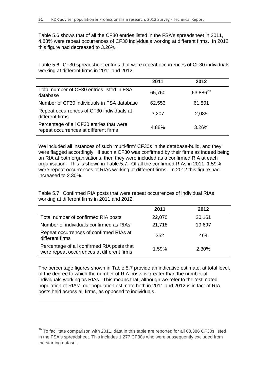Table 5.6 shows that of all the CF30 entries listed in the FSA's spreadsheet in 2011, 4.88% were repeat occurrences of CF30 individuals working at different firms. In 2012 this figure had decreased to 3.26%.

Table 5.6 CF30 spreadsheet entries that were repeat occurrences of CF30 individuals working at different firms in 2011 and 2012

|                                                                                   | 2011   | 2012                 |
|-----------------------------------------------------------------------------------|--------|----------------------|
| Total number of CF30 entries listed in FSA<br>database                            | 65,760 | 63,886 <sup>29</sup> |
| Number of CF30 individuals in FSA database                                        | 62,553 | 61,801               |
| Repeat occurrences of CF30 individuals at<br>different firms                      | 3,207  | 2,085                |
| Percentage of all CF30 entries that were<br>repeat occurrences at different firms | 4.88%  | 3.26%                |

We included all instances of such 'multi-firm' CF30s in the database-build, and they were flagged accordingly. If such a CF30 was confirmed by their firms as indeed being an RIA at both organisations, then they were included as a confirmed RIA at each organisation. This is shown in Table 5.7. Of all the confirmed RIAs in 2011, 1.59% were repeat occurrences of RIAs working at different firms. In 2012 this figure had increased to 2.30%.

Table 5.7 Confirmed RIA posts that were repeat occurrences of individual RIAs working at different firms in 2011 and 2012

|                                                                                          | 2011   | 2012   |  |
|------------------------------------------------------------------------------------------|--------|--------|--|
| Total number of confirmed RIA posts                                                      | 22,070 | 20,161 |  |
| Number of individuals confirmed as RIAs                                                  | 21,718 | 19,697 |  |
| Repeat occurrences of confirmed RIAs at<br>different firms                               | 352    | 464    |  |
| Percentage of all confirmed RIA posts that<br>were repeat occurrences at different firms | 1.59%  | 2.30%  |  |

The percentage figures shown in Table 5.7 provide an indicative estimate, at total level, of the degree to which the number of RIA posts is greater than the number of individuals working as RIAs. This means that, although we refer to the 'estimated population of RIAs', our population estimate both in 2011 and 2012 is in fact of RIA posts held across all firms, as opposed to individuals.

<u>.</u>

<span id="page-51-0"></span> $29$  To facilitate comparison with 2011, data in this table are reported for all 63,386 CF30s listed in the FSA's spreadsheet. This includes 1,277 CF30s who were subsequently excluded from the starting dataset.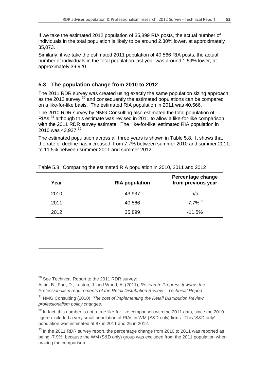If we take the estimated 2012 population of 35,899 RIA posts, the actual number of individuals in the total population is likely to be around 2.30% lower, at approximately 35,073.

Similarly, if we take the estimated 2011 population of 40,566 RIA posts, the actual number of individuals in the total population last year was around 1.59% lower, at approximately 39,920.

### **5.3 The population change from 2010 to 2012**

The 2011 RDR survey was created using exactly the same population sizing approach as the 2012 survey,<sup>[30](#page-52-0)</sup> and consequently the estimated populations can be compared on a like-for-like basis. The estimated RIA population in 2011 was 40,566.

The 2010 RDR survey by NMG Consulting also estimated the total population of RIAs,<sup>[31](#page-52-1)</sup> although this estimate was revised in 2011 to allow a like-for-like comparison with the 2011 RDR survey estimate. The 'like-for-like' estimated RIA population in 2010 was 43,937.<sup>[32](#page-52-2)</sup>

The estimated population across all three years is shown in Table 5.8. It shows that the rate of decline has increased from 7.7% between summer 2010 and summer 2011, to 11.5% between summer 2011 and summer 2012.

| Year | <b>RIA population</b> | <b>Percentage change</b><br>from previous year |
|------|-----------------------|------------------------------------------------|
| 2010 | 43,937                | n/a                                            |
| 2011 | 40,566                | $-7.7\%$ <sup>33</sup>                         |
| 2012 | 35,899                | $-11.5%$                                       |

Table 5.8 Comparing the estimated RIA population in 2010, 2011 and 2012

<span id="page-52-0"></span><sup>30</sup> See Technical Report to the 2011 RDR survey:

-

Atkin, B., Farr, D., Leston, J. and Wood, A. (2011), *Research: Progress towards the Professionalism requirements of the Retail Distribution Review – Technical Report*.

<span id="page-52-1"></span><sup>31</sup> NMG Consulting (2010), *The cost of implementing the Retail Distribution Review professionalism policy changes*.

<span id="page-52-2"></span> $32$  In fact, this number is not a true like-for-like comparison with the 2011 data, since the 2010 figure excluded a very small population of RIAs in WM (S&D only) firms. This 'S&D only' population was estimated at 87 in 2011 and 25 in 2012.

<span id="page-52-3"></span> $33$  In the 2011 RDR survey report, the percentage change from 2010 to 2011 was reported as being -7.9%, because the WM (S&D only) group was excluded from the 2011 population when making the comparison.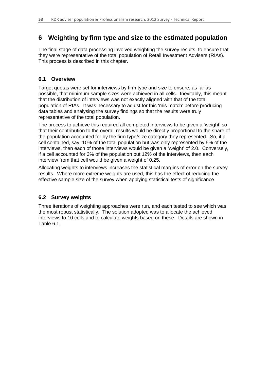# **6 Weighting by firm type and size to the estimated population**

The final stage of data processing involved weighting the survey results, to ensure that they were representative of the total population of Retail Investment Advisers (RIAs). This process is described in this chapter.

# **6.1 Overview**

Target quotas were set for interviews by firm type and size to ensure, as far as possible, that minimum sample sizes were achieved in all cells. Inevitably, this meant that the distribution of interviews was not exactly aligned with that of the total population of RIAs. It was necessary to adjust for this 'mis-match' before producing data tables and analysing the survey findings so that the results were truly representative of the total population.

The process to achieve this required all completed interviews to be given a 'weight' so that their contribution to the overall results would be directly proportional to the share of the population accounted for by the firm type/size category they represented. So, if a cell contained, say, 10% of the total population but was only represented by 5% of the interviews, then each of those interviews would be given a 'weight' of 2.0. Conversely, if a cell accounted for 3% of the population but 12% of the interviews, then each interview from that cell would be given a weight of 0.25.

Allocating weights to interviews increases the statistical margins of error on the survey results. Where more extreme weights are used, this has the effect of reducing the effective sample size of the survey when applying statistical tests of significance.

# **6.2 Survey weights**

Three iterations of weighting approaches were run, and each tested to see which was the most robust statistically. The solution adopted was to allocate the achieved interviews to 10 cells and to calculate weights based on these. Details are shown in Table 6.1.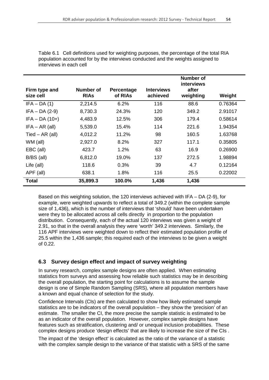| Firm type and<br>size cell | Number of<br><b>RIAS</b> | <b>Percentage</b><br>of RIAs | <b>Interviews</b><br>achieved | Number of<br>interviews<br>after<br>weighting | Weight  |
|----------------------------|--------------------------|------------------------------|-------------------------------|-----------------------------------------------|---------|
| $IFA - DA(1)$              | 2,214.5                  | 6.2%                         | 116                           | 88.6                                          | 0.76364 |
| $IFA - DA (2-9)$           | 8,730.3                  | 24.3%                        | 120                           | 349.2                                         | 2.91017 |
| $IFA - DA (10+)$           | 4,483.9                  | 12.5%                        | 306                           | 179.4                                         | 0.58614 |
| $IFA - AR (all)$           | 5,539.0                  | 15.4%                        | 114                           | 221.6                                         | 1.94354 |
| Tied $-$ AR (all)          | 4,012.2                  | 11.2%                        | 98                            | 160.5                                         | 1.63768 |
| WM (all)                   | 2,927.0                  | 8.2%                         | 327                           | 117.1                                         | 0.35805 |
| EBC (all)                  | 423.7                    | 1.2%                         | 63                            | 16.9                                          | 0.26900 |
| $B/BS$ (all)               | 6,812.0                  | 19.0%                        | 137                           | 272.5                                         | 1.98894 |
| Life (all)                 | 118.6                    | 0.3%                         | 39                            | 4.7                                           | 0.12164 |
| APF (all)                  | 638.1                    | 1.8%                         | 116                           | 25.5                                          | 0.22002 |
| <b>Total</b>               | 35,899.3                 | 100.0%                       | 1,436                         | 1,436                                         |         |

Table 6.1 Cell definitions used for weighting purposes, the percentage of the total RIA population accounted for by the interviews conducted and the weights assigned to interviews in each cell

Based on this weighting solution, the 120 interviews achieved with IFA – DA (2-9), for example, were weighted upwards to reflect a total of 349.2 (within the complete sample size of 1,436), which is the number of interviews that 'should' have been undertaken were they to be allocated across all cells directly in proportion to the population distribution. Consequently, each of the actual 120 interviews was given a weight of 2.91, so that in the overall analysis they were 'worth' 349.2 interviews. Similarly, the 116 APF interviews were weighted down to reflect their estimated population profile of 25.5 within the 1,436 sample; this required each of the interviews to be given a weight of 0.22.

### **6.3 Survey design effect and impact of survey weighting**

In survey research, complex sample designs are often applied. When estimating statistics from surveys and assessing how reliable such statistics may be in describing the overall population, the starting point for calculations is to assume the sample design is one of Simple Random Sampling (SRS), where all population members have a known and equal chance of selection for the study.

Confidence Intervals (CIs) are then calculated to show how likely estimated sample statistics are to be indicators of the overall population – they show the 'precision' of an estimate. The smaller the CI, the more precise the sample statistic is estimated to be as an indicator of the overall population. However, complex sample designs have features such as stratification, clustering and/ or unequal inclusion probabilities. These complex designs produce 'design effects' that are likely to increase the size of the CIs .

The impact of the 'design effect' is calculated as the ratio of the variance of a statistic with the complex sample design to the variance of that statistic with a SRS of the same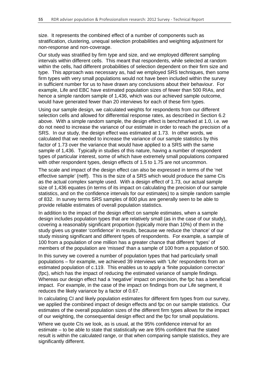size. It represents the combined effect of a number of components such as stratification, clustering, unequal selection probabilities and weighting adjustment for non-response and non-coverage.

Our study was stratified by firm type and size, and we employed different sampling intervals within different cells. This meant that respondents, while selected at random within the cells, had different probabilities of selection dependent on their firm size and type. This approach was necessary as, had we employed SRS techniques, then some firm types with very small populations would not have been included within the survey in sufficient number for us to have drawn any conclusions about their behaviour. For example, Life and EBC have estimated population sizes of fewer than 500 RIAs, and hence a simple random sample of 1,436, which was our achieved sample outcome, would have generated fewer than 20 interviews for each of these firm types.

Using our sample design, we calculated weights for respondents from our different selection cells and allowed for differential response rates, as described in Section 6.2 above. With a simple random sample, the design effect is benchmarked at 1.0, i.e. we do not need to increase the variance of our estimate in order to reach the precision of a SRS. In our study, the design effect was estimated at 1.73. In other words, we calculated that we needed to increase the variance of our sample statistics by this factor of 1.73 over the variance that would have applied to a SRS with the same sample of 1,436. Typically in studies of this nature, having a number of respondent types of particular interest, some of which have extremely small populations compared with other respondent types, design effects of 1.5 to 1.75 are not uncommon.

The scale and impact of the design effect can also be expressed in terms of the 'net effective sample' (neff). This is the size of a SRS which would produce the same CIs as the actual complex sample used. With a design effect of 1.73, our actual sample size of 1,436 equates (in terms of its impact on calculating the precision of our sample statistics, and on the confidence intervals for our estimates) to a simple random sample of 832. In survey terms SRS samples of 800 plus are generally seen to be able to provide reliable estimates of overall population statistics.

In addition to the impact of the design effect on sample estimates, when a sample design includes population types that are relatively small (as in the case of our study), covering a reasonably significant proportion (typically more than 10%) of them in the study gives us greater 'confidence' in results, because we reduce the 'chance' of our study missing significant and different types of respondents. For example, a sample of 100 from a population of one million has a greater chance that different 'types' of members of the population are 'missed' than a sample of 100 from a population of 500.

In this survey we covered a number of population types that had particularly small populations – for example, we achieved 39 interviews with 'Life' respondents from an estimated population of c.119. This enables us to apply a 'finite population corrector' (fpc), which has the impact of reducing the estimated variance of sample findings. Whereas our design effect had a 'negative' impact on precision, the fpc has a beneficial impact. For example, in the case of the impact on findings from our Life segment, it reduces the likely variance by a factor of 0.67.

In calculating CI and likely population estimates for different firm types from our survey, we applied the combined impact of design effects and fpc on our sample statistics. Our estimates of the overall population sizes of the different firm types allows for the impact of our weighting, the consequential design effect and the fpc for small populations.

Where we quote CIs we look, as is usual, at the 95% confidence interval for an estimate – to be able to state that statistically we are 95% confident that the stated result is within the calculated range, or that when comparing sample statistics, they are significantly different.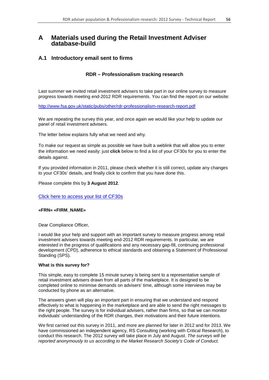## **A Materials used during the Retail Investment Adviser database-build**

### **A.1 Introductory email sent to firms**

### **RDR – Professionalism tracking research**

Last summer we invited retail investment advisers to take part in our online survey to measure progress towards meeting end-2012 RDR requirements. You can find the report on our website:

<http://www.fsa.gov.uk/static/pubs/other/rdr-professionalism-research-report.pdf>

We are repeating the survey this year, and once again we would like your help to update our panel of retail investment advisers.

The letter below explains fully what we need and why.

To make our request as simple as possible we have built a weblink that will allow you to enter the information we need easily: just **click** below to find a list of your CF30s for you to enter the details against.

If you provided information in 2011, please check whether it is still correct, update any changes to your CF30s' details, and finally click to confirm that you have done this.

Please complete this by **3 August 2012**.

Click here to access your list of CF30s

#### **«FRN» «FIRM\_NAME»**

Dear Compliance Officer,

I would like your help and support with an important survey to measure progress among retail investment advisers towards meeting end-2012 RDR requirements. In particular, we are interested in the progress of qualifications and any necessary gap-fill, continuing professional development (CPD), adherence to ethical standards and obtaining a Statement of Professional Standing (SPS).

#### **What is this survey for?**

This simple, easy to complete 15 minute survey is being sent to a representative sample of retail investment advisers drawn from all parts of the marketplace. It is designed to be completed online to minimise demands on advisers' time, although some interviews may be conducted by phone as an alternative.

The answers given will play an important part in ensuring that we understand and respond effectively to what is happening in the marketplace and are able to send the right messages to the right people. The survey is for individual advisers, rather than firms, so that we can monitor individuals' understanding of the RDR changes, their motivations and their future intentions.

We first carried out this survey in 2011, and more are planned for later in 2012 and for 2013. We have commissioned an independent agency, RS Consulting (working with Critical Research), to conduct this research. The 2012 survey will take place in July and August. *The surveys will be reported anonymously to us according to the Market Research Society's Code of Conduct.*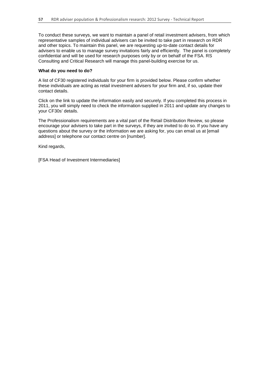To conduct these surveys, we want to maintain a panel of retail investment advisers, from which representative samples of individual advisers can be invited to take part in research on RDR and other topics. To maintain this panel, we are requesting up-to-date contact details for advisers to enable us to manage survey invitations fairly and efficiently. The panel is completely confidential and will be used for research purposes only by or on behalf of the FSA. RS Consulting and Critical Research will manage this panel-building exercise for us.

#### **What do you need to do?**

A list of CF30 registered individuals for your firm is provided below. Please confirm whether these individuals are acting as retail investment advisers for your firm and, if so, update their contact details.

Click on the link to update the information easily and securely. If you completed this process in 2011, you will simply need to check the information supplied in 2011 and update any changes to your CF30s' details.

The Professionalism requirements are a vital part of the Retail Distribution Review, so please encourage your advisers to take part in the surveys, if they are invited to do so. If you have any questions about the survey or the information we are asking for, you can email us at [email address] or telephone our contact centre on [number].

Kind regards,

[FSA Head of Investment Intermediaries]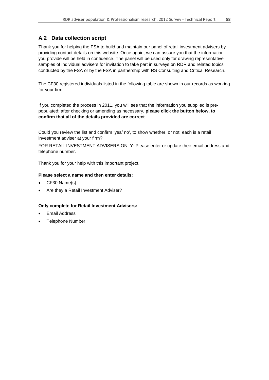## **A.2 Data collection script**

Thank you for helping the FSA to build and maintain our panel of retail investment advisers by providing contact details on this website. Once again, we can assure you that the information you provide will be held in confidence. The panel will be used only for drawing representative samples of individual advisers for invitation to take part in surveys on RDR and related topics conducted by the FSA or by the FSA in partnership with RS Consulting and Critical Research.

The CF30 registered individuals listed in the following table are shown in our records as working for your firm.

If you completed the process in 2011, you will see that the information you supplied is prepopulated: after checking or amending as necessary, **please click the button below, to confirm that all of the details provided are correct**.

Could you review the list and confirm 'yes/ no', to show whether, or not, each is a retail investment adviser at your firm?

FOR RETAIL INVESTMENT ADVISERS ONLY: Please enter or update their email address and telephone number.

Thank you for your help with this important project.

#### **Please select a name and then enter details:**

- CF30 Name(s)
- Are they a Retail Investment Adviser?

#### **Only complete for Retail Investment Advisers:**

- Email Address
- Telephone Number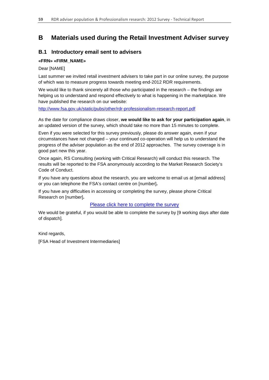# **B Materials used during the Retail Investment Adviser survey**

## **B.1 Introductory email sent to advisers**

### **«FRN» «FIRM\_NAME»**

#### Dear [NAME]

Last summer we invited retail investment advisers to take part in our online survey, the purpose of which was to measure progress towards meeting end-2012 RDR requirements.

We would like to thank sincerely all those who participated in the research – the findings are helping us to understand and respond effectively to what is happening in the marketplace. We have published the research on our website:

<http://www.fsa.gov.uk/static/pubs/other/rdr-professionalism-research-report.pdf>

As the date for compliance draws closer, **we would like to ask for your participation again**, in an updated version of the survey, which should take no more than 15 minutes to complete.

Even if you were selected for this survey previously, please do answer again, even if your circumstances have not changed – your continued co-operation will help us to understand the progress of the adviser population as the end of 2012 approaches. The survey coverage is in good part new this year.

Once again, RS Consulting (working with Critical Research) will conduct this research. The results will be reported to the FSA anonymously according to the Market Research Society's Code of Conduct.

If you have any questions about the research, you are welcome to email us at [\[email](mailto:rdradviserresearch@fsa.gov.uk) address] or you can telephone the FSA's contact centre on [number]**.** 

If you have any difficulties in accessing or completing the survey, please phone Critical Research on [number]**.**

### Please click here to complete the survey

We would be grateful, if you would be able to complete the survey by [9 working days after date of dispatch].

Kind regards,

[FSA Head of Investment Intermediaries]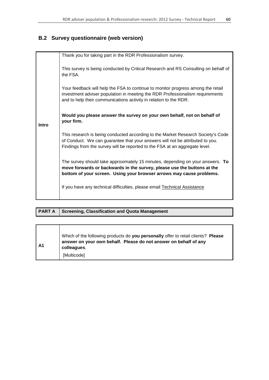# **B.2 Survey questionnaire (web version)**

|              | Thank you for taking part in the RDR Professionalism survey.                                                                                                                                                                                     |  |  |  |
|--------------|--------------------------------------------------------------------------------------------------------------------------------------------------------------------------------------------------------------------------------------------------|--|--|--|
|              | This survey is being conducted by Critical Research and RS Consulting on behalf of<br>the FSA.                                                                                                                                                   |  |  |  |
|              | Your feedback will help the FSA to continue to monitor progress among the retail<br>investment adviser population in meeting the RDR Professionalism requirements<br>and to help their communications activity in relation to the RDR.           |  |  |  |
| <b>Intro</b> | Would you please answer the survey on your own behalf, not on behalf of<br>your firm.                                                                                                                                                            |  |  |  |
|              | This research is being conducted according to the Market Research Society's Code<br>of Conduct. We can guarantee that your answers will not be attributed to you.<br>Findings from the survey will be reported to the FSA at an aggregate level. |  |  |  |
|              | The survey should take approximately 15 minutes, depending on your answers. To<br>move forwards or backwards in the survey, please use the buttons at the<br>bottom of your screen. Using your browser arrows may cause problems.                |  |  |  |
|              | If you have any technical difficulties, please email Technical Assistance                                                                                                                                                                        |  |  |  |

### **PART A** Screening, Classification and Quota Management

| l A1 | Which of the following products do you personally offer to retail clients? Please<br>answer on your own behalf. Please do not answer on behalf of any<br>colleagues. |
|------|----------------------------------------------------------------------------------------------------------------------------------------------------------------------|
|      | [Multicode]                                                                                                                                                          |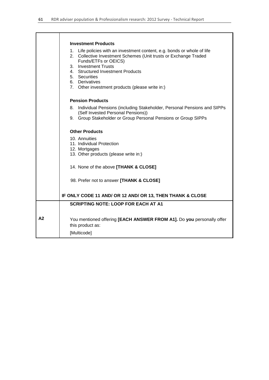|                | <b>Investment Products</b>                                                                                                                                           |
|----------------|----------------------------------------------------------------------------------------------------------------------------------------------------------------------|
|                | 1. Life policies with an investment content, e.g. bonds or whole of life<br>2. Collective Investment Schemes (Unit trusts or Exchange Traded<br>Funds/ETFs or OEICS) |
|                | 3. Investment Trusts<br>4. Structured Investment Products                                                                                                            |
|                | 5. Securities<br>6. Derivatives                                                                                                                                      |
|                | 7. Other investment products (please write in:)                                                                                                                      |
|                | <b>Pension Products</b>                                                                                                                                              |
|                | Individual Pensions (including Stakeholder, Personal Pensions and SIPPs<br>8.<br>(Self Invested Personal Pensions))                                                  |
|                | Group Stakeholder or Group Personal Pensions or Group SIPPs<br>9.                                                                                                    |
|                | <b>Other Products</b>                                                                                                                                                |
|                | 10. Annuities<br>11. Individual Protection                                                                                                                           |
|                | 12. Mortgages                                                                                                                                                        |
|                | 13. Other products (please write in:)                                                                                                                                |
|                | 14. None of the above [THANK & CLOSE]                                                                                                                                |
|                | 98. Prefer not to answer [THANK & CLOSE]                                                                                                                             |
|                | IF ONLY CODE 11 AND/ OR 12 AND/ OR 13, THEN THANK & CLOSE                                                                                                            |
|                | <b>SCRIPTING NOTE: LOOP FOR EACH AT A1</b>                                                                                                                           |
| A <sub>2</sub> | You mentioned offering [EACH ANSWER FROM A1]. Do you personally offer<br>this product as:                                                                            |
|                | [Multicode]                                                                                                                                                          |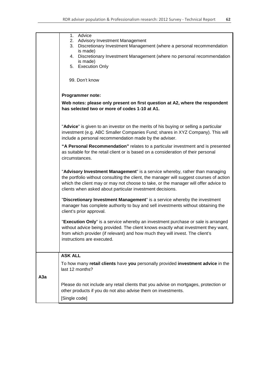|     | Advice<br>1.<br><b>Advisory Investment Management</b><br>2.<br>3.<br>Discretionary Investment Management (where a personal recommendation<br>is made)<br>4. Discretionary Investment Management (where no personal recommendation<br>is made)                                                                              |
|-----|----------------------------------------------------------------------------------------------------------------------------------------------------------------------------------------------------------------------------------------------------------------------------------------------------------------------------|
|     | 5. Execution Only                                                                                                                                                                                                                                                                                                          |
|     | 99. Don't know                                                                                                                                                                                                                                                                                                             |
|     | Programmer note:                                                                                                                                                                                                                                                                                                           |
|     | Web notes: please only present on first question at A2, where the respondent<br>has selected two or more of codes 1-10 at A1.                                                                                                                                                                                              |
|     | "Advice" is given to an investor on the merits of his buying or selling a particular<br>investment (e.g. ABC Smaller Companies Fund; shares in XYZ Company). This will<br>include a personal recommendation made by the adviser.                                                                                           |
|     | "A Personal Recommendation" relates to a particular investment and is presented<br>as suitable for the retail client or is based on a consideration of their personal<br>circumstances.                                                                                                                                    |
|     | "Advisory Investment Management" is a service whereby, rather than managing<br>the portfolio without consulting the client, the manager will suggest courses of action<br>which the client may or may not choose to take, or the manager will offer advice to<br>clients when asked about particular investment decisions. |
|     | "Discretionary Investment Management" is a service whereby the investment<br>manager has complete authority to buy and sell investments without obtaining the<br>client's prior approval.                                                                                                                                  |
|     | "Execution Only" is a service whereby an investment purchase or sale is arranged<br>without advice being provided. The client knows exactly what investment they want,<br>from which provider (if relevant) and how much they will invest. The client's<br>instructions are executed.                                      |
|     | <b>ASK ALL</b>                                                                                                                                                                                                                                                                                                             |
|     | To how many retail clients have you personally provided investment advice in the<br>last 12 months?                                                                                                                                                                                                                        |
| A3a | Please do not include any retail clients that you advise on mortgages, protection or<br>other products if you do not also advise them on investments.<br>[Single code]                                                                                                                                                     |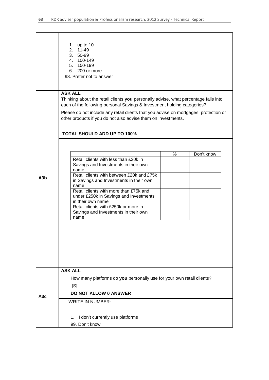|     | 1. up to 10<br>2. 11-49<br>3. 50-99<br>4. 100-149<br>5. 150-199<br>6. 200 or more<br>98. Prefer not to answer                                                                                                                                                                                                                                                                                                |  |  |  |
|-----|--------------------------------------------------------------------------------------------------------------------------------------------------------------------------------------------------------------------------------------------------------------------------------------------------------------------------------------------------------------------------------------------------------------|--|--|--|
|     | <b>ASK ALL</b><br>Thinking about the retail clients you personally advise, what percentage falls into<br>each of the following personal Savings & Investment holding categories?<br>Please do not include any retail clients that you advise on mortgages, protection or<br>other products if you do not also advise them on investments.<br><b>TOTAL SHOULD ADD UP TO 100%</b>                              |  |  |  |
| A3b | Don't know<br>$\%$<br>Retail clients with less than £20k in<br>Savings and Investments in their own<br>name<br>Retail clients with between £20k and £75k<br>in Savings and Investments in their own<br>name<br>Retail clients with more than £75k and<br>under £250k in Savings and Investments<br>in their own name<br>Retail clients with £250k or more in<br>Savings and Investments in their own<br>name |  |  |  |
| A3c | <b>ASK ALL</b><br>How many platforms do you personally use for your own retail clients?<br>[S]<br><b>DO NOT ALLOW 0 ANSWER</b>                                                                                                                                                                                                                                                                               |  |  |  |
|     | WRITE IN NUMBER:<br>1. I don't currently use platforms<br>99. Don't know                                                                                                                                                                                                                                                                                                                                     |  |  |  |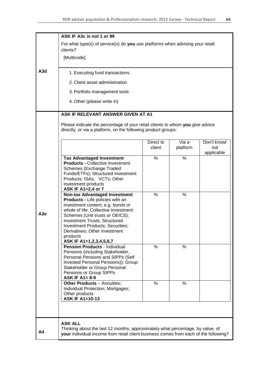|                  | ASK IF A3c is not 1 or 99                                                            |                     |          |             |  |  |  |
|------------------|--------------------------------------------------------------------------------------|---------------------|----------|-------------|--|--|--|
|                  | For what type(s) of service(s) do you use platforms when advising your retail        |                     |          |             |  |  |  |
|                  | clients?                                                                             |                     |          |             |  |  |  |
|                  | [Multicode]                                                                          |                     |          |             |  |  |  |
|                  |                                                                                      |                     |          |             |  |  |  |
| A <sub>3</sub> d | 1. Executing fund transactions                                                       |                     |          |             |  |  |  |
|                  | 2. Client asset administration                                                       |                     |          |             |  |  |  |
|                  | 3. Portfolio management tools                                                        |                     |          |             |  |  |  |
|                  | 4. Other (please write in)                                                           |                     |          |             |  |  |  |
|                  | ASK IF RELEVANT ANSWER GIVEN AT A1                                                   |                     |          |             |  |  |  |
|                  | Please indicate the percentage of your retail clients to whom you give advice        |                     |          |             |  |  |  |
|                  | directly, or via a platform, on the following product groups:                        |                     |          |             |  |  |  |
|                  |                                                                                      |                     | Via a    | Don't know/ |  |  |  |
|                  |                                                                                      | Direct to<br>client | platform | not         |  |  |  |
|                  | <b>Tax Advantaged Investment</b>                                                     | %                   | %        | applicable  |  |  |  |
|                  | <b>Products - Collective Investment</b>                                              |                     |          |             |  |  |  |
|                  | Schemes (Exchange Traded                                                             |                     |          |             |  |  |  |
|                  | Funds/ETFs); Structured Investment<br>Products; ISAs; VCTs; Other                    |                     |          |             |  |  |  |
|                  | investment products                                                                  |                     |          |             |  |  |  |
|                  | ASK IF A1=2,4 or 7                                                                   |                     |          |             |  |  |  |
|                  | <b>Non-tax Advantaged Investment</b><br>Products - Life policies with an             | $\frac{0}{0}$       | %        |             |  |  |  |
|                  | investment content, e.g. bonds or                                                    |                     |          |             |  |  |  |
| A <sub>3e</sub>  | whole of life; Collective Investment                                                 |                     |          |             |  |  |  |
|                  | Schemes (Unit trusts or OEICS);<br><b>Investment Trusts; Structured</b>              |                     |          |             |  |  |  |
|                  | <b>Investment Products; Securities;</b>                                              |                     |          |             |  |  |  |
|                  | Derivatives: Other investment<br>products                                            |                     |          |             |  |  |  |
|                  | ASK IF A1=1,2,3,4,5,6,7                                                              |                     |          |             |  |  |  |
|                  | <b>Pension Products - Individual</b>                                                 | %                   | ℅        |             |  |  |  |
|                  | Pensions (including Stakeholder,<br>Personal Pensions and SIPPs (Self                |                     |          |             |  |  |  |
|                  | Invested Personal Pensions)); Group                                                  |                     |          |             |  |  |  |
|                  | Stakeholder or Group Personal                                                        |                     |          |             |  |  |  |
|                  | Pensions or Group SIPPs<br><b>ASK IF A1= 8-9</b>                                     |                     |          |             |  |  |  |
|                  | <b>Other Products - Annuities;</b>                                                   | %                   | %        |             |  |  |  |
|                  | Individual Protection; Mortgages;                                                    |                     |          |             |  |  |  |
|                  | Other products<br><b>ASK IF A1=10-13</b>                                             |                     |          |             |  |  |  |
|                  |                                                                                      |                     |          |             |  |  |  |
|                  |                                                                                      |                     |          |             |  |  |  |
|                  | <b>ASK ALL</b>                                                                       |                     |          |             |  |  |  |
| A4               | Thinking about the last 12 months, approximately what percentage, by value, of       |                     |          |             |  |  |  |
|                  | your individual income from retail client business comes from each of the following? |                     |          |             |  |  |  |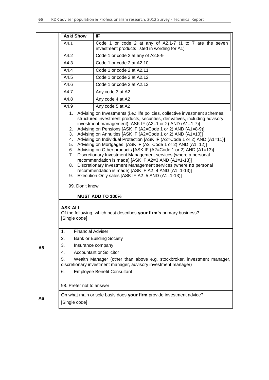|                | <b>Ask/Show</b>                                                                                 | IF                                                                                                                                                                                                                                                                                                                                                                                                                                                                                                                                                                                                                                                                                                                                                                                                                                                                                                             |
|----------------|-------------------------------------------------------------------------------------------------|----------------------------------------------------------------------------------------------------------------------------------------------------------------------------------------------------------------------------------------------------------------------------------------------------------------------------------------------------------------------------------------------------------------------------------------------------------------------------------------------------------------------------------------------------------------------------------------------------------------------------------------------------------------------------------------------------------------------------------------------------------------------------------------------------------------------------------------------------------------------------------------------------------------|
|                | A4.1                                                                                            | Code 1 or code 2 at any of A2.1-7 (1 to 7 are the seven<br>investment products listed in wording for A1)                                                                                                                                                                                                                                                                                                                                                                                                                                                                                                                                                                                                                                                                                                                                                                                                       |
|                | A4.2                                                                                            | Code 1 or code 2 at any of A2.8-9                                                                                                                                                                                                                                                                                                                                                                                                                                                                                                                                                                                                                                                                                                                                                                                                                                                                              |
|                | A4.3                                                                                            | Code 1 or code 2 at A2.10                                                                                                                                                                                                                                                                                                                                                                                                                                                                                                                                                                                                                                                                                                                                                                                                                                                                                      |
|                | A4.4                                                                                            | Code 1 or code 2 at A2.11                                                                                                                                                                                                                                                                                                                                                                                                                                                                                                                                                                                                                                                                                                                                                                                                                                                                                      |
|                | A4.5                                                                                            | Code 1 or code 2 at A2.12                                                                                                                                                                                                                                                                                                                                                                                                                                                                                                                                                                                                                                                                                                                                                                                                                                                                                      |
|                | A4.6                                                                                            | Code 1 or code 2 at A2.13                                                                                                                                                                                                                                                                                                                                                                                                                                                                                                                                                                                                                                                                                                                                                                                                                                                                                      |
|                | A4.7                                                                                            | Any code 3 at A2                                                                                                                                                                                                                                                                                                                                                                                                                                                                                                                                                                                                                                                                                                                                                                                                                                                                                               |
|                | A4.8                                                                                            | Any code 4 at A2                                                                                                                                                                                                                                                                                                                                                                                                                                                                                                                                                                                                                                                                                                                                                                                                                                                                                               |
|                | A4.9                                                                                            | Any code 5 at A2                                                                                                                                                                                                                                                                                                                                                                                                                                                                                                                                                                                                                                                                                                                                                                                                                                                                                               |
|                | 1.<br>2.<br>3.<br>4.<br>5.<br>8.<br>99. Don't know                                              | Advising on Investments (i.e.: life policies, collective investment schemes,<br>structured investment products, securities, derivatives, including advisory<br>investment management) [ASK IF (A2=1 or 2) AND (A1=1-7)]<br>Advising on Pensions [ASK IF (A2=Code 1 or 2) AND (A1=8-9)]<br>Advising on Annuities [ASK IF (A2=Code 1 or 2) AND (A1=10)]<br>Advising on Individual Protection [ASK IF (A2=Code 1 or 2) AND (A1=11)]<br>Advising on Mortgages [ASK IF (A2=Code 1 or 2) AND (A1=12)]<br>6. Advising on Other products [ASK IF (A2=Code 1 or 2) AND (A1=13)]<br>7. Discretionary Investment Management services (where a personal<br>recommendation is made) [ASK IF A2=3 AND (A1=1-13)]<br>Discretionary Investment Management services (where no personal<br>recommendation is made) [ASK IF A2=4 AND (A1=1-13)]<br>9. Execution Only sales [ASK IF A2=5 AND (A1=1-13)]<br><b>MUST ADD TO 100%</b> |
| А5             | <b>ASK ALL</b><br>[Single code]<br>1.<br><b>Financial Adviser</b><br>2.<br>3.<br>4.<br>5.<br>6. | Of the following, which best describes your firm's primary business?<br><b>Bank or Building Society</b><br>Insurance company<br><b>Accountant or Solicitor</b><br>Wealth Manager (other than above e.g. stockbroker, investment manager,<br>discretionary investment manager, advisory investment manager)<br><b>Employee Benefit Consultant</b>                                                                                                                                                                                                                                                                                                                                                                                                                                                                                                                                                               |
|                | 98. Prefer not to answer                                                                        |                                                                                                                                                                                                                                                                                                                                                                                                                                                                                                                                                                                                                                                                                                                                                                                                                                                                                                                |
| A <sub>6</sub> | [Single code]                                                                                   | On what main or sole basis does your firm provide investment advice?                                                                                                                                                                                                                                                                                                                                                                                                                                                                                                                                                                                                                                                                                                                                                                                                                                           |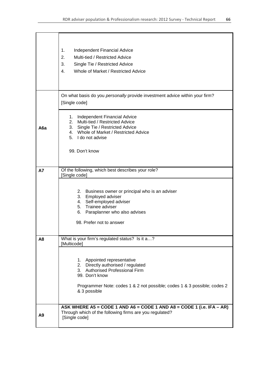|                | 1.<br><b>Independent Financial Advice</b><br>2.<br>Multi-tied / Restricted Advice<br>3.<br>Single Tie / Restricted Advice<br>Whole of Market / Restricted Advice<br>4.                                             |
|----------------|--------------------------------------------------------------------------------------------------------------------------------------------------------------------------------------------------------------------|
|                | On what basis do you personally provide investment advice within your firm?<br>[Single code]                                                                                                                       |
| A6a            | Independent Financial Advice<br>1.<br>Multi-tied / Restricted Advice<br>2.<br>Single Tie / Restricted Advice<br>3.<br>4. Whole of Market / Restricted Advice<br>5. I do not advise<br>99. Don't know               |
| <b>A7</b>      | Of the following, which best describes your role?                                                                                                                                                                  |
|                | [Single code]                                                                                                                                                                                                      |
|                | 2. Business owner or principal who is an adviser<br>3. Employed adviser<br>4. Self-employed adviser<br>5. Trainee adviser<br>6. Paraplanner who also advises<br>98. Prefer not to answer                           |
| A <sub>8</sub> | What is your firm's regulated status? Is it a?<br>[Multicode]                                                                                                                                                      |
|                | 1. Appointed representative<br>2. Directly authorised / regulated<br>3. Authorised Professional Firm<br>99. Don't know<br>Programmer Note: codes 1 & 2 not possible; codes 1 & 3 possible; codes 2<br>& 3 possible |
| A <sub>9</sub> | ASK WHERE A5 = CODE 1 AND A6 = CODE 1 AND A8 = CODE 1 (i.e. IFA - AR)<br>Through which of the following firms are you regulated?<br>[Single code]                                                                  |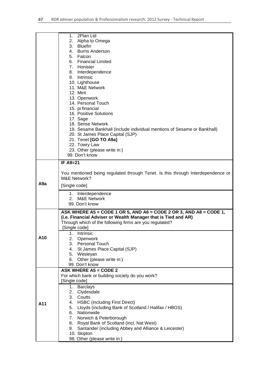|                  | 1. 2Plan Ltd                                                                    |  |
|------------------|---------------------------------------------------------------------------------|--|
|                  | 2. Alpha to Omega                                                               |  |
|                  | 3. Bluefin                                                                      |  |
|                  | 4. Burns Anderson                                                               |  |
|                  | 5. Falcon                                                                       |  |
|                  | 6. Financial Limited                                                            |  |
|                  | 7. Honister                                                                     |  |
|                  | 8. Interdependence                                                              |  |
|                  | 9. Intrinsic                                                                    |  |
|                  | 10. Lighthouse                                                                  |  |
|                  | 11. M&E Network                                                                 |  |
|                  |                                                                                 |  |
|                  | 12. Mint                                                                        |  |
|                  | 13. Openwork                                                                    |  |
|                  | 14. Personal Touch                                                              |  |
|                  | 15. pi financial                                                                |  |
|                  | 16. Positive Solutions                                                          |  |
|                  | 17. Sage                                                                        |  |
|                  | 18. Sense Network                                                               |  |
|                  | 19. Sesame Bankhall (include individual mentions of Sesame or Bankhall)         |  |
|                  | 20. St James Place Capital (SJP)                                                |  |
|                  | 21. Tenet [GO TO A9a]                                                           |  |
|                  | 22. Towry Law                                                                   |  |
|                  | 23. Other (please write in:)                                                    |  |
|                  | 99. Don't know                                                                  |  |
|                  | <b>IF A9=21</b>                                                                 |  |
|                  |                                                                                 |  |
|                  | You mentioned being regulated through Tenet. Is this through Interdependence or |  |
|                  | <b>M&amp;E Network?</b>                                                         |  |
| A <sub>9</sub> a | [Single code]                                                                   |  |
|                  |                                                                                 |  |
|                  | 1. Interdependence                                                              |  |
|                  | 2 <sup>1</sup><br><b>M&amp;E Network</b>                                        |  |
|                  | 99. Don't know                                                                  |  |
|                  | ASK WHERE A5 = CODE 1 OR 5, AND A6 = CODE 2 OR 3, AND A8 = CODE 1,              |  |
|                  | (i.e. Financial Adviser or Wealth Manager that is Tied and AR)                  |  |
|                  | Through which of the following firms are you regulated?                         |  |
|                  | [Single code]                                                                   |  |
|                  | 1.<br>Intrinsic                                                                 |  |
| A10              | 2.<br>Openwork                                                                  |  |
|                  | 3. Personal Touch                                                               |  |
|                  | 4. St James Place Capital (SJP)                                                 |  |
|                  | 5. Wesleyan                                                                     |  |
|                  | 6. Other (please write in:)                                                     |  |
|                  | 99. Don't know                                                                  |  |
|                  | <b>ASK WHERE A5 = CODE 2</b>                                                    |  |
|                  | For which bank or building society do you work?                                 |  |
|                  | [Single code]                                                                   |  |
|                  | <b>Barclays</b><br>1.                                                           |  |
|                  | 2.<br>Clydesdale                                                                |  |
|                  | 3.<br>Coutts                                                                    |  |
|                  |                                                                                 |  |
| A11              | 4. HSBC (including First Direct)                                                |  |
|                  | Lloyds (including Bank of Scotland / Halifax / HBOS)<br>5.                      |  |
|                  | Nationwide<br>6.                                                                |  |
|                  | 7.<br>Norwich & Peterborough                                                    |  |
|                  | 8. Royal Bank of Scotland (incl. Nat West)                                      |  |
|                  | Santander (including Abbey and Alliance & Leicester)<br>9.                      |  |
|                  | 10. Skipton<br>98. Other (please write in:)                                     |  |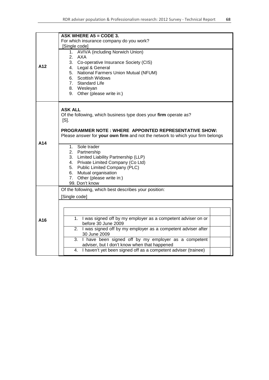|     | ASK WHERE $A5 = CODE$ 3.                                                       |  |  |
|-----|--------------------------------------------------------------------------------|--|--|
|     | For which insurance company do you work?                                       |  |  |
|     | [Single code]                                                                  |  |  |
|     | 1. AVIVA (including Norwich Union)                                             |  |  |
|     | 2. AXA                                                                         |  |  |
| A12 | 3.<br>Co-operative Insurance Society (CIS)                                     |  |  |
|     | 4. Legal & General                                                             |  |  |
|     | 5. National Farmers Union Mutual (NFUM)                                        |  |  |
|     | 6. Scottish Widows                                                             |  |  |
|     | <b>Standard Life</b><br>7.                                                     |  |  |
|     | 8. Wesleyan                                                                    |  |  |
|     | 9. Other (please write in:)                                                    |  |  |
|     | <b>ASK ALL</b>                                                                 |  |  |
|     | Of the following, which business type does your firm operate as?               |  |  |
|     | $[S]$ .                                                                        |  |  |
|     |                                                                                |  |  |
|     | <b>PROGRAMMER NOTE: WHERE APPOINTED REPRESENTATIVE SHOW:</b>                   |  |  |
|     | Please answer for your own firm and not the network to which your firm belongs |  |  |
| A14 |                                                                                |  |  |
|     | 1. Sole trader                                                                 |  |  |
|     | 2. Partnership                                                                 |  |  |
|     | 3. Limited Liability Partnership (LLP)                                         |  |  |
|     | Private Limited Company (Co Ltd)<br>4.                                         |  |  |
|     | 5. Public Limited Company (PLC)                                                |  |  |
|     | 6. Mutual organisation                                                         |  |  |
|     | 7. Other (please write in:)<br>99. Don't know                                  |  |  |
|     | Of the following, which best describes your position:                          |  |  |
|     | [Single code]                                                                  |  |  |
|     |                                                                                |  |  |
|     |                                                                                |  |  |
|     |                                                                                |  |  |
|     | I was signed off by my employer as a competent adviser on or<br>1.             |  |  |
| A16 | before 30 June 2009                                                            |  |  |
|     | 2. I was signed off by my employer as a competent adviser after                |  |  |
|     | 30 June 2009                                                                   |  |  |
|     | 3. I have been signed off by my employer as a competent                        |  |  |
|     | adviser, but I don't know when that happened                                   |  |  |
|     | 4. I haven't yet been signed off as a competent adviser (trainee)              |  |  |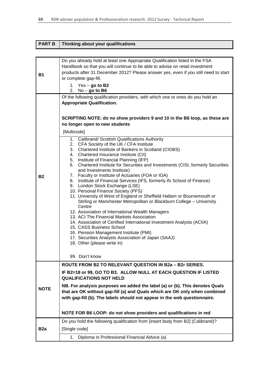| <b>PART B</b>   | Thinking about your qualifications                                                                                                                                                                                                                                                                                                                                                                                                                                                                                                                                                                                                                                                                                                                                                                                                                                                                                                                                                                                                                                                              |  |
|-----------------|-------------------------------------------------------------------------------------------------------------------------------------------------------------------------------------------------------------------------------------------------------------------------------------------------------------------------------------------------------------------------------------------------------------------------------------------------------------------------------------------------------------------------------------------------------------------------------------------------------------------------------------------------------------------------------------------------------------------------------------------------------------------------------------------------------------------------------------------------------------------------------------------------------------------------------------------------------------------------------------------------------------------------------------------------------------------------------------------------|--|
|                 |                                                                                                                                                                                                                                                                                                                                                                                                                                                                                                                                                                                                                                                                                                                                                                                                                                                                                                                                                                                                                                                                                                 |  |
| <b>B1</b>       | Do you already hold at least one Appropriate Qualification listed in the FSA<br>Handbook so that you will continue to be able to advise on retail investment<br>products after 31 December 2012? Please answer yes, even if you still need to start<br>or complete gap-fill.<br>1. Yes $-$ go to B2<br>2. $No - go to B6$                                                                                                                                                                                                                                                                                                                                                                                                                                                                                                                                                                                                                                                                                                                                                                       |  |
|                 | Of the following qualification providers, with which one or ones do you hold an<br><b>Appropriate Qualification.</b><br>SCRIPTING NOTE: do no show providers 9 and 10 in the B6 loop, as these are                                                                                                                                                                                                                                                                                                                                                                                                                                                                                                                                                                                                                                                                                                                                                                                                                                                                                              |  |
|                 | no longer open to new students<br>[Multicode]                                                                                                                                                                                                                                                                                                                                                                                                                                                                                                                                                                                                                                                                                                                                                                                                                                                                                                                                                                                                                                                   |  |
| <b>B2</b>       | 1. Calibrand/ Scottish Qualifications Authority<br>2. CFA Society of the UK / CFA Institute<br>3. Chartered Institute of Bankers in Scotland (CIOBS)<br>4. Chartered Insurance Institute (CII)<br>5. Institute of Financial Planning (IFP)<br>Chartered Institute for Securities and Investments (CISI, formerly Securities<br>6.<br>and Investments Institute)<br>7. Faculty or Institute of Actuaries (FOA or IOA)<br>8. Institute of Financial Services (IFS, formerly ifs School of Finance)<br>9. London Stock Exchange (LSE)<br>10. Personal Finance Society (PFS)<br>11. University of West of England or Sheffield Hallam or Bournemouth or<br>Stirling or Manchester Metropolitan or Blackburn College - University<br>Centre<br>12. Association of International Wealth Managers<br>13. ACI The Financial Markets Association<br>14. Association of Certified International Investment Analysts (ACIIA)<br>15. CASS Business School<br>16. Pension Management Institute (PMI)<br>17. Securities Analysts Association of Japan (SAAJ)<br>18. Other (please write in)<br>99. Don't know |  |
|                 | <b>ROUTE FROM B2 TO RELEVANT QUESTION IN B2a - B2r SERIES.</b>                                                                                                                                                                                                                                                                                                                                                                                                                                                                                                                                                                                                                                                                                                                                                                                                                                                                                                                                                                                                                                  |  |
|                 | IF B2=18 or 99, GO TO B3. ALLOW NULL AT EACH QUESTION IF LISTED<br><b>QUALIFICATIONS NOT HELD</b>                                                                                                                                                                                                                                                                                                                                                                                                                                                                                                                                                                                                                                                                                                                                                                                                                                                                                                                                                                                               |  |
| <b>NOTE</b>     | NB. For analysis purposes we added the label (a) or (b). This denotes Quals<br>that are OK without gap-fill (a) and Quals which are OK only when combined<br>with gap-fill (b). The labels should not appear in the web questionnaire.                                                                                                                                                                                                                                                                                                                                                                                                                                                                                                                                                                                                                                                                                                                                                                                                                                                          |  |
|                 | NOTE FOR B6 LOOP: do not show providers and qualifications in red                                                                                                                                                                                                                                                                                                                                                                                                                                                                                                                                                                                                                                                                                                                                                                                                                                                                                                                                                                                                                               |  |
|                 | Do you hold the following qualification from [insert body from B2] (Calibrand)?                                                                                                                                                                                                                                                                                                                                                                                                                                                                                                                                                                                                                                                                                                                                                                                                                                                                                                                                                                                                                 |  |
| B <sub>2a</sub> | [Single code]                                                                                                                                                                                                                                                                                                                                                                                                                                                                                                                                                                                                                                                                                                                                                                                                                                                                                                                                                                                                                                                                                   |  |
|                 | 1. Diploma in Professional Financial Advice (a)                                                                                                                                                                                                                                                                                                                                                                                                                                                                                                                                                                                                                                                                                                                                                                                                                                                                                                                                                                                                                                                 |  |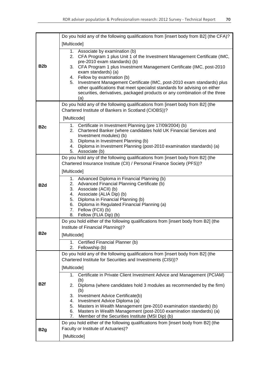| B <sub>2</sub> b | Do you hold any of the following qualifications from [insert body from B2] (the CFA)?                                                                                                                     |  |
|------------------|-----------------------------------------------------------------------------------------------------------------------------------------------------------------------------------------------------------|--|
|                  | [Multicode]                                                                                                                                                                                               |  |
|                  | 1. Associate by examination (b)<br>CFA Program 1 plus Unit 1 of the Investment Management Certificate (IMC,<br>2.<br>pre-2010 exam standards) (b)                                                         |  |
|                  | CFA Program 1 plus Investment Management Certificate (IMC, post-2010<br>3.<br>exam standards) (a)                                                                                                         |  |
|                  | 4. Fellow by examination (b)<br>5.<br>Investment Management Certificate (IMC, post-2010 exam standards) plus                                                                                              |  |
|                  | other qualifications that meet specialist standards for advising on either<br>securities, derivatives, packaged products or any combination of the three<br>(a)                                           |  |
|                  | Do you hold any of the following qualifications from [insert body from B2] (the<br>Chartered Institute of Bankers in Scotland (CIOBS))?                                                                   |  |
|                  | [Multicode]                                                                                                                                                                                               |  |
| B <sub>2c</sub>  | 1. Certificate in Investment Planning (pre 17/09/2004) (b)<br>Chartered Banker (where candidates hold UK Financial Services and<br>2.<br>Investment modules) (b)<br>3. Diploma in Investment Planning (b) |  |
|                  | Diploma in Investment Planning (post-2010 examination standards) (a)<br>4.<br>5.<br>Associate (b)                                                                                                         |  |
|                  | Do you hold any of the following qualifications from [insert body from B2] (the                                                                                                                           |  |
|                  | Chartered Insurance Institute (CII) / Personal Finance Society (PFS))?                                                                                                                                    |  |
|                  | [Multicode]<br>1. Advanced Diploma in Financial Planning (b)                                                                                                                                              |  |
| B <sub>2d</sub>  | Advanced Financial Planning Certificate (b)<br>2.                                                                                                                                                         |  |
|                  | Associate (ACII) (b)<br>3.<br>4. Associate (ALIA Dip) (b)                                                                                                                                                 |  |
|                  | 5. Diploma in Financial Planning (b)<br>6. Diploma in Regulated Financial Planning (a)                                                                                                                    |  |
|                  | 7. Fellow (FCII) (b)                                                                                                                                                                                      |  |
|                  | Fellow (FLIA Dip) (b)<br>8.<br>Do you hold either of the following qualifications from [insert body from B2] (the                                                                                         |  |
|                  | Institute of Financial Planning)?                                                                                                                                                                         |  |
| B <sub>2e</sub>  | [Multicode]                                                                                                                                                                                               |  |
|                  | Certified Financial Planner (b)<br>1.<br>2.<br>Fellowship (b)                                                                                                                                             |  |
| B <sub>2f</sub>  | Do you hold any of the following qualifications from [insert body from B2] (the                                                                                                                           |  |
|                  | Chartered Institute for Securities and Investments (CISI))?                                                                                                                                               |  |
|                  | [Multicode]<br>Certificate in Private Client Investment Advice and Management (PCIAM)<br>1.                                                                                                               |  |
|                  | (b)                                                                                                                                                                                                       |  |
|                  | Diploma (where candidates hold 3 modules as recommended by the firm)<br>2.<br>(b)                                                                                                                         |  |
|                  | Investment Advice Certificate(b)<br>3.<br>Investment Advice Diploma (a)<br>4.                                                                                                                             |  |
|                  | Masters in Wealth Management (pre-2010 examination standards) (b)<br>5.                                                                                                                                   |  |
|                  | Masters in Wealth Management (post-2010 examination standards) (a)<br>6.<br>Member of the Securities Institute (MSI Dip) (b)<br>7.                                                                        |  |
|                  | Do you hold either of the following qualifications from [insert body from B2] (the                                                                                                                        |  |
| B <sub>2g</sub>  | Faculty or Institute of Actuaries)?                                                                                                                                                                       |  |
|                  | [Multicode]                                                                                                                                                                                               |  |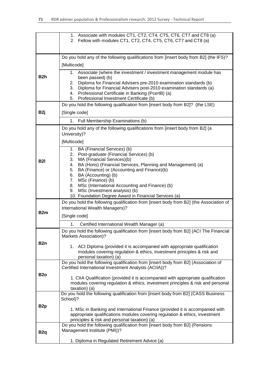|                  | 1. Associate with modules CT1, CT2, CT4, CT5, CT6, CT7 and CT8 (a)<br>2. Fellow with modules CT1, CT2, CT4, CT5, CT6, CT7 and CT8 (a)                                                                                                                                                                                                                       |  |  |  |
|------------------|-------------------------------------------------------------------------------------------------------------------------------------------------------------------------------------------------------------------------------------------------------------------------------------------------------------------------------------------------------------|--|--|--|
|                  |                                                                                                                                                                                                                                                                                                                                                             |  |  |  |
| B <sub>2</sub> h | Do you hold any of the following qualifications from [insert body from B2] (the IFS)?<br>[Multicode]                                                                                                                                                                                                                                                        |  |  |  |
|                  | 1. Associate (where the investment / investment management module has<br>been passed) (b)<br>Diploma for Financial Advisers pre-2010 examination standards (b)<br>2.<br>3.<br>Diploma for Financial Advisers post-2010 examination standards (a)<br>Professional Certificate in Banking (PcertB) (a)<br>4.<br>Professional Investment Certificate (b)<br>5. |  |  |  |
|                  | Do you hold the following qualification from [insert body from B2]? (the LSE)                                                                                                                                                                                                                                                                               |  |  |  |
| B <sub>2j</sub>  | [Single code]                                                                                                                                                                                                                                                                                                                                               |  |  |  |
|                  | 1. Full Membership Examinations (b)                                                                                                                                                                                                                                                                                                                         |  |  |  |
|                  | Do you hold any of the following qualifications from [insert body from B2] (a<br>University)?                                                                                                                                                                                                                                                               |  |  |  |
|                  | [Multicode]                                                                                                                                                                                                                                                                                                                                                 |  |  |  |
| <b>B2I</b>       | 1. BA (Financial Services) (b)<br>Post-graduate (Financial Services) (b)<br>2.<br>3.<br>MA (Financial Services)(b)<br>BA (Hons) (Financial Services, Planning and Management) (a)<br>4.<br>5.<br>BA (Finance) or (Accounting and Finance)(b)<br>6.<br>BA (Accounting) (b)                                                                                   |  |  |  |
|                  | MSc (Finance) (b)<br>7.<br>MSc (International Accounting and Finance) (b)<br>8.<br>MSc (Investment analysis) (b)<br>9.<br>10. Foundation Degree Award in Financial Services (a)                                                                                                                                                                             |  |  |  |
|                  | Do you hold the following qualification from [insert body from B2] (the Association of                                                                                                                                                                                                                                                                      |  |  |  |
| B <sub>2m</sub>  | International Wealth Managers)?<br>[Single code]                                                                                                                                                                                                                                                                                                            |  |  |  |
|                  | Certified International Wealth Manager (a)<br>1.                                                                                                                                                                                                                                                                                                            |  |  |  |
| B <sub>2</sub> n | Do you hold the following qualification from [insert body from B2] (ACI The Financial<br>Markets Association)?                                                                                                                                                                                                                                              |  |  |  |
|                  | 1. ACI Diploma (provided it is accompanied with appropriate qualification<br>modules covering regulation & ethics, investment principles & risk and<br>personal taxation) (a)                                                                                                                                                                               |  |  |  |
| B <sub>2</sub> o | Do you hold the following qualification from [insert body from B2] (Association of<br>Certified International Investment Analysts (ACIIA))?                                                                                                                                                                                                                 |  |  |  |
|                  | 1. CIIA Qualification (provided it is accompanied with appropriate qualification<br>modules covering regulation & ethics, investment principles & risk and personal<br>taxation) (a)                                                                                                                                                                        |  |  |  |
| B <sub>2p</sub>  | Do you hold the following qualification from [insert body from B2] (CASS Business<br>School)?                                                                                                                                                                                                                                                               |  |  |  |
|                  | 1. MSc in Banking and International Finance (provided it is accompanied with<br>appropriate qualifications modules covering regulation & ethics, investment<br>principles & risk and personal taxation) (a)                                                                                                                                                 |  |  |  |
| B <sub>2q</sub>  | Do you hold the following qualification from [insert body from B2] (Pensions<br>Management Institute (PMI))?                                                                                                                                                                                                                                                |  |  |  |
|                  | 1. Diploma in Regulated Retirement Advice (a)                                                                                                                                                                                                                                                                                                               |  |  |  |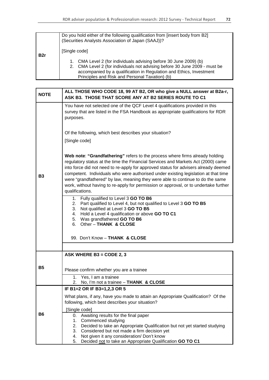|                  | Do you hold either of the following qualification from [insert body from B2]<br>(Securities Analysts Association of Japan (SAAJ))?                                                                                                                                                        |
|------------------|-------------------------------------------------------------------------------------------------------------------------------------------------------------------------------------------------------------------------------------------------------------------------------------------|
| B <sub>2</sub> r | [Single code]<br>1. CMA Level 2 (for individuals advising before 30 June 2009) (b)<br>2. CMA Level 2 (for individuals not advising before 30 June 2009 - must be<br>accompanied by a qualification in Regulation and Ethics, Investment<br>Principles and Risk and Personal Taxation) (b) |

| <b>NOTE</b> | ALL THOSE WHO CODE 18, 99 AT B2, OR who give a NULL answer at B2a-r,<br>ASK B3. THOSE THAT SCORE ANY AT B2 SERIES ROUTE TO C1                                                                                                                                                                                                                                                                                                                                                                                                              |  |  |
|-------------|--------------------------------------------------------------------------------------------------------------------------------------------------------------------------------------------------------------------------------------------------------------------------------------------------------------------------------------------------------------------------------------------------------------------------------------------------------------------------------------------------------------------------------------------|--|--|
|             | You have not selected one of the QCF Level 4 qualifications provided in this<br>survey that are listed in the FSA Handbook as appropriate qualifications for RDR<br>purposes.                                                                                                                                                                                                                                                                                                                                                              |  |  |
|             | Of the following, which best describes your situation?<br>[Single code]                                                                                                                                                                                                                                                                                                                                                                                                                                                                    |  |  |
| <b>B3</b>   | Web note: "Grandfathering" refers to the process where firms already holding<br>regulatory status at the time the Financial Services and Markets Act (2000) came<br>into force did not need to re-apply for approved status for advisers already deemed<br>competent. Individuals who were authorised under existing legislation at that time<br>were "grandfathered" by law, meaning they were able to continue to do the same<br>work, without having to re-apply for permission or approval, or to undertake further<br>qualifications. |  |  |
|             | Fully qualified to Level 3 GO TO B6<br>1.<br>2. Part qualified to Level 4, but not qualified to Level 3 GO TO B5<br>3. Not qualified at Level 3 GO TO B5<br>4. Hold a Level 4 qualification or above GO TO C1<br>5. Was grandfathered GO TO B6<br>6. Other - THANK & CLOSE                                                                                                                                                                                                                                                                 |  |  |
|             | 99. Don't Know - THANK & CLOSE                                                                                                                                                                                                                                                                                                                                                                                                                                                                                                             |  |  |
|             | ASK WHERE B3 = CODE 2, 3                                                                                                                                                                                                                                                                                                                                                                                                                                                                                                                   |  |  |
| <b>B5</b>   | Please confirm whether you are a trainee                                                                                                                                                                                                                                                                                                                                                                                                                                                                                                   |  |  |
|             | 1.<br>Yes, I am a trainee<br>No, I'm not a trainee - THANK & CLOSE<br>2.                                                                                                                                                                                                                                                                                                                                                                                                                                                                   |  |  |
|             | IF B1=2 OR IF B3=1,2,3 OR 5                                                                                                                                                                                                                                                                                                                                                                                                                                                                                                                |  |  |
|             | What plans, if any, have you made to attain an Appropriate Qualification? Of the<br>following, which best describes your situation?                                                                                                                                                                                                                                                                                                                                                                                                        |  |  |
|             | [Single code]                                                                                                                                                                                                                                                                                                                                                                                                                                                                                                                              |  |  |
| <b>B6</b>   | Awaiting results for the final paper<br>0.<br>Commenced studying<br>1.<br>Decided to take an Appropriate Qualification but not yet started studying<br>2.<br>Considered but not made a firm decision yet<br>3.<br>Not given it any consideration/ Don't know<br>4.<br>5.<br>Decided not to take an Appropriate Qualification GO TO C1                                                                                                                                                                                                      |  |  |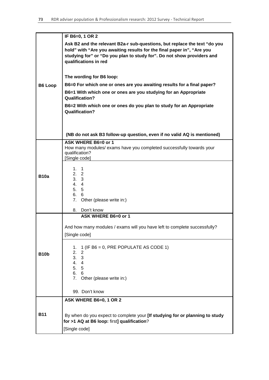|                | IF B6=0, 1 OR 2                                                                                                                                                                                                                                        |
|----------------|--------------------------------------------------------------------------------------------------------------------------------------------------------------------------------------------------------------------------------------------------------|
|                | Ask B2 and the relevant B2a-r sub-questions, but replace the text "do you<br>hold" with "Are you awaiting results for the final paper in", "Are you<br>studying for" or "Do you plan to study for". Do not show providers and<br>qualifications in red |
|                | The wording for B6 loop:                                                                                                                                                                                                                               |
| <b>B6 Loop</b> | B6=0 For which one or ones are you awaiting results for a final paper?                                                                                                                                                                                 |
|                | B6=1 With which one or ones are you studying for an Appropriate<br><b>Qualification?</b>                                                                                                                                                               |
|                | B6=2 With which one or ones do you plan to study for an Appropriate<br><b>Qualification?</b>                                                                                                                                                           |
|                |                                                                                                                                                                                                                                                        |
|                | (NB do not ask B3 follow-up question, even if no valid AQ is mentioned)                                                                                                                                                                                |
|                | ASK WHERE B6=0 or 1<br>How many modules/ exams have you completed successfully towards your<br>qualification?<br>[Single code]                                                                                                                         |
| <b>B10a</b>    | 1. $1$<br>2.2<br>3.3<br>4. 4<br>5. 5<br>6. 6<br>7. Other (please write in:)                                                                                                                                                                            |
|                | 8. Don't know<br>ASK WHERE B6=0 or 1                                                                                                                                                                                                                   |
|                | And how many modules / exams will you have left to complete successfully?<br>[Single code]                                                                                                                                                             |
| <b>B10b</b>    | 1 (IF B6 = 0, PRE POPULATE AS CODE 1)<br>1.<br>2.<br>$\overline{2}$<br>3.<br>$\overline{3}$<br>4.<br>$\overline{4}$<br>5.5<br>6. 6<br>7. Other (please write in:)                                                                                      |
|                | 99. Don't know                                                                                                                                                                                                                                         |
|                | ASK WHERE B6=0, 1 OR 2                                                                                                                                                                                                                                 |
| <b>B11</b>     | By when do you expect to complete your [If studying for or planning to study<br>for >1 AQ at B6 loop: first] qualification?                                                                                                                            |
|                | [Single code]                                                                                                                                                                                                                                          |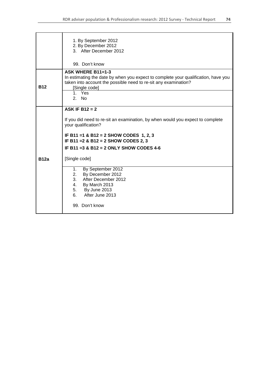|             | 1. By September 2012<br>2. By December 2012<br>3. After December 2012<br>99. Don't know                                                                                                                                                                                       |
|-------------|-------------------------------------------------------------------------------------------------------------------------------------------------------------------------------------------------------------------------------------------------------------------------------|
| <b>B12</b>  | ASK WHERE B11=1-3<br>In estimating the date by when you expect to complete your qualification, have you<br>taken into account the possible need to re-sit any examination?<br>[Single code]                                                                                   |
|             | 1. Yes<br>2. N <sub>0</sub>                                                                                                                                                                                                                                                   |
| <b>B12a</b> | ASK IF B12 = $2$<br>If you did need to re-sit an examination, by when would you expect to complete<br>your qualification?<br>IF B11 = 1 & B12 = 2 SHOW CODES 1, 2, 3<br>IF B11 = 2 & B12 = 2 SHOW CODES 2, 3<br>IF B11 = $3$ & B12 = $2$ ONLY SHOW CODES 4-6<br>[Single code] |
|             | By September 2012<br>1.<br>By December 2012<br>2.<br>After December 2012<br>3.<br>4.<br>By March 2013<br>5. By June 2013<br>After June 2013<br>6.<br>99. Don't know                                                                                                           |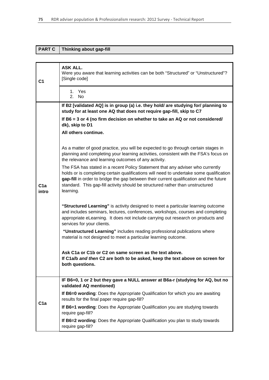| <b>PART C</b>  | Thinking about gap-fill                                                                                                                                                                                                                                                                                                                                            |
|----------------|--------------------------------------------------------------------------------------------------------------------------------------------------------------------------------------------------------------------------------------------------------------------------------------------------------------------------------------------------------------------|
|                |                                                                                                                                                                                                                                                                                                                                                                    |
| C <sub>1</sub> | <b>ASK ALL.</b><br>Were you aware that learning activities can be both "Structured" or "Unstructured"?<br>[Single code]                                                                                                                                                                                                                                            |
|                | 1. Yes<br>2. No                                                                                                                                                                                                                                                                                                                                                    |
|                | If B2 [validated AQ] is in group (a) i.e. they hold/ are studying for/ planning to<br>study for at least one AQ that does not require gap-fill, skip to C7                                                                                                                                                                                                         |
|                | If B6 = 3 or 4 (no firm decision on whether to take an AQ or not considered/<br>dk), skip to D1                                                                                                                                                                                                                                                                    |
|                | All others continue.                                                                                                                                                                                                                                                                                                                                               |
| C1a<br>intro   | As a matter of good practice, you will be expected to go through certain stages in<br>planning and completing your learning activities, consistent with the FSA's focus on<br>the relevance and learning outcomes of any activity.                                                                                                                                 |
|                | The FSA has stated in a recent Policy Statement that any adviser who currently<br>holds or is completing certain qualifications will need to undertake some qualification<br>gap-fill in order to bridge the gap between their current qualification and the future<br>standard. This gap-fill activity should be structured rather than unstructured<br>learning. |
|                | "Structured Learning" is activity designed to meet a particular learning outcome<br>and includes seminars, lectures, conferences, workshops, courses and completing<br>appropriate eLearning. It does not include carrying out research on products and<br>services for your clients.                                                                              |
|                | "Unstructured Learning" includes reading professional publications where<br>material is not designed to meet a particular learning outcome.                                                                                                                                                                                                                        |
|                | Ask C1a or C1b or C2 on same screen as the text above.<br>If C1a/b and then C2 are both to be asked, keep the text above on screen for<br>both questions.                                                                                                                                                                                                          |
|                | IF B6=0, 1 or 2 but they gave a NULL answer at B6a-r (studying for AQ, but no<br>validated AQ mentioned)                                                                                                                                                                                                                                                           |
| C1a            | If B6=0 wording: Does the Appropriate Qualification for which you are awaiting<br>results for the final paper require gap-fill?                                                                                                                                                                                                                                    |
|                | If B6=1 wording: Does the Appropriate Qualification you are studying towards<br>require gap-fill?                                                                                                                                                                                                                                                                  |
|                | If B6=2 wording: Does the Appropriate Qualification you plan to study towards<br>require gap-fill?                                                                                                                                                                                                                                                                 |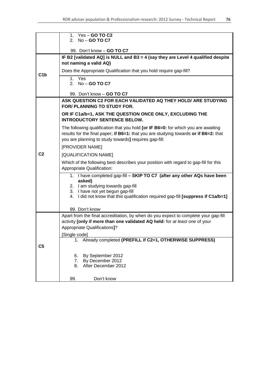|                | 1. Yes - <b>GO TO C2</b><br>2. $No - GO TO C7$                                                                     |  |  |
|----------------|--------------------------------------------------------------------------------------------------------------------|--|--|
|                |                                                                                                                    |  |  |
|                | 99. Don't know - GO TO C7                                                                                          |  |  |
|                | IF B2 [validated AQ] is NULL and B3 = 4 (say they are Level 4 qualified despite                                    |  |  |
| C1b            | not naming a valid AQ)                                                                                             |  |  |
|                | Does the Appropriate Qualification that you hold require gap-fill?                                                 |  |  |
|                | 1. Yes                                                                                                             |  |  |
|                | 2. $No - GO TO C7$                                                                                                 |  |  |
|                | 99. Don't know - GO TO C7                                                                                          |  |  |
|                | ASK QUESTION C2 FOR EACH VALIDATED AQ THEY HOLD/ ARE STUDYING                                                      |  |  |
|                | <b>FOR/ PLANNING TO STUDY FOR.</b>                                                                                 |  |  |
|                | OR IF C1a/b=1, ASK THE QUESTION ONCE ONLY, EXCLUDING THE                                                           |  |  |
|                | <b>INTRODUCTORY SENTENCE BELOW.</b>                                                                                |  |  |
|                | The following qualification that you hold [or IF B6=0: for which you are awaiting                                  |  |  |
|                | results for the final paper; if B6=1: that you are studying towards or if B6=2: that                               |  |  |
|                | you are planning to study towards] requires gap-fill:                                                              |  |  |
|                | [PROVIDER NAME]                                                                                                    |  |  |
| C <sub>2</sub> | [QUALIFICATION NAME]                                                                                               |  |  |
|                | Which of the following best describes your position with regard to gap-fill for this<br>Appropriate Qualification: |  |  |
|                | 1. I have completed gap-fill - SKIP TO C7 (after any other AQs have been                                           |  |  |
|                | asked)                                                                                                             |  |  |
|                | 2. I am studying towards gap-fill<br>3. I have not yet begun gap-fill                                              |  |  |
|                | 4. I did not know that this qualification required gap-fill [suppress if C1a/b=1]                                  |  |  |
|                |                                                                                                                    |  |  |
|                | 99. Don't know                                                                                                     |  |  |
|                | Apart from the final accreditation, by when do you expect to complete your gap-fill                                |  |  |
|                | activity [only if more than one validated AQ held: for at least one of your                                        |  |  |
|                | Appropriate Qualifications]?                                                                                       |  |  |
|                | Single code]<br>1. Already completed (PREFILL if C2=1, OTHERWISE SUPPRESS)                                         |  |  |
|                |                                                                                                                    |  |  |
| C <sub>5</sub> |                                                                                                                    |  |  |
|                | By September 2012<br>6.                                                                                            |  |  |
|                | By December 2012<br>7.<br>After December 2012<br>8.                                                                |  |  |
|                |                                                                                                                    |  |  |
|                | Don't know<br>99.                                                                                                  |  |  |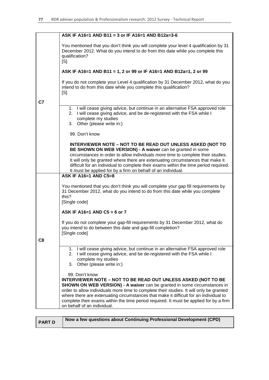|    | ASK IF A16=1 AND B11 = 3 or IF A16=1 AND B12a=3-6                                                                                                                                                                                                                                                                                                                                                                                                                               |
|----|---------------------------------------------------------------------------------------------------------------------------------------------------------------------------------------------------------------------------------------------------------------------------------------------------------------------------------------------------------------------------------------------------------------------------------------------------------------------------------|
|    | You mentioned that you don't think you will complete your level 4 qualification by 31<br>December 2012. What do you intend to do from this date while you complete this<br>qualification?<br>[S]                                                                                                                                                                                                                                                                                |
|    | ASK IF A16=1 AND B11 = 1, 2 or 99 or IF A16=1 AND B12a=1, 2 or 99                                                                                                                                                                                                                                                                                                                                                                                                               |
| C7 | If you do not complete your Level 4 qualification by 31 December 2012, what do you<br>intend to do from this date while you complete this qualification?<br>[S]                                                                                                                                                                                                                                                                                                                 |
|    | 1. I will cease giving advice, but continue in an alternative FSA approved role<br>2. I will cease giving advice, and be de-registered with the FSA while I<br>complete my studies<br>3. Other (please write in:)                                                                                                                                                                                                                                                               |
|    | 99. Don't know                                                                                                                                                                                                                                                                                                                                                                                                                                                                  |
|    | INTERVIEWER NOTE - NOT TO BE READ OUT UNLESS ASKED (NOT TO<br>BE SHOWN ON WEB VERSION) - A waiver can be granted in some<br>circumstances in order to allow individuals more time to complete their studies.<br>It will only be granted where there are extenuating circumstances that make it<br>difficult for an individual to complete their exams within the time period required.<br>It must be applied for by a firm on behalf of an individual.                          |
|    | <b>ASK IF A16=1 AND C5=8</b>                                                                                                                                                                                                                                                                                                                                                                                                                                                    |
|    | You mentioned that you don't think you will complete your gap fill requirements by<br>31 December 2012, what do you intend to do from this date while you complete<br>this?<br>[Single code]                                                                                                                                                                                                                                                                                    |
|    | ASK IF A16=1 AND C5 = 6 or 7                                                                                                                                                                                                                                                                                                                                                                                                                                                    |
| C8 | If you do not complete your gap-fill requirements by 31 December 2012, what do<br>you intend to do between this date and gap-fill completion?<br>[Single code]                                                                                                                                                                                                                                                                                                                  |
|    | 1. I will cease giving advice, but continue in an alternative FSA approved role<br>I will cease giving advice, and be de-registered with the FSA while I<br>2.<br>complete my studies<br>Other (please write in:)<br>3.                                                                                                                                                                                                                                                         |
|    | 99. Don't know<br><b>INTERVIEWER NOTE – NOT TO BE READ OUT UNLESS ASKED (NOT TO BE</b><br>SHOWN ON WEB VERSION) - A waiver can be granted in some circumstances in<br>order to allow individuals more time to complete their studies. It will only be granted<br>where there are extenuating circumstances that make it difficult for an individual to<br>complete their exams within the time period required. It must be applied for by a firm<br>on behalf of an individual. |

**PART D** Now a few questions about Continuing Professional Development (CPD)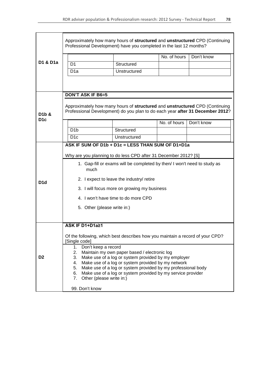|                  | Approximately how many hours of structured and unstructured CPD (Continuing<br>Professional Development) have you completed in the last 12 months?           |              |              |            |  |
|------------------|--------------------------------------------------------------------------------------------------------------------------------------------------------------|--------------|--------------|------------|--|
|                  |                                                                                                                                                              |              | No. of hours | Don't know |  |
| D1 & D1a         | D <sub>1</sub>                                                                                                                                               | Structured   |              |            |  |
|                  | D <sub>1</sub> a                                                                                                                                             | Unstructured |              |            |  |
|                  |                                                                                                                                                              |              |              |            |  |
|                  |                                                                                                                                                              |              |              |            |  |
|                  | <b>DON'T ASK IF B6=5</b>                                                                                                                                     |              |              |            |  |
| D1b &            | Approximately how many hours of structured and unstructured CPD (Continuing<br>Professional Development) do you plan to do each year after 31 December 2012? |              |              |            |  |
| D <sub>1</sub> c |                                                                                                                                                              |              | No. of hours | Don't know |  |
|                  | D <sub>1</sub> b                                                                                                                                             | Structured   |              |            |  |
|                  | D <sub>1c</sub>                                                                                                                                              | Unstructured |              |            |  |
|                  | ASK IF SUM OF D1b + D1c = LESS THAN SUM OF D1+D1a                                                                                                            |              |              |            |  |
|                  | Why are you planning to do less CPD after 31 December 2012? [S]                                                                                              |              |              |            |  |
|                  | 1. Gap-fill or exams will be completed by then/I won't need to study as<br>much                                                                              |              |              |            |  |
| D <sub>1d</sub>  | 2. I expect to leave the industry/ retire                                                                                                                    |              |              |            |  |
|                  | 3. I will focus more on growing my business                                                                                                                  |              |              |            |  |
|                  | 4. I won't have time to do more CPD                                                                                                                          |              |              |            |  |
|                  | 5. Other (please write in:)                                                                                                                                  |              |              |            |  |
|                  |                                                                                                                                                              |              |              |            |  |
|                  | ASK IF D1+D1a≥1                                                                                                                                              |              |              |            |  |
|                  | Of the following, which best describes how you maintain a record of your CPD?<br>[Single code]                                                               |              |              |            |  |
|                  | Don't keep a record<br>1.<br>2.<br>Maintain my own paper based / electronic log                                                                              |              |              |            |  |
| D <sub>2</sub>   | Make use of a log or system provided by my employer<br>3.                                                                                                    |              |              |            |  |
|                  | Make use of a log or system provided by my network<br>4.<br>Make use of a log or system provided by my professional body<br>5.                               |              |              |            |  |
|                  | Make use of a log or system provided by my service provider<br>6.                                                                                            |              |              |            |  |
|                  | 7.<br>Other (please write in:)                                                                                                                               |              |              |            |  |
|                  | 99. Don't know                                                                                                                                               |              |              |            |  |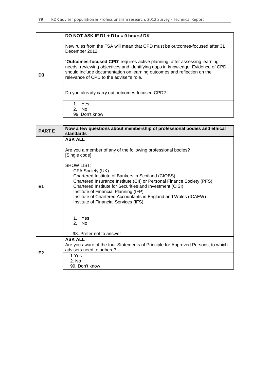|    | DO NOT ASK IF D1 + D1a = 0 hours/ DK                                                                                                                                                                                                                                                     |
|----|------------------------------------------------------------------------------------------------------------------------------------------------------------------------------------------------------------------------------------------------------------------------------------------|
|    | New rules from the FSA will mean that CPD must be outcomes-focused after 31<br>December 2012.                                                                                                                                                                                            |
| D3 | <b>'Outcomes-focused CPD'</b> requires active planning, after assessing learning<br>needs, reviewing objectives and identifying gaps in knowledge. Evidence of CPD<br>should include documentation on learning outcomes and reflection on the<br>relevance of CPD to the adviser's role. |
|    | Do you already carry out outcomes-focused CPD?                                                                                                                                                                                                                                           |
|    | 1. Yes<br>2. No.                                                                                                                                                                                                                                                                         |
|    | 99. Don't know                                                                                                                                                                                                                                                                           |

| <b>PART E</b>  | Now a few questions about membership of professional bodies and ethical<br>standards                                                                                                                                                                                                                                                                                                                                                                                               |  |  |
|----------------|------------------------------------------------------------------------------------------------------------------------------------------------------------------------------------------------------------------------------------------------------------------------------------------------------------------------------------------------------------------------------------------------------------------------------------------------------------------------------------|--|--|
| E1             | <b>ASK ALL</b><br>Are you a member of any of the following professional bodies?<br>[Single code]<br>SHOW LIST:<br>CFA Society (UK)<br>Chartered Institute of Bankers in Scotland (CIOBS)<br>Chartered Insurance Institute (CII) or Personal Finance Society (PFS)<br>Chartered Institute for Securities and Investment (CISI)<br>Institute of Financial Planning (IFP)<br>Institute of Chartered Accountants in England and Wales (ICAEW)<br>Institute of Financial Services (IFS) |  |  |
|                | 1. Yes<br>2. No.<br>98. Prefer not to answer                                                                                                                                                                                                                                                                                                                                                                                                                                       |  |  |
| E <sub>2</sub> | <b>ASK ALL</b><br>Are you aware of the four Statements of Principle for Approved Persons, to which<br>advisers need to adhere?                                                                                                                                                                                                                                                                                                                                                     |  |  |
|                | 1.Yes<br>2. N <sub>0</sub><br>99. Don't know                                                                                                                                                                                                                                                                                                                                                                                                                                       |  |  |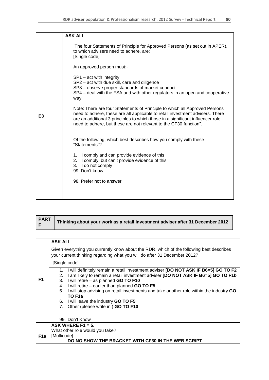|    | <b>ASK ALL</b>                                                                                                                                                                                                                                                                                                     |
|----|--------------------------------------------------------------------------------------------------------------------------------------------------------------------------------------------------------------------------------------------------------------------------------------------------------------------|
|    | The four Statements of Principle for Approved Persons (as set out in APER),<br>to which advisers need to adhere, are:<br>[Single code]                                                                                                                                                                             |
|    | An approved person must:-                                                                                                                                                                                                                                                                                          |
|    | $SP1 - act$ with integrity<br>SP2 - act with due skill, care and diligence<br>SP3 – observe proper standards of market conduct<br>SP4 - deal with the FSA and with other regulators in an open and cooperative<br>way                                                                                              |
| E3 | Note: There are four Statements of Principle to which all Approved Persons<br>need to adhere, these are all applicable to retail investment advisers. There<br>are an additional 3 principles to which those in a significant influencer role<br>need to adhere, but these are not relevant to the CF30 function". |
|    | Of the following, which best describes how you comply with these<br>"Statements"?                                                                                                                                                                                                                                  |
|    | 1. I comply and can provide evidence of this<br>2. I comply, but can't provide evidence of this<br>3. I do not comply<br>99. Don't know                                                                                                                                                                            |
|    | 98. Prefer not to answer                                                                                                                                                                                                                                                                                           |
|    |                                                                                                                                                                                                                                                                                                                    |

| <b>PART</b><br>'F' | Thinking about your work as a retail investment adviser after 31 December 2012 |
|--------------------|--------------------------------------------------------------------------------|
|--------------------|--------------------------------------------------------------------------------|

|                | <b>ASK ALL</b>                                                                                                                                                                                                                                                                                                                                                                                                                                                                                           |  |  |  |
|----------------|----------------------------------------------------------------------------------------------------------------------------------------------------------------------------------------------------------------------------------------------------------------------------------------------------------------------------------------------------------------------------------------------------------------------------------------------------------------------------------------------------------|--|--|--|
|                | Given everything you currently know about the RDR, which of the following best describes<br>your current thinking regarding what you will do after 31 December 2012?                                                                                                                                                                                                                                                                                                                                     |  |  |  |
|                | [Single code]                                                                                                                                                                                                                                                                                                                                                                                                                                                                                            |  |  |  |
| F <sub>1</sub> | I will definitely remain a retail investment adviser [DO NOT ASK IF B6=5] GO TO F2<br>1.<br>I am likely to remain a retail investment adviser [DO NOT ASK IF B6=5] GO TO F1b<br>2.<br>I will retire - as planned GO TO F10<br>3.<br>I will retire - earlier than planned GO TO F5<br>4.<br>I will stop advising on retail investments and take another role within the industry GO<br>5.<br>TO F <sub>1</sub> a<br>6. I will leave the industry <b>GO TO F5</b><br>7. Other (please write in:) GO TO F10 |  |  |  |
|                | 99. Don't Know                                                                                                                                                                                                                                                                                                                                                                                                                                                                                           |  |  |  |
|                | ASK WHERE F1 = 5.                                                                                                                                                                                                                                                                                                                                                                                                                                                                                        |  |  |  |
| F1a            | What other role would you take?<br>[Multicode]                                                                                                                                                                                                                                                                                                                                                                                                                                                           |  |  |  |
|                | DO NO SHOW THE BRACKET WITH CF30 IN THE WEB SCRIPT                                                                                                                                                                                                                                                                                                                                                                                                                                                       |  |  |  |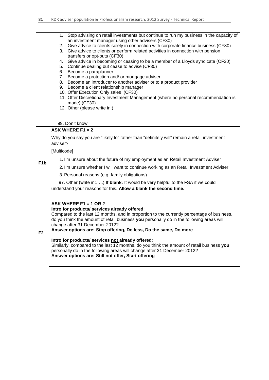|                  | Stop advising on retail investments but continue to run my business in the capacity of<br>1.<br>an investment manager using other advisers (CF30)<br>2. Give advice to clients solely in connection with corporate finance business (CF30)<br>3. Give advice to clients or perform related activities in connection with pension<br>transfers or opt-outs (CF30)<br>4. Give advice in becoming or ceasing to be a member of a Lloyds syndicate (CF30)<br>5. Continue dealing but cease to advise (CF30)<br>6. Become a paraplanner<br>7. Become a protection and/ or mortgage adviser<br>8. Become an introducer to another adviser or to a product provider<br>9. Become a client relationship manager<br>10. Offer Execution Only sales (CF30)<br>11. Offer Discretionary Investment Management (where no personal recommendation is<br>made) (CF30)<br>12. Other (please write in:)<br>99. Don't know |
|------------------|----------------------------------------------------------------------------------------------------------------------------------------------------------------------------------------------------------------------------------------------------------------------------------------------------------------------------------------------------------------------------------------------------------------------------------------------------------------------------------------------------------------------------------------------------------------------------------------------------------------------------------------------------------------------------------------------------------------------------------------------------------------------------------------------------------------------------------------------------------------------------------------------------------|
|                  | ASK WHERE F1 = $2$                                                                                                                                                                                                                                                                                                                                                                                                                                                                                                                                                                                                                                                                                                                                                                                                                                                                                       |
| F <sub>1</sub> b | Why do you say you are "likely to" rather than "definitely will" remain a retail investment<br>adviser?<br>[Multicode]<br>1. I'm unsure about the future of my employment as an Retail Investment Adviser<br>2. I'm unsure whether I will want to continue working as an Retail Investment Adviser                                                                                                                                                                                                                                                                                                                                                                                                                                                                                                                                                                                                       |
|                  | 3. Personal reasons (e.g. family obligations)<br>97. Other (write in:) If blank: It would be very helpful to the FSA if we could<br>understand your reasons for this. Allow a blank the second time.                                                                                                                                                                                                                                                                                                                                                                                                                                                                                                                                                                                                                                                                                                     |
| F2               | ASK WHERE F1 = 1 OR 2<br>Intro for products/ services already offered:<br>Compared to the last 12 months, and in proportion to the currently percentage of business,<br>do you think the amount of retail business you personally do in the following areas will<br>change after 31 December 2012?<br>Answer options are: Stop offering, Do less, Do the same, Do more<br>Intro for products/ services not already offered:<br>Similarly, compared to the last 12 months, do you think the amount of retail business you<br>personally do in the following areas will change after 31 December 2012?<br>Answer options are: Still not offer, Start offering                                                                                                                                                                                                                                              |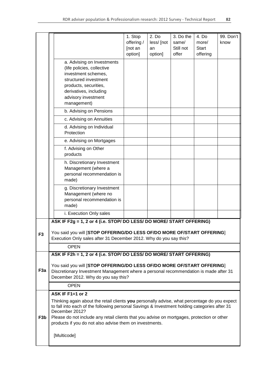|                  |                                                                                                                                                                                                                | 1. Stop    | 2. Do      | 3. Do the | 4. Do        | 99. Don't |  |  |
|------------------|----------------------------------------------------------------------------------------------------------------------------------------------------------------------------------------------------------------|------------|------------|-----------|--------------|-----------|--|--|
|                  |                                                                                                                                                                                                                | offering / | less/ [not | same/     | more/        | know      |  |  |
|                  |                                                                                                                                                                                                                | [not an    | an         | Still not | <b>Start</b> |           |  |  |
|                  |                                                                                                                                                                                                                | option]    | option]    | offer     | offering     |           |  |  |
|                  | a. Advising on Investments<br>(life policies, collective                                                                                                                                                       |            |            |           |              |           |  |  |
|                  | investment schemes,                                                                                                                                                                                            |            |            |           |              |           |  |  |
|                  | structured investment                                                                                                                                                                                          |            |            |           |              |           |  |  |
|                  | products, securities,                                                                                                                                                                                          |            |            |           |              |           |  |  |
|                  | derivatives, including<br>advisory investment                                                                                                                                                                  |            |            |           |              |           |  |  |
|                  | management)                                                                                                                                                                                                    |            |            |           |              |           |  |  |
|                  | b. Advising on Pensions                                                                                                                                                                                        |            |            |           |              |           |  |  |
|                  | c. Advising on Annuities                                                                                                                                                                                       |            |            |           |              |           |  |  |
|                  | d. Advising on Individual<br>Protection                                                                                                                                                                        |            |            |           |              |           |  |  |
|                  | e. Advising on Mortgages                                                                                                                                                                                       |            |            |           |              |           |  |  |
|                  | f. Advising on Other<br>products                                                                                                                                                                               |            |            |           |              |           |  |  |
|                  | h. Discretionary Investment                                                                                                                                                                                    |            |            |           |              |           |  |  |
|                  | Management (where a<br>personal recommendation is                                                                                                                                                              |            |            |           |              |           |  |  |
|                  | made)                                                                                                                                                                                                          |            |            |           |              |           |  |  |
|                  | g. Discretionary Investment                                                                                                                                                                                    |            |            |           |              |           |  |  |
|                  | Management (where no                                                                                                                                                                                           |            |            |           |              |           |  |  |
|                  | personal recommendation is<br>made)                                                                                                                                                                            |            |            |           |              |           |  |  |
|                  | i. Execution Only sales                                                                                                                                                                                        |            |            |           |              |           |  |  |
|                  | ASK IF F2g = 1, 2 or 4 (i.e. STOP/ DO LESS/ DO MORE/ START OFFERING)                                                                                                                                           |            |            |           |              |           |  |  |
|                  |                                                                                                                                                                                                                |            |            |           |              |           |  |  |
| F <sub>3</sub>   | You said you will <b>STOP OFFERING/DO LESS OF/DO MORE OF/START OFFERING</b> ]<br>Execution Only sales after 31 December 2012. Why do you say this?                                                             |            |            |           |              |           |  |  |
|                  | <b>OPEN</b>                                                                                                                                                                                                    |            |            |           |              |           |  |  |
|                  | ASK IF F2h = 1, 2 or 4 (i.e. STOP/ DO LESS/ DO MORE/ START OFFERING)                                                                                                                                           |            |            |           |              |           |  |  |
|                  |                                                                                                                                                                                                                |            |            |           |              |           |  |  |
| F <sub>3a</sub>  | You said you will [STOP OFFERING/DO LESS OF/DO MORE OF/START OFFERING]<br>Discretionary Investment Management where a personal recommendation is made after 31                                                 |            |            |           |              |           |  |  |
|                  | December 2012. Why do you say this?                                                                                                                                                                            |            |            |           |              |           |  |  |
|                  | <b>OPEN</b>                                                                                                                                                                                                    |            |            |           |              |           |  |  |
|                  | ASK IF F1=1 or 2                                                                                                                                                                                               |            |            |           |              |           |  |  |
|                  | Thinking again about the retail clients you personally advise, what percentage do you expect<br>to fall into each of the following personal Savings & Investment holding categories after 31<br>December 2012? |            |            |           |              |           |  |  |
| F <sub>3</sub> b | Please do not include any retail clients that you advise on mortgages, protection or other                                                                                                                     |            |            |           |              |           |  |  |
|                  | products if you do not also advise them on investments.                                                                                                                                                        |            |            |           |              |           |  |  |
|                  | [Multicode]                                                                                                                                                                                                    |            |            |           |              |           |  |  |
|                  |                                                                                                                                                                                                                |            |            |           |              |           |  |  |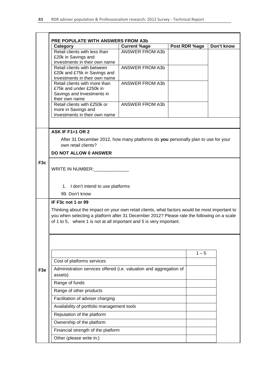|                  | <b>PRE POPULATE WITH ANSWERS FROM A3b</b>                                                                                                                                                                                                                          |                        |               |            |  |  |  |
|------------------|--------------------------------------------------------------------------------------------------------------------------------------------------------------------------------------------------------------------------------------------------------------------|------------------------|---------------|------------|--|--|--|
|                  | Category                                                                                                                                                                                                                                                           | <b>Current %age</b>    | Post RDR %age | Don't know |  |  |  |
|                  | Retail clients with less than<br>£20k in Savings and                                                                                                                                                                                                               | <b>ANSWER FROM A3b</b> |               |            |  |  |  |
|                  | Investments in their own name<br>Retail clients with between<br>£20k and £75k in Savings and<br>Investments in their own name                                                                                                                                      | <b>ANSWER FROM A3b</b> |               |            |  |  |  |
|                  | Retail clients with more than<br>£75k and under £250k in<br>Savings and Investments in<br>their own name                                                                                                                                                           | <b>ANSWER FROM A3b</b> |               |            |  |  |  |
|                  | Retail clients with £250k or<br>more in Savings and<br>Investments in their own name                                                                                                                                                                               | <b>ANSWER FROM A3b</b> |               |            |  |  |  |
|                  |                                                                                                                                                                                                                                                                    |                        |               |            |  |  |  |
|                  | <b>ASK IF F1=1 OR 2</b>                                                                                                                                                                                                                                            |                        |               |            |  |  |  |
|                  | After 31 December 2012, how many platforms do you personally plan to use for your<br>own retail clients?                                                                                                                                                           |                        |               |            |  |  |  |
|                  | <b>DO NOT ALLOW 0 ANSWER</b>                                                                                                                                                                                                                                       |                        |               |            |  |  |  |
| F <sub>3</sub> c | WRITE IN NUMBER:                                                                                                                                                                                                                                                   |                        |               |            |  |  |  |
|                  | 1. I don't intend to use platforms<br>99. Don't know                                                                                                                                                                                                               |                        |               |            |  |  |  |
|                  | IF F3c not 1 or 99                                                                                                                                                                                                                                                 |                        |               |            |  |  |  |
|                  | Thinking about the impact on your own retail clients, what factors would be most important to<br>you when selecting a platform after 31 December 2012? Please rate the following on a scale<br>of 1 to 5, where 1 is not at all important and 5 is very important. |                        |               |            |  |  |  |
|                  |                                                                                                                                                                                                                                                                    |                        |               |            |  |  |  |
|                  | Cost of platforms services                                                                                                                                                                                                                                         |                        | $1 - 5$       |            |  |  |  |
| F <sub>3e</sub>  | Administration services offered (i.e. valuation and aggregation of                                                                                                                                                                                                 |                        |               |            |  |  |  |
|                  | assets)<br>Range of funds                                                                                                                                                                                                                                          |                        |               |            |  |  |  |
|                  | Range of other products                                                                                                                                                                                                                                            |                        |               |            |  |  |  |
|                  | Facilitation of adviser charging                                                                                                                                                                                                                                   |                        |               |            |  |  |  |
|                  | Availability of portfolio management tools                                                                                                                                                                                                                         |                        |               |            |  |  |  |
|                  | Reputation of the platform                                                                                                                                                                                                                                         |                        |               |            |  |  |  |
|                  | Ownership of the platform                                                                                                                                                                                                                                          |                        |               |            |  |  |  |
|                  | Financial strength of the platform                                                                                                                                                                                                                                 |                        |               |            |  |  |  |
|                  | Other (please write in:)                                                                                                                                                                                                                                           |                        |               |            |  |  |  |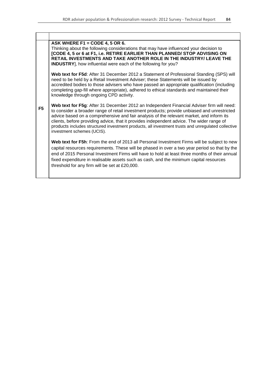| ASK WHERE F1 = CODE 4, 5 OR 6.<br>Thinking about the following considerations that may have influenced your decision to<br>[CODE 4, 5 or 6 at F1, i.e. RETIRE EARLIER THAN PLANNED/ STOP ADVISING ON<br>RETAIL INVESTMENTS AND TAKE ANOTHER ROLE IN THE INDUSTRY/ LEAVE THE<br>INDUSTRY], how influential were each of the following for you?                                                                                                                                                                          |
|------------------------------------------------------------------------------------------------------------------------------------------------------------------------------------------------------------------------------------------------------------------------------------------------------------------------------------------------------------------------------------------------------------------------------------------------------------------------------------------------------------------------|
| Web text for F5d: After 31 December 2012 a Statement of Professional Standing (SPS) will<br>need to be held by a Retail Investment Adviser; these Statements will be issued by<br>accredited bodies to those advisers who have passed an appropriate qualification (including<br>completing gap-fill where appropriate), adhered to ethical standards and maintained their<br>knowledge through ongoing CPD activity.                                                                                                  |
| Web text for F5g: After 31 December 2012 an Independent Financial Adviser firm will need:<br>to consider a broader range of retail investment products; provide unbiased and unrestricted<br>advice based on a comprehensive and fair analysis of the relevant market, and inform its<br>clients, before providing advice, that it provides independent advice. The wider range of<br>products includes structured investment products, all investment trusts and unregulated collective<br>investment schemes (UCIS). |
| Web text for F5h: From the end of 2013 all Personal Investment Firms will be subject to new<br>capital resources requirements. These will be phased in over a two year period so that by the<br>end of 2015 Personal Investment Firms will have to hold at least three months of their annual<br>fixed expenditure in realisable assets such as cash, and the minimum capital resources<br>threshold for any firm will be set at £20,000.                                                                              |
|                                                                                                                                                                                                                                                                                                                                                                                                                                                                                                                        |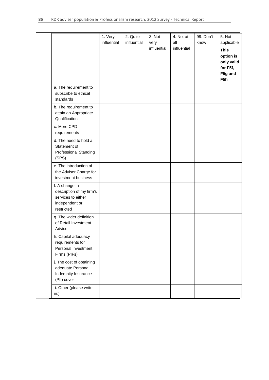|                                                                                                  | 1. Very<br>influential | 2. Quite<br>influential | 3. Not<br>very<br>influential | 4. Not at<br>all<br>influential | 99. Don't<br>know | 5. Not<br>applicable<br><b>This</b><br>option is<br>only valid<br>for F5f,<br>F5g and<br>F5h |
|--------------------------------------------------------------------------------------------------|------------------------|-------------------------|-------------------------------|---------------------------------|-------------------|----------------------------------------------------------------------------------------------|
| a. The requirement to<br>subscribe to ethical<br>standards                                       |                        |                         |                               |                                 |                   |                                                                                              |
| b. The requirement to<br>attain an Appropriate<br>Qualification                                  |                        |                         |                               |                                 |                   |                                                                                              |
| c. More CPD<br>requirements                                                                      |                        |                         |                               |                                 |                   |                                                                                              |
| d. The need to hold a<br>Statement of<br><b>Professional Standing</b><br>(SPS)                   |                        |                         |                               |                                 |                   |                                                                                              |
| e. The introduction of<br>the Adviser Charge for<br>investment business                          |                        |                         |                               |                                 |                   |                                                                                              |
| f. A change in<br>description of my firm's<br>services to either<br>independent or<br>restricted |                        |                         |                               |                                 |                   |                                                                                              |
| g. The wider definition<br>of Retail Investment<br>Advice                                        |                        |                         |                               |                                 |                   |                                                                                              |
| h. Capital adequacy<br>requirements for<br>Personal Investment<br>Firms (PIFs)                   |                        |                         |                               |                                 |                   |                                                                                              |
| j. The cost of obtaining<br>adequate Personal<br>Indemnity Insurance<br>(PII) cover              |                        |                         |                               |                                 |                   |                                                                                              |
| i. Other (please write<br>in:)                                                                   |                        |                         |                               |                                 |                   |                                                                                              |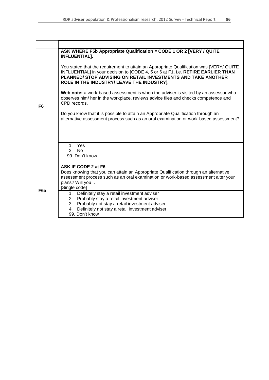|                  | ASK WHERE F5b Appropriate Qualification = CODE 1 OR 2 [VERY / QUITE<br><b>INFLUENTIAL].</b>                                                                                                                                                                                                |
|------------------|--------------------------------------------------------------------------------------------------------------------------------------------------------------------------------------------------------------------------------------------------------------------------------------------|
|                  | You stated that the requirement to attain an Appropriate Qualification was [VERY/ QUITE<br>INFLUENTIAL] in your decision to [CODE 4, 5 or 6 at F1, i.e. RETIRE EARLIER THAN<br>PLANNED/ STOP ADVISING ON RETAIL INVESTMENTS AND TAKE ANOTHER<br>ROLE IN THE INDUSTRY/ LEAVE THE INDUSTRY], |
| F6               | Web note: a work-based assessment is when the adviser is visited by an assessor who<br>observes him/ her in the workplace, reviews advice files and checks competence and<br>CPD records.                                                                                                  |
|                  | Do you know that it is possible to attain an Appropriate Qualification through an<br>alternative assessment process such as an oral examination or work-based assessment?                                                                                                                  |
|                  |                                                                                                                                                                                                                                                                                            |
|                  | Yes<br>1.<br>2. N <sub>0</sub>                                                                                                                                                                                                                                                             |
|                  | 99. Don't know                                                                                                                                                                                                                                                                             |
|                  | ASK IF CODE 2 at F6                                                                                                                                                                                                                                                                        |
|                  | Does knowing that you can attain an Appropriate Qualification through an alternative<br>assessment process such as an oral examination or work-based assessment alter your                                                                                                                 |
|                  | plans? Will you                                                                                                                                                                                                                                                                            |
| F <sub>6</sub> a | [Single code]                                                                                                                                                                                                                                                                              |
|                  | 1. Definitely stay a retail investment adviser<br>2. Probably stay a retail investment adviser                                                                                                                                                                                             |
|                  | 3. Probably not stay a retail investment adviser                                                                                                                                                                                                                                           |
|                  | Definitely not stay a retail investment adviser<br>4.                                                                                                                                                                                                                                      |
|                  | 99. Don't know                                                                                                                                                                                                                                                                             |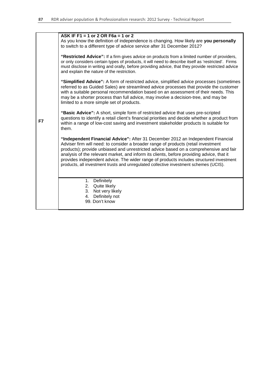|    | ASK IF F1 = 1 or 2 OR F6a = 1 or 2                                                                                                                                                                                                                                                                                                                                                                                                                                                                                                              |
|----|-------------------------------------------------------------------------------------------------------------------------------------------------------------------------------------------------------------------------------------------------------------------------------------------------------------------------------------------------------------------------------------------------------------------------------------------------------------------------------------------------------------------------------------------------|
|    | As you know the definition of independence is changing. How likely are you personally<br>to switch to a different type of advice service after 31 December 2012?                                                                                                                                                                                                                                                                                                                                                                                |
|    | "Restricted Advice": If a firm gives advice on products from a limited number of providers,<br>or only considers certain types of products, it will need to describe itself as 'restricted'. Firms<br>must disclose in writing and orally, before providing advice, that they provide restricted advice<br>and explain the nature of the restriction.                                                                                                                                                                                           |
|    | "Simplified Advice": A form of restricted advice, simplified advice processes (sometimes<br>referred to as Guided Sales) are streamlined advice processes that provide the customer<br>with a suitable personal recommendation based on an assessment of their needs. This<br>may be a shorter process than full advice, may involve a decision-tree, and may be<br>limited to a more simple set of products.                                                                                                                                   |
| F7 | "Basic Advice": A short, simple form of restricted advice that uses pre-scripted<br>questions to identify a retail client's financial priorities and decide whether a product from<br>within a range of low-cost saving and investment stakeholder products is suitable for<br>them.                                                                                                                                                                                                                                                            |
|    | "Independent Financial Advice": After 31 December 2012 an Independent Financial<br>Adviser firm will need: to consider a broader range of products (retail investment<br>products); provide unbiased and unrestricted advice based on a comprehensive and fair<br>analysis of the relevant market, and inform its clients, before providing advice, that it<br>provides independent advice. The wider range of products includes structured investment<br>products, all investment trusts and unregulated collective investment schemes (UCIS). |
|    | Definitely<br>1.<br>Quite likely<br>2.<br>3.<br>Not very likely<br>Definitely not<br>4.<br>99. Don't know                                                                                                                                                                                                                                                                                                                                                                                                                                       |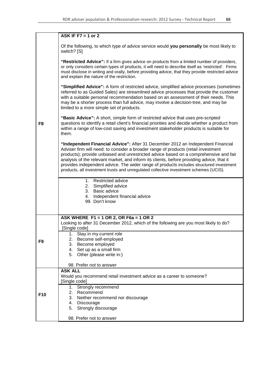|                | ASK IF F7 = 1 or 2                                                                                                                                                                                                                                                                                                                                                                                                                                                                                                                              |  |  |  |  |
|----------------|-------------------------------------------------------------------------------------------------------------------------------------------------------------------------------------------------------------------------------------------------------------------------------------------------------------------------------------------------------------------------------------------------------------------------------------------------------------------------------------------------------------------------------------------------|--|--|--|--|
|                | Of the following, to which type of advice service would you personally be most likely to<br>switch? [S]                                                                                                                                                                                                                                                                                                                                                                                                                                         |  |  |  |  |
|                | "Restricted Advice": If a firm gives advice on products from a limited number of providers,<br>or only considers certain types of products, it will need to describe itself as 'restricted'. Firms<br>must disclose in writing and orally, before providing advice, that they provide restricted advice<br>and explain the nature of the restriction.                                                                                                                                                                                           |  |  |  |  |
|                | "Simplified Advice": A form of restricted advice, simplified advice processes (sometimes<br>referred to as Guided Sales) are streamlined advice processes that provide the customer<br>with a suitable personal recommendation based on an assessment of their needs. This<br>may be a shorter process than full advice, may involve a decision-tree, and may be<br>limited to a more simple set of products.                                                                                                                                   |  |  |  |  |
| F8             | "Basic Advice": A short, simple form of restricted advice that uses pre-scripted<br>questions to identify a retail client's financial priorities and decide whether a product from<br>within a range of low-cost saving and investment stakeholder products is suitable for<br>them.                                                                                                                                                                                                                                                            |  |  |  |  |
|                | "Independent Financial Advice": After 31 December 2012 an Independent Financial<br>Adviser firm will need: to consider a broader range of products (retail investment<br>products); provide unbiased and unrestricted advice based on a comprehensive and fair<br>analysis of the relevant market, and inform its clients, before providing advice, that it<br>provides independent advice. The wider range of products includes structured investment<br>products, all investment trusts and unregulated collective investment schemes (UCIS). |  |  |  |  |
|                | 1. Restricted advice<br>2. Simplified advice<br>3. Basic advice<br>4. Independent financial advice<br>99. Don't know                                                                                                                                                                                                                                                                                                                                                                                                                            |  |  |  |  |
|                | ASK WHERE F1 = 1 OR 2, OR F6a = 1 OR 2<br>Looking to after 31 December 2012, which of the following are you most likely to do?<br>Single code]                                                                                                                                                                                                                                                                                                                                                                                                  |  |  |  |  |
| F <sub>9</sub> | Stay in my current role<br>1.<br>Become self-employed<br>2.<br>3. Become employed<br>4. Set up as a small firm<br>5.<br>Other (please write in:)<br>98. Prefer not to answer                                                                                                                                                                                                                                                                                                                                                                    |  |  |  |  |
|                | <b>ASK ALL</b><br>Would you recommend retail investment advice as a career to someone?                                                                                                                                                                                                                                                                                                                                                                                                                                                          |  |  |  |  |
|                | [Single code]                                                                                                                                                                                                                                                                                                                                                                                                                                                                                                                                   |  |  |  |  |
| F10            | 1.<br>Strongly recommend<br>2.<br>Recommend                                                                                                                                                                                                                                                                                                                                                                                                                                                                                                     |  |  |  |  |
|                | 3. Neither recommend nor discourage<br>4. Discourage                                                                                                                                                                                                                                                                                                                                                                                                                                                                                            |  |  |  |  |
|                | 5.<br>Strongly discourage                                                                                                                                                                                                                                                                                                                                                                                                                                                                                                                       |  |  |  |  |
|                | 98. Prefer not to answer                                                                                                                                                                                                                                                                                                                                                                                                                                                                                                                        |  |  |  |  |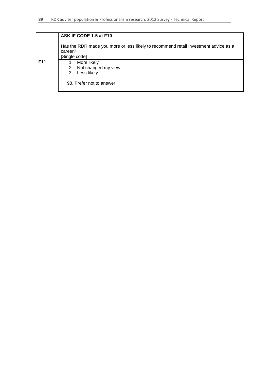|            | ASK IF CODE 1-5 at F10                                                                                          |  |  |  |  |  |
|------------|-----------------------------------------------------------------------------------------------------------------|--|--|--|--|--|
|            | Has the RDR made you more or less likely to recommend retail investment advice as a<br>career?<br>[Single code] |  |  |  |  |  |
| <b>F11</b> | More likely<br>1.<br>Not changed my view<br>2.<br>Less likely<br>3.<br>98. Prefer not to answer                 |  |  |  |  |  |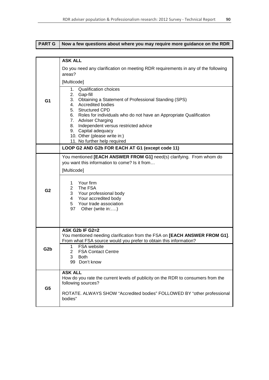| <b>PART G</b>    | Now a few questions about where you may require more guidance on the RDR                                                                                                                                                                                                                                                                   |  |  |  |  |
|------------------|--------------------------------------------------------------------------------------------------------------------------------------------------------------------------------------------------------------------------------------------------------------------------------------------------------------------------------------------|--|--|--|--|
|                  |                                                                                                                                                                                                                                                                                                                                            |  |  |  |  |
|                  | <b>ASK ALL</b>                                                                                                                                                                                                                                                                                                                             |  |  |  |  |
|                  | Do you need any clarification on meeting RDR requirements in any of the following<br>areas?                                                                                                                                                                                                                                                |  |  |  |  |
|                  | [Multicode]                                                                                                                                                                                                                                                                                                                                |  |  |  |  |
| G <sub>1</sub>   | 1. Qualification choices<br>2.<br>Gap-fill<br>Obtaining a Statement of Professional Standing (SPS)<br>3.<br><b>Accredited bodies</b><br>4.<br>5. Structured CPD<br>Roles for individuals who do not have an Appropriate Qualification<br>6.<br>7. Adviser Charging<br>Independent versus restricted advice<br>8.<br>Capital adequacy<br>9. |  |  |  |  |
|                  | 10. Other (please write in:)                                                                                                                                                                                                                                                                                                               |  |  |  |  |
|                  | 11. No further help required<br>LOOP G2 AND G2b FOR EACH AT G1 (except code 11)                                                                                                                                                                                                                                                            |  |  |  |  |
|                  | You mentioned [EACH ANSWER FROM G1] need(s) clarifying. From whom do                                                                                                                                                                                                                                                                       |  |  |  |  |
|                  | you want this information to come? Is it from<br>[Multicode]                                                                                                                                                                                                                                                                               |  |  |  |  |
| G <sub>2</sub>   | Your firm<br>1<br>2 <sup>1</sup><br>The FSA<br>3<br>Your professional body<br>Your accredited body<br>4<br>Your trade association<br>5<br>97 Other (write in:)                                                                                                                                                                             |  |  |  |  |
|                  | ASK G2b IF G2=2<br>You mentioned needing clarification from the FSA on [EACH ANSWER FROM G1].<br>From what FSA source would you prefer to obtain this information?                                                                                                                                                                         |  |  |  |  |
| G <sub>2</sub> b | FSA website<br>1.<br>$\mathbf{2}$<br><b>FSA Contact Centre</b><br>3<br><b>Both</b><br>99 Don't know                                                                                                                                                                                                                                        |  |  |  |  |
| G <sub>5</sub>   | <b>ASK ALL</b><br>How do you rate the current levels of publicity on the RDR to consumers from the<br>following sources?                                                                                                                                                                                                                   |  |  |  |  |
|                  | ROTATE. ALWAYS SHOW "Accredited bodies" FOLLOWED BY "other professional<br>bodies"                                                                                                                                                                                                                                                         |  |  |  |  |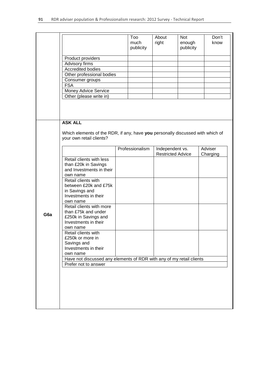|                 |                                                                                |  | Too             | About                    | <b>Not</b> | Don't    |
|-----------------|--------------------------------------------------------------------------------|--|-----------------|--------------------------|------------|----------|
|                 |                                                                                |  | much            | right                    | enough     | know     |
|                 |                                                                                |  | publicity       |                          | publicity  |          |
|                 |                                                                                |  |                 |                          |            |          |
|                 | Product providers                                                              |  |                 |                          |            |          |
|                 |                                                                                |  |                 |                          |            |          |
|                 | Advisory firms                                                                 |  |                 |                          |            |          |
|                 | Accredited bodies                                                              |  |                 |                          |            |          |
|                 | Other professional bodies                                                      |  |                 |                          |            |          |
|                 | Consumer groups                                                                |  |                 |                          |            |          |
|                 | <b>FSA</b>                                                                     |  |                 |                          |            |          |
|                 |                                                                                |  |                 |                          |            |          |
|                 | Money Advice Service                                                           |  |                 |                          |            |          |
|                 | Other (please write in)                                                        |  |                 |                          |            |          |
|                 |                                                                                |  |                 |                          |            |          |
|                 |                                                                                |  |                 |                          |            |          |
|                 |                                                                                |  |                 |                          |            |          |
|                 |                                                                                |  |                 |                          |            |          |
|                 | <b>ASK ALL</b>                                                                 |  |                 |                          |            |          |
|                 |                                                                                |  |                 |                          |            |          |
|                 | Which elements of the RDR, if any, have you personally discussed with which of |  |                 |                          |            |          |
|                 | your own retail clients?                                                       |  |                 |                          |            |          |
|                 |                                                                                |  |                 |                          |            |          |
|                 |                                                                                |  | Professionalism | Independent vs.          |            | Adviser  |
|                 |                                                                                |  |                 | <b>Restricted Advice</b> |            | Charging |
|                 |                                                                                |  |                 |                          |            |          |
|                 | Retail clients with less                                                       |  |                 |                          |            |          |
|                 | than £20k in Savings                                                           |  |                 |                          |            |          |
|                 | and Investments in their                                                       |  |                 |                          |            |          |
|                 | own name                                                                       |  |                 |                          |            |          |
|                 | Retail clients with                                                            |  |                 |                          |            |          |
|                 | between £20k and £75k                                                          |  |                 |                          |            |          |
|                 | in Savings and                                                                 |  |                 |                          |            |          |
|                 |                                                                                |  |                 |                          |            |          |
|                 | Investments in their                                                           |  |                 |                          |            |          |
|                 | own name                                                                       |  |                 |                          |            |          |
|                 | Retail clients with more                                                       |  |                 |                          |            |          |
|                 | than £75k and under                                                            |  |                 |                          |            |          |
| G <sub>6a</sub> | £250k in Savings and                                                           |  |                 |                          |            |          |
|                 | Investments in their                                                           |  |                 |                          |            |          |
|                 |                                                                                |  |                 |                          |            |          |
|                 | own name                                                                       |  |                 |                          |            |          |
|                 | Retail clients with                                                            |  |                 |                          |            |          |
|                 | £250k or more in                                                               |  |                 |                          |            |          |
|                 | Savings and                                                                    |  |                 |                          |            |          |
|                 | Investments in their                                                           |  |                 |                          |            |          |
|                 | own name                                                                       |  |                 |                          |            |          |
|                 | Have not discussed any elements of RDR with any of my retail clients           |  |                 |                          |            |          |
|                 | Prefer not to answer                                                           |  |                 |                          |            |          |
|                 |                                                                                |  |                 |                          |            |          |
|                 |                                                                                |  |                 |                          |            |          |
|                 |                                                                                |  |                 |                          |            |          |
|                 |                                                                                |  |                 |                          |            |          |
|                 |                                                                                |  |                 |                          |            |          |
|                 |                                                                                |  |                 |                          |            |          |
|                 |                                                                                |  |                 |                          |            |          |
|                 |                                                                                |  |                 |                          |            |          |
|                 |                                                                                |  |                 |                          |            |          |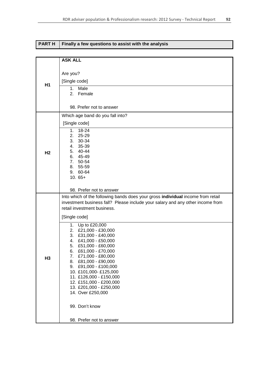| <b>PARTH</b>   | Finally a few questions to assist with the analysis                                                                                                                                                                                                                                                                                                              |
|----------------|------------------------------------------------------------------------------------------------------------------------------------------------------------------------------------------------------------------------------------------------------------------------------------------------------------------------------------------------------------------|
|                |                                                                                                                                                                                                                                                                                                                                                                  |
|                | <b>ASK ALL</b>                                                                                                                                                                                                                                                                                                                                                   |
| H <sub>1</sub> | Are you?<br>[Single code]<br>1. Male                                                                                                                                                                                                                                                                                                                             |
|                | 2.<br>Female<br>98. Prefer not to answer                                                                                                                                                                                                                                                                                                                         |
|                | Which age band do you fall into?                                                                                                                                                                                                                                                                                                                                 |
| H <sub>2</sub> | [Single code]                                                                                                                                                                                                                                                                                                                                                    |
|                | 1. 18-24<br>2. 25-29<br>3. 30-34<br>4. 35-39<br>5. 40-44<br>6. 45-49<br>7. 50-54<br>8. 55-59<br>9. 60-64<br>$10.65+$                                                                                                                                                                                                                                             |
|                | 98. Prefer not to answer                                                                                                                                                                                                                                                                                                                                         |
| H <sub>3</sub> | Into which of the following bands does your gross individual income from retail<br>investment business fall? Please include your salary and any other income from<br>retail investment business.                                                                                                                                                                 |
|                | [Single code]<br>1. Up to £20,000                                                                                                                                                                                                                                                                                                                                |
|                | 2. £21,000 - £30,000<br>3. £31,000 - £40,000<br>£41,000 - £50,000<br>4.<br>£51,000 - £60,000<br>5.<br>£61,000 - £70,000<br>6.<br>£71,000 - £80,000<br>7.<br>£81,000 - £90,000<br>8.<br>£91,000 - £100,000<br>9.<br>10. £101,000-£125,000<br>11. £126,000 - £150,000<br>12. £151,000 - £200,000<br>13. £201,000 - £250,000<br>14. Over £250,000<br>99. Don't know |
|                | 98. Prefer not to answer                                                                                                                                                                                                                                                                                                                                         |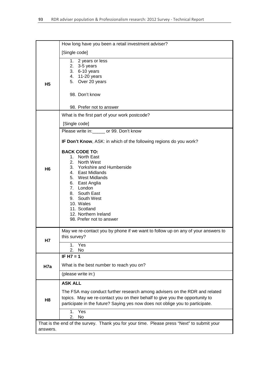|                                                                                                        | How long have you been a retail investment adviser?                                                                                                                                                                                                                             |  |
|--------------------------------------------------------------------------------------------------------|---------------------------------------------------------------------------------------------------------------------------------------------------------------------------------------------------------------------------------------------------------------------------------|--|
| H <sub>5</sub>                                                                                         | [Single code]                                                                                                                                                                                                                                                                   |  |
|                                                                                                        | 1. 2 years or less<br>2. $3-5$ years<br>3. 6-10 years<br>4. 11-20 years<br>5. Over 20 years                                                                                                                                                                                     |  |
|                                                                                                        | 98. Don't know                                                                                                                                                                                                                                                                  |  |
|                                                                                                        | 98. Prefer not to answer                                                                                                                                                                                                                                                        |  |
|                                                                                                        | What is the first part of your work postcode?                                                                                                                                                                                                                                   |  |
|                                                                                                        | [Single code]                                                                                                                                                                                                                                                                   |  |
|                                                                                                        | Please write in: or 99. Don't know                                                                                                                                                                                                                                              |  |
|                                                                                                        | IF Don't Know, ASK: in which of the following regions do you work?                                                                                                                                                                                                              |  |
| H <sub>6</sub>                                                                                         | <b>BACK CODE TO:</b><br>1. North East<br>2. North West<br>3. Yorkshire and Humberside<br>4. East Midlands<br>5. West Midlands<br>6. East Anglia<br>7. London<br>8. South East<br>9. South West<br>10. Wales<br>11. Scotland<br>12. Northern Ireland<br>98. Prefer not to answer |  |
| Н7                                                                                                     | May we re-contact you by phone if we want to follow up on any of your answers to<br>this survey?                                                                                                                                                                                |  |
|                                                                                                        | Yes<br>1.<br>No<br>2.                                                                                                                                                                                                                                                           |  |
|                                                                                                        | IF H $7 = 1$                                                                                                                                                                                                                                                                    |  |
| H7a                                                                                                    | What is the best number to reach you on?                                                                                                                                                                                                                                        |  |
|                                                                                                        | (please write in:)                                                                                                                                                                                                                                                              |  |
| H <sub>8</sub>                                                                                         | <b>ASK ALL</b><br>The FSA may conduct further research among advisers on the RDR and related<br>topics. May we re-contact you on their behalf to give you the opportunity to<br>participate in the future? Saying yes now does not oblige you to participate.                   |  |
|                                                                                                        | Yes<br>1.<br>2.<br>No                                                                                                                                                                                                                                                           |  |
| That is the end of the survey. Thank you for your time. Please press "Next" to submit your<br>answers. |                                                                                                                                                                                                                                                                                 |  |